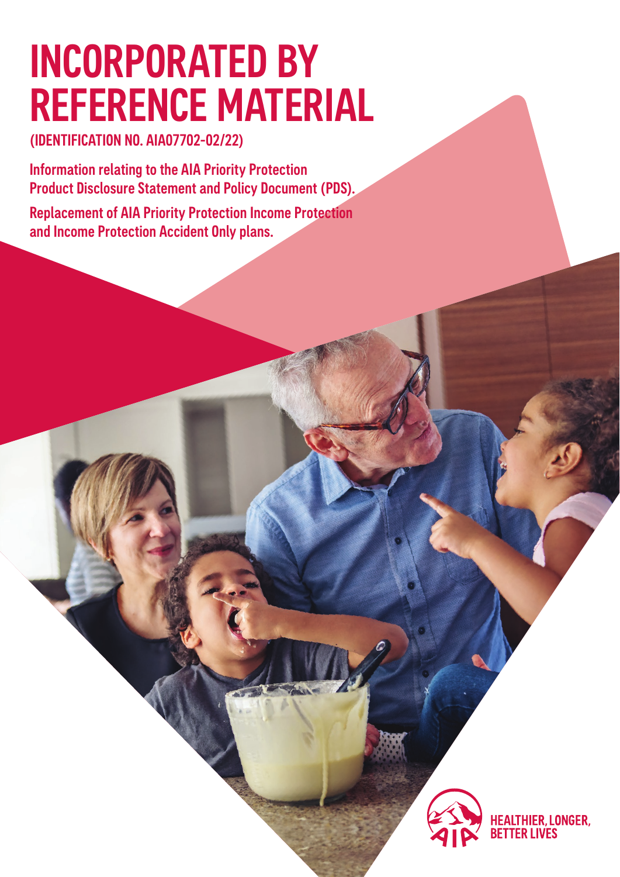# INCORPORATED BY REFERENCE MATERIAL

(IDENTIFICATION NO. AIA07702-02/22)

Information relating to the AIA Priority Protection Product Disclosure Statement and Policy Document (PDS).

Replacement of AIA Priority Protection Income Protection and Income Protection Accident Only plans.



HEALTHIER, LONGER, **BETTER LIVES**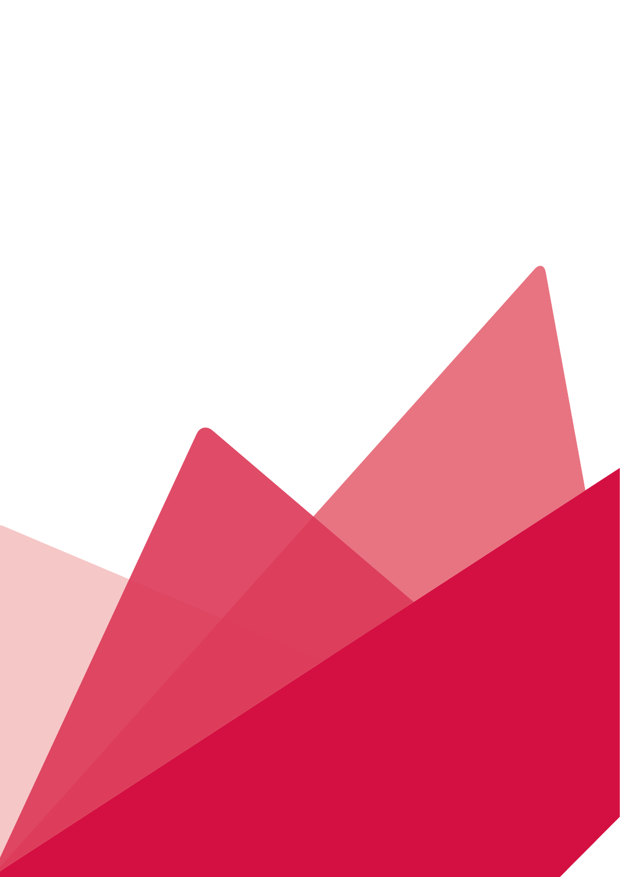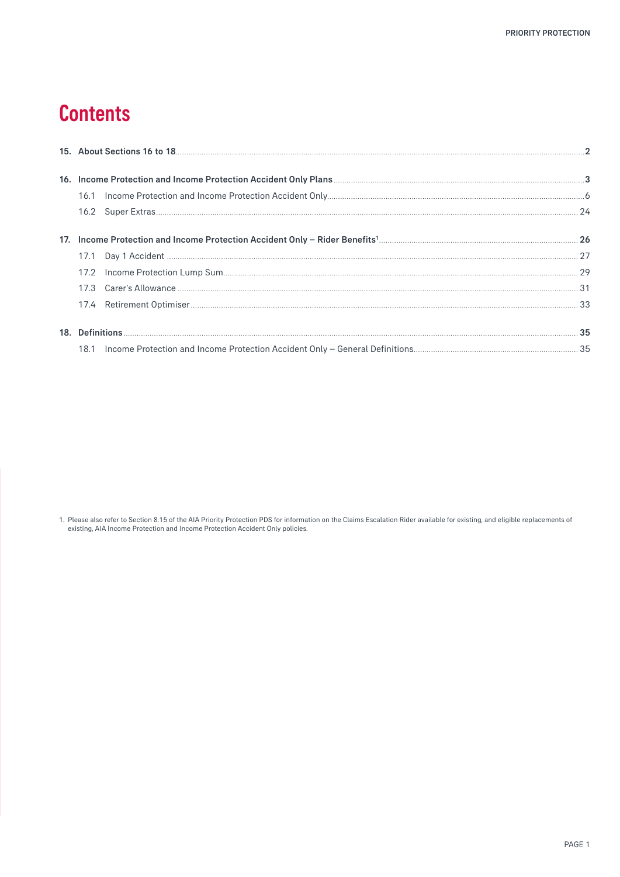# **Contents**

|  | 17. Income Protection and Income Protection Accident Only - Rider Benefits <sup>1</sup> [1] Annumeron manuscrim manuscrim 26 |  |
|--|------------------------------------------------------------------------------------------------------------------------------|--|
|  |                                                                                                                              |  |
|  |                                                                                                                              |  |
|  |                                                                                                                              |  |
|  |                                                                                                                              |  |
|  |                                                                                                                              |  |
|  |                                                                                                                              |  |

1. Please also refer to Section 8.15 of the AIA Priority Protection PDS for information on the Claims Escalation Rider available for existing, and eligible replacements of<br>existing, AIA Income Protection and Income Protect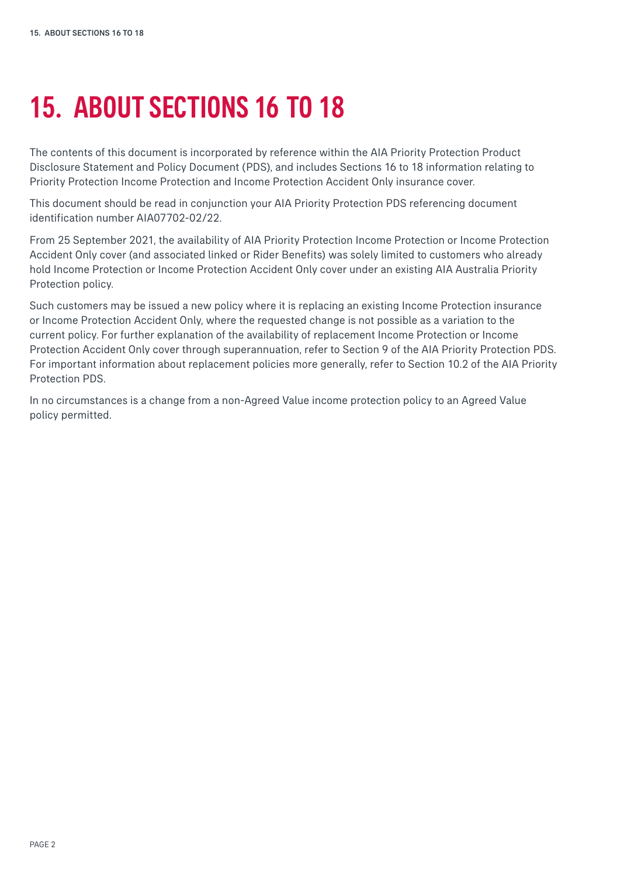# <span id="page-3-0"></span>15. ABOUT SECTIONS 16 TO 18

The contents of this document is incorporated by reference within the AIA Priority Protection Product Disclosure Statement and Policy Document (PDS), and includes Sections 16 to 18 information relating to Priority Protection Income Protection and Income Protection Accident Only insurance cover.

This document should be read in conjunction your AIA Priority Protection PDS referencing document identification number AIA07702-02/22.

From 25 September 2021, the availability of AIA Priority Protection Income Protection or Income Protection Accident Only cover (and associated linked or Rider Benefits) was solely limited to customers who already hold Income Protection or Income Protection Accident Only cover under an existing AIA Australia Priority Protection policy.

Such customers may be issued a new policy where it is replacing an existing Income Protection insurance or Income Protection Accident Only, where the requested change is not possible as a variation to the current policy. For further explanation of the availability of replacement Income Protection or Income Protection Accident Only cover through superannuation, refer to Section 9 of the AIA Priority Protection PDS. For important information about replacement policies more generally, refer to Section 10.2 of the AIA Priority Protection PDS.

In no circumstances is a change from a non-Agreed Value income protection policy to an Agreed Value policy permitted.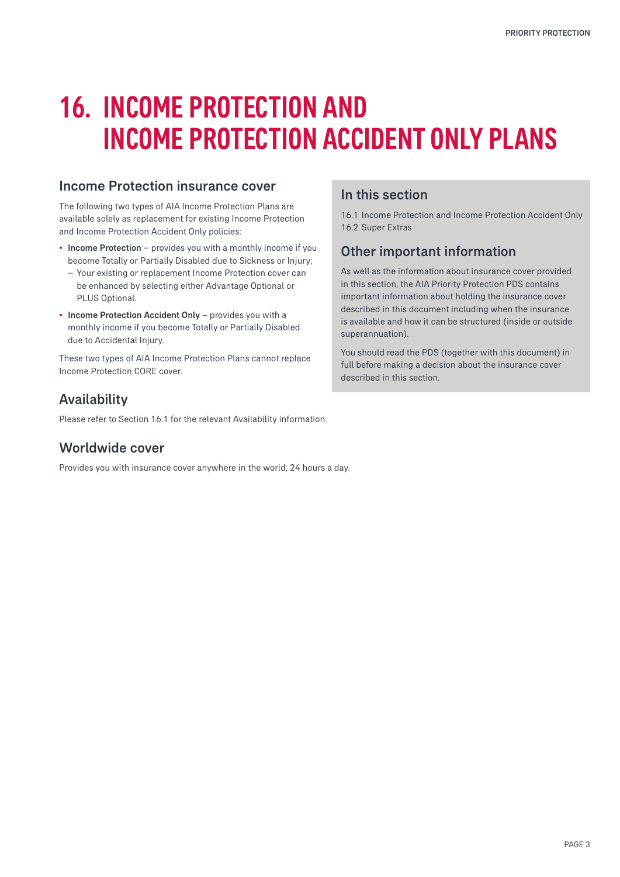# <span id="page-4-0"></span>16. INCOME PROTECTION AND INCOME PROTECTION ACCIDENT ONLY PLANS

## Income Protection insurance cover

The following two types of AIA Income Protection Plans are available solely as replacement for existing Income Protection and Income Protection Accident Only policies:

- Income Protection provides you with a monthly income if you become Totally or Partially Disabled due to Sickness or Injury;
	- Your existing or replacement Income Protection cover can be enhanced by selecting either Advantage Optional or PLUS Optional.
- Income Protection Accident Only provides you with a monthly income if you become Totally or Partially Disabled due to Accidental Injury.

These two types of AIA Income Protection Plans cannot replace Income Protection CORE cover.

## Availability

Please refer to Section 16.1 for the relevant Availability information.

## Worldwide cover

Provides you with insurance cover anywhere in the world, 24 hours a day.

## In this section

16.1 Income Protection and Income Protection Accident Only 16.2 Super Extras

## Other important information

As well as the information about insurance cover provided in this section, the AIA Priority Protection PDS contains important information about holding the insurance cover described in this document including when the insurance is available and how it can be structured (inside or outside superannuation).

You should read the PDS (together with this document) in full before making a decision about the insurance cover described in this section.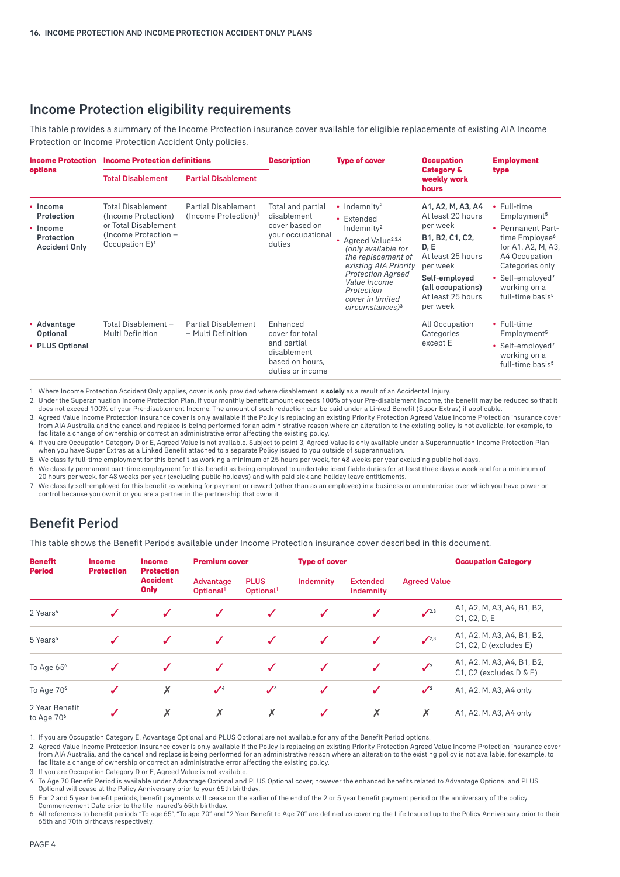## Income Protection eligibility requirements

This table provides a summary of the Income Protection insurance cover available for eligible replacements of existing AIA Income Protection or Income Protection Accident Only policies.

| <b>Income Protection</b>                                                 | <b>Income Protection definitions</b>                                                                                          |                                                                | <b>Description</b>                                                                               | <b>Type of cover</b>                                                                                                                                                                                                                                                                         | <b>Occupation</b>                                                                                                                                                                     | <b>Employment</b>                                                                                                                                                                                                                        |  |
|--------------------------------------------------------------------------|-------------------------------------------------------------------------------------------------------------------------------|----------------------------------------------------------------|--------------------------------------------------------------------------------------------------|----------------------------------------------------------------------------------------------------------------------------------------------------------------------------------------------------------------------------------------------------------------------------------------------|---------------------------------------------------------------------------------------------------------------------------------------------------------------------------------------|------------------------------------------------------------------------------------------------------------------------------------------------------------------------------------------------------------------------------------------|--|
| options                                                                  | <b>Total Disablement</b>                                                                                                      | <b>Partial Disablement</b>                                     |                                                                                                  |                                                                                                                                                                                                                                                                                              | <b>Category &amp;</b><br>weekly work<br>hours                                                                                                                                         | type                                                                                                                                                                                                                                     |  |
| • Income<br>Protection<br>• Income<br>Protection<br><b>Accident Only</b> | <b>Total Disablement</b><br>(Income Protection)<br>or Total Disablement<br>(Income Protection -<br>Occupation E) <sup>1</sup> | <b>Partial Disablement</b><br>(Income Protection) <sup>1</sup> | Total and partial<br>disablement<br>cover based on<br>your occupational<br>duties                | $\cdot$ Indemnity <sup>2</sup><br>• Extended<br>Indemnity <sup>2</sup><br>• Agreed Value <sup>2,3,4</sup><br>(only available for<br>the replacement of<br>existing AIA Priority<br><b>Protection Agreed</b><br>Value Income<br>Protection<br>cover in limited<br>circumstances) <sup>3</sup> | A1, A2, M, A3, A4<br>At least 20 hours<br>per week<br>B1, B2, C1, C2,<br>D, E<br>At least 25 hours<br>per week<br>Self-employed<br>(all occupations)<br>At least 25 hours<br>per week | • Full-time<br>Employment <sup>5</sup><br><b>Permanent Part-</b><br>time Employee <sup>6</sup><br>for A1, A2, M, A3,<br>A4 Occupation<br>Categories only<br>• Self-employed <sup>7</sup><br>working on a<br>full-time basis <sup>5</sup> |  |
| • Advantage<br>Optional<br>• PLUS Optional                               | Total Disablement -<br><b>Multi Definition</b>                                                                                | <b>Partial Disablement</b><br>- Multi Definition               | Enhanced<br>cover for total<br>and partial<br>disablement<br>based on hours,<br>duties or income |                                                                                                                                                                                                                                                                                              | All Occupation<br>Categories<br>except E                                                                                                                                              | • Full-time<br>Employment <sup>5</sup><br>Self-employed <sup>7</sup><br>٠<br>working on a<br>full-time basis <sup>5</sup>                                                                                                                |  |

1. Where Income Protection Accident Only applies, cover is only provided where disablement is **solely** as a result of an Accidental Injury.

2. Under the Superannuation Income Protection Plan, if your monthly benefit amount exceeds 100% of your Pre-disablement Income, the benefit may be reduced so that it does not exceed 100% of your Pre-disablement Income. The amount of such reduction can be paid under a Linked Benefit (Super Extras) if applicable.

3. Agreed Value Income Protection insurance cover is only available if the Policy is replacing an existing Priority Protection Agreed Value Income Protection insurance cover from AIA Australia and the cancel and replace is being performed for an administrative reason where an alteration to the existing policy is not available, for example, to<br>facilitate a change of ownership or correct an admi

4. If you are Occupation Category D or E, Agreed Value is not available. Subject to point 3, Agreed Value is only available under a Superannuation Income Protection Plan when you have Super Extras as a Linked Benefit attached to a separate Policy issued to you outside of superannuation.

5. We classify full-time employment for this benefit as working a minimum of 25 hours per week, for 48 weeks per year excluding public holidays.

6. We classify permanent part-time employment for this benefit as being employed to undertake identifiable duties for at least three days a week and for a minimum of 20 hours per week, for 48 weeks per year (excluding public holidays) and with paid sick and holiday leave entitlements.

7. We classify self-employed for this benefit as working for payment or reward (other than as an employee) in a business or an enterprise over which you have power or control because you own it or you are a partner in the partnership that owns it.

## Benefit Period

This table shows the Benefit Periods available under Income Protection insurance cover described in this document.

| <b>Benefit</b>                           | <b>Income</b>            | <b>Income</b>                                | <b>Premium cover</b>               |                                      | <b>Type of cover</b> |                              |                     | <b>Occupation Category</b>                                 |  |
|------------------------------------------|--------------------------|----------------------------------------------|------------------------------------|--------------------------------------|----------------------|------------------------------|---------------------|------------------------------------------------------------|--|
| <b>Period</b>                            | <b>Protection</b>        | <b>Protection</b><br><b>Accident</b><br>Only | Advantage<br>Optional <sup>1</sup> | <b>PLUS</b><br>Optional <sup>1</sup> | Indemnity            | <b>Extended</b><br>Indemnity | <b>Agreed Value</b> |                                                            |  |
| 2 Years <sup>5</sup>                     |                          | ✓                                            | √                                  | J                                    | ✓                    | ✓                            | $\sqrt{2.3}$        | A1, A2, M, A3, A4, B1, B2,<br>C1, C2, D, E                 |  |
| 5 Years <sup>5</sup>                     |                          | $\checkmark$                                 | ✔                                  | ✔                                    | $\checkmark$         | $\checkmark$                 | $\sqrt{2.3}$        | A1, A2, M, A3, A4, B1, B2,<br>C1, C2, D (excludes E)       |  |
| To Age 65 <sup>6</sup>                   | $\overline{\mathcal{L}}$ | $\checkmark$                                 | ✔                                  | $\checkmark$                         | $\checkmark$         | ✓                            | $\sqrt{2}$          | A1, A2, M, A3, A4, B1, B2,<br>$C1, C2$ (excludes $D & E$ ) |  |
| To Age 70 <sup>6</sup>                   | $\overline{\mathcal{L}}$ | X                                            | $\sqrt{4}$                         | $\sqrt{4}$                           | $\checkmark$         | $\checkmark$                 | $\sqrt{2}$          | A1, A2, M, A3, A4 only                                     |  |
| 2 Year Benefit<br>to Age 70 <sup>6</sup> | $\checkmark$             | X                                            | X                                  | Х                                    | $\checkmark$         | Х                            | Х                   | A1, A2, M, A3, A4 only                                     |  |

1. If you are Occupation Category E, Advantage Optional and PLUS Optional are not available for any of the Benefit Period options.

2. Agreed Value Income Protection insurance cover is only available if the Policy is replacing an existing Priority Protection Agreed Value Income Protection insurance cover from AIA Australia, and the cancel and replace is being performed for an administrative reason where an alteration to the existing policy is not available, for example, to<br>facilitate a change of ownership or correct an adm

3. If you are Occupation Category D or E, Agreed Value is not available.

4. To Age 70 Benefit Period is available under Advantage Optional and PLUS Optional cover, however the enhanced benefits related to Advantage Optional and PLUS Optional will cease at the Policy Anniversary prior to your 65th birthday.

5. For 2 and 5 year benefit periods, benefit payments will cease on the earlier of the end of the 2 or 5 year benefit payment period or the anniversary of the policy

Commencement Date prior to the life Insured's 65th birthday.<br>6. All references to benefit periods "To age 65", "To age 70" and "2 Year Benefit to Age 70" are defined as covering the Life Insured up to the Policy Anniversar 65th and 70th birthdays respectively.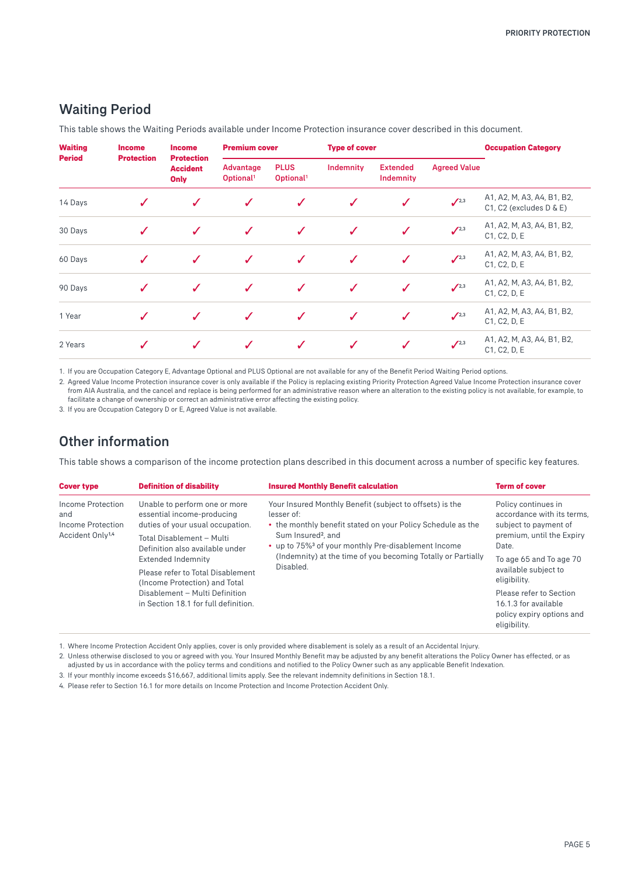## Waiting Period

| <b>Waiting</b> | <b>Income</b>            | <b>Income</b>                                | <b>Premium cover</b> |                                                                            | <b>Type of cover</b> |                                           |              | <b>Occupation Category</b>                                 |  |
|----------------|--------------------------|----------------------------------------------|----------------------|----------------------------------------------------------------------------|----------------------|-------------------------------------------|--------------|------------------------------------------------------------|--|
| <b>Period</b>  | <b>Protection</b>        | <b>Protection</b><br><b>Accident</b><br>Only |                      | <b>PLUS</b><br>Advantage<br>Optional <sup>1</sup><br>Optional <sup>1</sup> |                      | Indemnity<br><b>Extended</b><br>Indemnity |              | <b>Agreed Value</b>                                        |  |
| 14 Days        | $\checkmark$             | ✓                                            | $\checkmark$         | $\checkmark$                                                               | $\checkmark$         | $\checkmark$                              | $\sqrt{2.3}$ | A1, A2, M, A3, A4, B1, B2,<br>$C1, C2$ (excludes $D & E$ ) |  |
| 30 Days        | J                        | $\checkmark$                                 | $\checkmark$         | $\checkmark$                                                               | $\checkmark$         | $\checkmark$                              | $\sqrt{2.3}$ | A1, A2, M, A3, A4, B1, B2,<br>C1, C2, D, E                 |  |
| 60 Days        | $\overline{\mathcal{L}}$ | $\checkmark$                                 | $\checkmark$         | $\checkmark$                                                               | $\checkmark$         | $\checkmark$                              | $\sqrt{2.3}$ | A1, A2, M, A3, A4, B1, B2,<br>C1, C2, D, E                 |  |
| 90 Days        | $\overline{\mathcal{L}}$ | $\checkmark$                                 | $\checkmark$         | $\checkmark$                                                               | $\checkmark$         | $\checkmark$                              | $\sqrt{2.3}$ | A1, A2, M, A3, A4, B1, B2,<br>C1, C2, D, E                 |  |
| 1 Year         | J                        | $\checkmark$                                 | $\checkmark$         | $\checkmark$                                                               | $\checkmark$         | √                                         | $\sqrt{2.3}$ | A1, A2, M, A3, A4, B1, B2,<br>C1, C2, D, E                 |  |
| 2 Years        | J                        | $\checkmark$                                 | $\checkmark$         | $\checkmark$                                                               | $\checkmark$         | ✓                                         | $\sqrt{2.3}$ | A1, A2, M, A3, A4, B1, B2,<br>C1, C2, D, E                 |  |

This table shows the Waiting Periods available under Income Protection insurance cover described in this document.

1. If you are Occupation Category E, Advantage Optional and PLUS Optional are not available for any of the Benefit Period Waiting Period options.

2. Agreed Value Income Protection insurance cover is only available if the Policy is replacing existing Priority Protection Agreed Value Income Protection insurance cover from AIA Australia, and the cancel and replace is being performed for an administrative reason where an alteration to the existing policy is not available, for example, to facilitate a change of ownership or correct an administrative error affecting the existing policy.

3. If you are Occupation Category D or E, Agreed Value is not available.

## Other information

This table shows a comparison of the income protection plans described in this document across a number of specific key features.

| <b>Cover type</b>                                                             | <b>Definition of disability</b>                                                                                                                                                       | <b>Insured Monthly Benefit calculation</b>                                                                                                                                                                                                                                                                 | <b>Term of cover</b>                                                                                                                        |
|-------------------------------------------------------------------------------|---------------------------------------------------------------------------------------------------------------------------------------------------------------------------------------|------------------------------------------------------------------------------------------------------------------------------------------------------------------------------------------------------------------------------------------------------------------------------------------------------------|---------------------------------------------------------------------------------------------------------------------------------------------|
| Income Protection<br>and<br>Income Protection<br>Accident Only <sup>1,4</sup> | Unable to perform one or more<br>essential income-producing<br>duties of your usual occupation.<br>Total Disablement - Multi<br>Definition also available under<br>Extended Indemnity | Your Insured Monthly Benefit (subject to offsets) is the<br>lesser of:<br>• the monthly benefit stated on your Policy Schedule as the<br>Sum Insured <sup>2</sup> , and<br>• up to 75% <sup>3</sup> of your monthly Pre-disablement Income<br>(Indemnity) at the time of you becoming Totally or Partially | Policy continues in<br>accordance with its terms.<br>subject to payment of<br>premium, until the Expiry<br>Date.<br>To age 65 and To age 70 |
|                                                                               | Please refer to Total Disablement<br>(Income Protection) and Total                                                                                                                    | Disabled.                                                                                                                                                                                                                                                                                                  | available subject to<br>eligibility.                                                                                                        |
|                                                                               | Disablement - Multi Definition<br>in Section 18.1 for full definition.                                                                                                                |                                                                                                                                                                                                                                                                                                            | Please refer to Section<br>16.1.3 for available<br>policy expiry options and<br>eligibility.                                                |

1. Where Income Protection Accident Only applies, cover is only provided where disablement is solely as a result of an Accidental Injury.

2. Unless otherwise disclosed to you or agreed with you. Your Insured Monthly Benefit may be adjusted by any benefit alterations the Policy Owner has effected, or as adjusted by us in accordance with the policy terms and conditions and notified to the Policy Owner such as any applicable Benefit Indexation.

3. If your monthly income exceeds \$16,667, additional limits apply. See the relevant indemnity definitions in Section 18.1.

4. Please refer to Section 16.1 for more details on Income Protection and Income Protection Accident Only.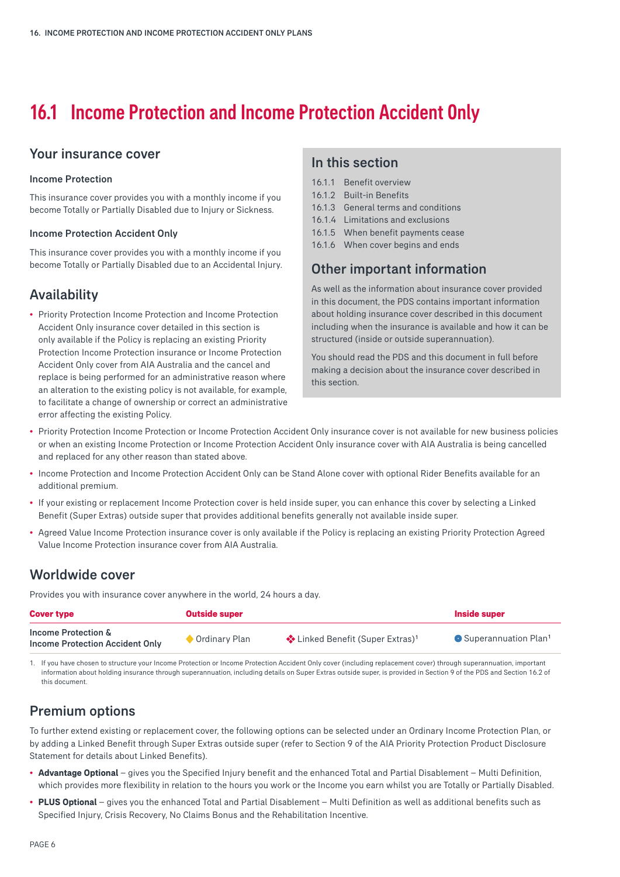## <span id="page-7-0"></span>16.1 Income Protection and Income Protection Accident Only

## Your insurance cover

### Income Protection

This insurance cover provides you with a monthly income if you become Totally or Partially Disabled due to Injury or Sickness.

#### Income Protection Accident Only

This insurance cover provides you with a monthly income if you become Totally or Partially Disabled due to an Accidental Injury.

## Availability

• Priority Protection Income Protection and Income Protection Accident Only insurance cover detailed in this section is only available if the Policy is replacing an existing Priority Protection Income Protection insurance or Income Protection Accident Only cover from AIA Australia and the cancel and replace is being performed for an administrative reason where an alteration to the existing policy is not available, for example, to facilitate a change of ownership or correct an administrative error affecting the existing Policy.

## In this section

- 16.1.1 Benefit overview
- 16.1.2 Built-in Benefits
- 16.1.3 General terms and conditions
- 16.1.4 Limitations and exclusions
- 16.1.5 When benefit payments cease
- 16.1.6 When cover begins and ends

## Other important information

As well as the information about insurance cover provided in this document, the PDS contains important information about holding insurance cover described in this document including when the insurance is available and how it can be structured (inside or outside superannuation).

You should read the PDS and this document in full before making a decision about the insurance cover described in this section.

- Priority Protection Income Protection or Income Protection Accident Only insurance cover is not available for new business policies or when an existing Income Protection or Income Protection Accident Only insurance cover with AIA Australia is being cancelled and replaced for any other reason than stated above.
- Income Protection and Income Protection Accident Only can be Stand Alone cover with optional Rider Benefits available for an additional premium.
- If your existing or replacement Income Protection cover is held inside super, you can enhance this cover by selecting a Linked Benefit (Super Extras) outside super that provides additional benefits generally not available inside super.
- Agreed Value Income Protection insurance cover is only available if the Policy is replacing an existing Priority Protection Agreed Value Income Protection insurance cover from AIA Australia.

## Worldwide cover

Provides you with insurance cover anywhere in the world, 24 hours a day.

| <b>Cover type</b>                                             | Outside super | <b>Inside super</b>                                 |                                    |
|---------------------------------------------------------------|---------------|-----------------------------------------------------|------------------------------------|
| Income Protection &<br><b>Income Protection Accident Only</b> | Ordinary Plan | <b>☆</b> Linked Benefit (Super Extras) <sup>1</sup> | • Superannuation Plan <sup>1</sup> |

1. If you have chosen to structure your Income Protection or Income Protection Accident Only cover (including replacement cover) through superannuation, important information about holding insurance through superannuation, including details on Super Extras outside super, is provided in Section 9 of the PDS and Section 16.2 of this document.

## Premium options

To further extend existing or replacement cover, the following options can be selected under an Ordinary Income Protection Plan, or by adding a Linked Benefit through Super Extras outside super (refer to Section 9 of the AIA Priority Protection Product Disclosure Statement for details about Linked Benefits).

- **Advantage Optional** gives you the Specified Injury benefit and the enhanced Total and Partial Disablement Multi Definition, which provides more flexibility in relation to the hours you work or the Income you earn whilst you are Totally or Partially Disabled.
- **PLUS Optional** gives you the enhanced Total and Partial Disablement Multi Definition as well as additional benefits such as Specified Injury, Crisis Recovery, No Claims Bonus and the Rehabilitation Incentive.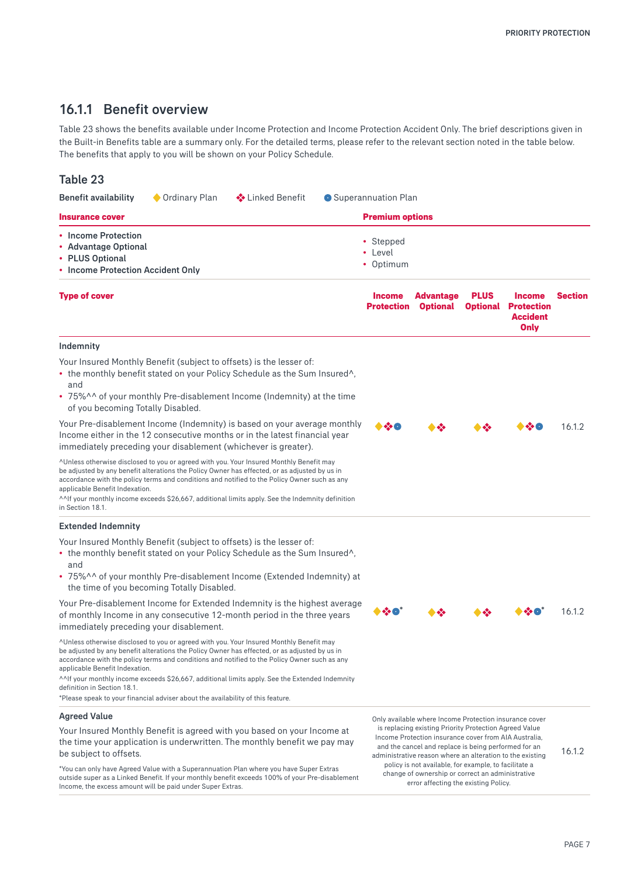## 16.1.1 Benefit overview

Table 23 shows the benefits available under Income Protection and Income Protection Accident Only. The brief descriptions given in the Built-in Benefits table are a summary only. For the detailed terms, please refer to the relevant section noted in the table below. The benefits that apply to you will be shown on your Policy Schedule.

## Table 23

| <b>Benefit availability</b>                                                                                                                                                                                                                                                                                                                                                                                                                                                                                                                    | ◆ Ordinary Plan | ❖ Linked Benefit |  | <b>O</b> Superannuation Plan       |                                                                                                                                                                                                                                                                                                                                                                                                             |                                |                                                                      |                |  |  |  |
|------------------------------------------------------------------------------------------------------------------------------------------------------------------------------------------------------------------------------------------------------------------------------------------------------------------------------------------------------------------------------------------------------------------------------------------------------------------------------------------------------------------------------------------------|-----------------|------------------|--|------------------------------------|-------------------------------------------------------------------------------------------------------------------------------------------------------------------------------------------------------------------------------------------------------------------------------------------------------------------------------------------------------------------------------------------------------------|--------------------------------|----------------------------------------------------------------------|----------------|--|--|--|
| <b>Insurance cover</b>                                                                                                                                                                                                                                                                                                                                                                                                                                                                                                                         |                 |                  |  |                                    | <b>Premium options</b>                                                                                                                                                                                                                                                                                                                                                                                      |                                |                                                                      |                |  |  |  |
| • Income Protection<br>• Advantage Optional<br>• PLUS Optional<br>• Income Protection Accident Only                                                                                                                                                                                                                                                                                                                                                                                                                                            |                 |                  |  | • Stepped<br>• Level<br>• Optimum  |                                                                                                                                                                                                                                                                                                                                                                                                             |                                |                                                                      |                |  |  |  |
| <b>Type of cover</b>                                                                                                                                                                                                                                                                                                                                                                                                                                                                                                                           |                 |                  |  | <b>Income</b><br><b>Protection</b> | <b>Advantage</b><br><b>Optional</b>                                                                                                                                                                                                                                                                                                                                                                         | <b>PLUS</b><br><b>Optional</b> | <b>Income</b><br><b>Protection</b><br><b>Accident</b><br><b>Only</b> | <b>Section</b> |  |  |  |
| Indemnity                                                                                                                                                                                                                                                                                                                                                                                                                                                                                                                                      |                 |                  |  |                                    |                                                                                                                                                                                                                                                                                                                                                                                                             |                                |                                                                      |                |  |  |  |
| Your Insured Monthly Benefit (subject to offsets) is the lesser of:<br>• the monthly benefit stated on your Policy Schedule as the Sum Insured <sup>^</sup> ,<br>and<br>• 75%^^ of your monthly Pre-disablement Income (Indemnity) at the time<br>of you becoming Totally Disabled.                                                                                                                                                                                                                                                            |                 |                  |  |                                    |                                                                                                                                                                                                                                                                                                                                                                                                             |                                |                                                                      |                |  |  |  |
| Your Pre-disablement Income (Indemnity) is based on your average monthly<br>Income either in the 12 consecutive months or in the latest financial year<br>immediately preceding your disablement (whichever is greater).                                                                                                                                                                                                                                                                                                                       |                 |                  |  | $\bullet$ $\bullet$ 0              |                                                                                                                                                                                                                                                                                                                                                                                                             |                                |                                                                      | 16.1.2         |  |  |  |
| <sup>^</sup> Unless otherwise disclosed to you or agreed with you. Your Insured Monthly Benefit may<br>be adjusted by any benefit alterations the Policy Owner has effected, or as adjusted by us in<br>accordance with the policy terms and conditions and notified to the Policy Owner such as any<br>applicable Benefit Indexation.<br>^^If your monthly income exceeds \$26,667, additional limits apply. See the Indemnity definition<br>in Section 18.1.                                                                                 |                 |                  |  |                                    |                                                                                                                                                                                                                                                                                                                                                                                                             |                                |                                                                      |                |  |  |  |
| <b>Extended Indemnity</b>                                                                                                                                                                                                                                                                                                                                                                                                                                                                                                                      |                 |                  |  |                                    |                                                                                                                                                                                                                                                                                                                                                                                                             |                                |                                                                      |                |  |  |  |
| Your Insured Monthly Benefit (subject to offsets) is the lesser of:<br>• the monthly benefit stated on your Policy Schedule as the Sum Insured^,<br>and<br>• 75%^^ of your monthly Pre-disablement Income (Extended Indemnity) at<br>the time of you becoming Totally Disabled.                                                                                                                                                                                                                                                                |                 |                  |  |                                    |                                                                                                                                                                                                                                                                                                                                                                                                             |                                |                                                                      |                |  |  |  |
| Your Pre-disablement Income for Extended Indemnity is the highest average<br>of monthly Income in any consecutive 12-month period in the three years<br>immediately preceding your disablement.                                                                                                                                                                                                                                                                                                                                                |                 |                  |  |                                    |                                                                                                                                                                                                                                                                                                                                                                                                             |                                |                                                                      | 16.1.2         |  |  |  |
| ^Unless otherwise disclosed to you or agreed with you. Your Insured Monthly Benefit may<br>be adjusted by any benefit alterations the Policy Owner has effected, or as adjusted by us in<br>accordance with the policy terms and conditions and notified to the Policy Owner such as any<br>applicable Benefit Indexation.<br>^^If your monthly income exceeds \$26,667, additional limits apply. See the Extended Indemnity<br>definition in Section 18.1.<br>*Please speak to your financial adviser about the availability of this feature. |                 |                  |  |                                    |                                                                                                                                                                                                                                                                                                                                                                                                             |                                |                                                                      |                |  |  |  |
| <b>Agreed Value</b>                                                                                                                                                                                                                                                                                                                                                                                                                                                                                                                            |                 |                  |  |                                    |                                                                                                                                                                                                                                                                                                                                                                                                             |                                |                                                                      |                |  |  |  |
| Your Insured Monthly Benefit is agreed with you based on your Income at<br>the time your application is underwritten. The monthly benefit we pay may<br>be subject to offsets.<br>*You can only have Agreed Value with a Superannuation Plan where you have Super Extras                                                                                                                                                                                                                                                                       |                 |                  |  |                                    | Only available where Income Protection insurance cover<br>is replacing existing Priority Protection Agreed Value<br>Income Protection insurance cover from AIA Australia,<br>and the cancel and replace is being performed for an<br>administrative reason where an alteration to the existing<br>policy is not available, for example, to facilitate a<br>change of ownership or correct an administrative |                                |                                                                      | 16.1.2         |  |  |  |
| outside super as a Linked Benefit. If your monthly benefit exceeds 100% of your Pre-disablement<br>Income, the excess amount will be paid under Super Extras.                                                                                                                                                                                                                                                                                                                                                                                  |                 |                  |  |                                    | error affecting the existing Policy.                                                                                                                                                                                                                                                                                                                                                                        |                                |                                                                      |                |  |  |  |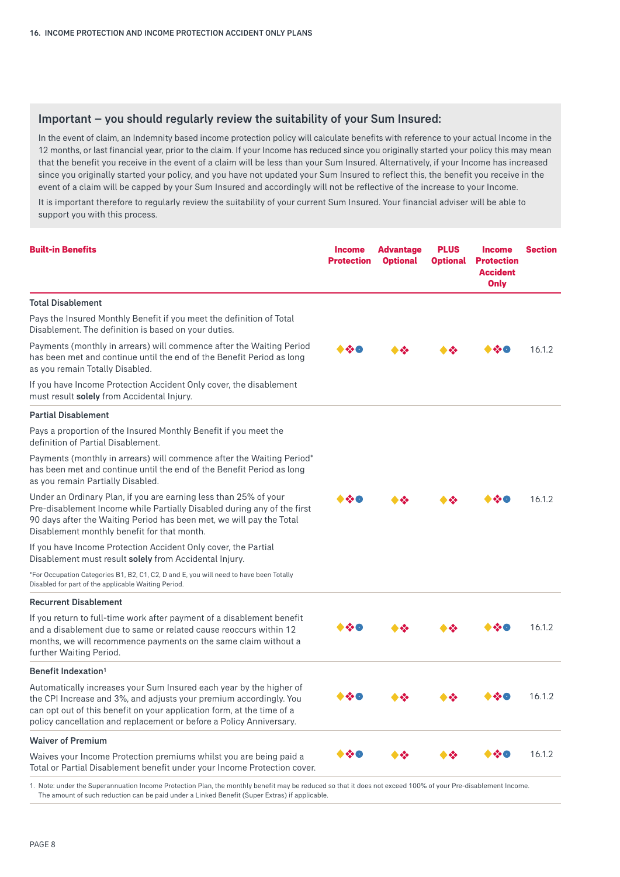## Important – you should regularly review the suitability of your Sum Insured:

In the event of claim, an Indemnity based income protection policy will calculate benefits with reference to your actual Income in the 12 months, or last financial year, prior to the claim. If your Income has reduced since you originally started your policy this may mean that the benefit you receive in the event of a claim will be less than your Sum Insured. Alternatively, if your Income has increased since you originally started your policy, and you have not updated your Sum Insured to reflect this, the benefit you receive in the event of a claim will be capped by your Sum Insured and accordingly will not be reflective of the increase to your Income. It is important therefore to regularly review the suitability of your current Sum Insured. Your financial adviser will be able to support you with this process.

| <b>Built-in Benefits</b>                                                                                                                                                                                                                                                                   | <b>Income</b><br><b>Protection</b> | <b>Advantage</b><br><b>Optional</b> | <b>PLUS</b><br><b>Optional</b> | <b>Income</b><br><b>Protection</b><br><b>Accident</b><br>Only | <b>Section</b> |
|--------------------------------------------------------------------------------------------------------------------------------------------------------------------------------------------------------------------------------------------------------------------------------------------|------------------------------------|-------------------------------------|--------------------------------|---------------------------------------------------------------|----------------|
| <b>Total Disablement</b>                                                                                                                                                                                                                                                                   |                                    |                                     |                                |                                                               |                |
| Pays the Insured Monthly Benefit if you meet the definition of Total<br>Disablement. The definition is based on your duties.                                                                                                                                                               |                                    |                                     |                                |                                                               |                |
| Payments (monthly in arrears) will commence after the Waiting Period<br>has been met and continue until the end of the Benefit Period as long<br>as you remain Totally Disabled.                                                                                                           | $\infty$ $\cdot$                   |                                     |                                |                                                               | 16.1.2         |
| If you have Income Protection Accident Only cover, the disablement<br>must result solely from Accidental Injury.                                                                                                                                                                           |                                    |                                     |                                |                                                               |                |
| <b>Partial Disablement</b>                                                                                                                                                                                                                                                                 |                                    |                                     |                                |                                                               |                |
| Pays a proportion of the Insured Monthly Benefit if you meet the<br>definition of Partial Disablement.                                                                                                                                                                                     |                                    |                                     |                                |                                                               |                |
| Payments (monthly in arrears) will commence after the Waiting Period*<br>has been met and continue until the end of the Benefit Period as long<br>as you remain Partially Disabled.                                                                                                        |                                    |                                     |                                |                                                               |                |
| Under an Ordinary Plan, if you are earning less than 25% of your<br>Pre-disablement Income while Partially Disabled during any of the first<br>90 days after the Waiting Period has been met, we will pay the Total<br>Disablement monthly benefit for that month.                         |                                    |                                     |                                |                                                               | 16.1.2         |
| If you have Income Protection Accident Only cover, the Partial<br>Disablement must result solely from Accidental Injury.                                                                                                                                                                   |                                    |                                     |                                |                                                               |                |
| *For Occupation Categories B1, B2, C1, C2, D and E, you will need to have been Totally<br>Disabled for part of the applicable Waiting Period.                                                                                                                                              |                                    |                                     |                                |                                                               |                |
| <b>Recurrent Disablement</b>                                                                                                                                                                                                                                                               |                                    |                                     |                                |                                                               |                |
| If you return to full-time work after payment of a disablement benefit<br>and a disablement due to same or related cause reoccurs within 12<br>months, we will recommence payments on the same claim without a<br>further Waiting Period.                                                  |                                    |                                     |                                |                                                               | 16.1.2         |
| Benefit Indexation <sup>1</sup>                                                                                                                                                                                                                                                            |                                    |                                     |                                |                                                               |                |
| Automatically increases your Sum Insured each year by the higher of<br>the CPI Increase and 3%, and adjusts your premium accordingly. You<br>can opt out of this benefit on your application form, at the time of a<br>policy cancellation and replacement or before a Policy Anniversary. |                                    |                                     |                                |                                                               | 16.1.2         |
| <b>Waiver of Premium</b>                                                                                                                                                                                                                                                                   |                                    |                                     |                                |                                                               |                |
| Waives your Income Protection premiums whilst you are being paid a<br>Total or Partial Disablement benefit under your Income Protection cover.                                                                                                                                             | $\bullet$                          |                                     |                                |                                                               | 16.1.2         |

1. Note: under the Superannuation Income Protection Plan, the monthly benefit may be reduced so that it does not exceed 100% of your Pre-disablement Income. The amount of such reduction can be paid under a Linked Benefit (Super Extras) if applicable.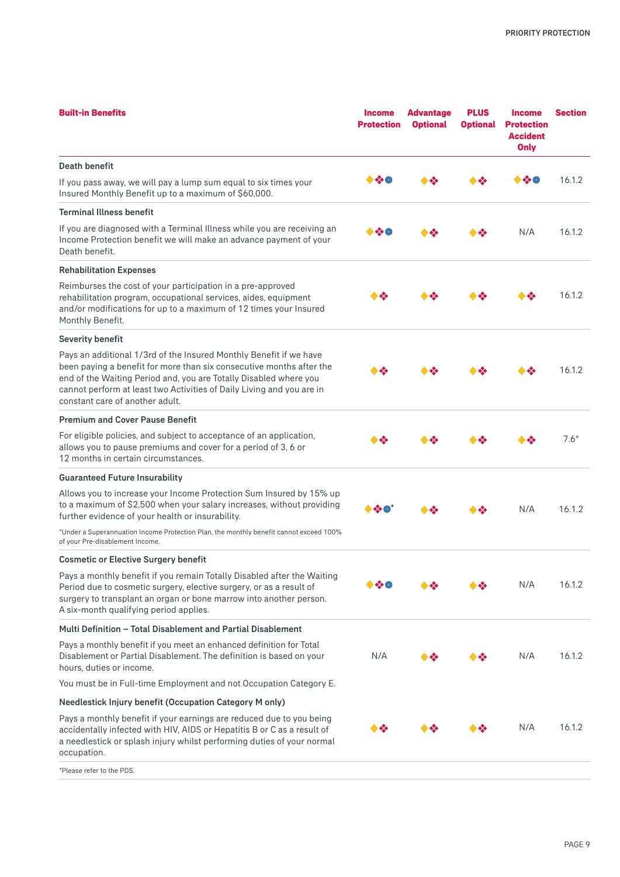| <b>Built-in Benefits</b>                                                                                                                                                                                                                                                                                                    | <b>Income</b><br><b>Protection</b>         | <b>Advantage</b><br><b>Optional</b> | <b>PLUS</b><br><b>Optional</b> | <b>Income</b><br><b>Protection</b><br><b>Accident</b><br><b>Only</b> | <b>Section</b> |
|-----------------------------------------------------------------------------------------------------------------------------------------------------------------------------------------------------------------------------------------------------------------------------------------------------------------------------|--------------------------------------------|-------------------------------------|--------------------------------|----------------------------------------------------------------------|----------------|
| <b>Death benefit</b>                                                                                                                                                                                                                                                                                                        |                                            |                                     |                                |                                                                      |                |
| If you pass away, we will pay a lump sum equal to six times your<br>Insured Monthly Benefit up to a maximum of \$60,000.                                                                                                                                                                                                    | XX O                                       |                                     |                                |                                                                      | 16.1.2         |
| <b>Terminal Illness benefit</b>                                                                                                                                                                                                                                                                                             |                                            |                                     |                                |                                                                      |                |
| If you are diagnosed with a Terminal Illness while you are receiving an<br>Income Protection benefit we will make an advance payment of your<br>Death benefit.                                                                                                                                                              | $\boldsymbol{\infty}$ $\boldsymbol{\circ}$ |                                     |                                | N/A                                                                  | 16.1.2         |
| <b>Rehabilitation Expenses</b>                                                                                                                                                                                                                                                                                              |                                            |                                     |                                |                                                                      |                |
| Reimburses the cost of your participation in a pre-approved<br>rehabilitation program, occupational services, aides, equipment<br>and/or modifications for up to a maximum of 12 times your Insured<br>Monthly Benefit.                                                                                                     |                                            |                                     |                                |                                                                      | 16.1.2         |
| <b>Severity benefit</b>                                                                                                                                                                                                                                                                                                     |                                            |                                     |                                |                                                                      |                |
| Pays an additional 1/3rd of the Insured Monthly Benefit if we have<br>been paying a benefit for more than six consecutive months after the<br>end of the Waiting Period and, you are Totally Disabled where you<br>cannot perform at least two Activities of Daily Living and you are in<br>constant care of another adult. |                                            |                                     |                                |                                                                      | 16.1.2         |
| <b>Premium and Cover Pause Benefit</b>                                                                                                                                                                                                                                                                                      |                                            |                                     |                                |                                                                      |                |
| For eligible policies, and subject to acceptance of an application,<br>allows you to pause premiums and cover for a period of 3, 6 or<br>12 months in certain circumstances.                                                                                                                                                |                                            |                                     |                                |                                                                      | $7.6*$         |
| <b>Guaranteed Future Insurability</b>                                                                                                                                                                                                                                                                                       |                                            |                                     |                                |                                                                      |                |
| Allows you to increase your Income Protection Sum Insured by 15% up<br>to a maximum of \$2,500 when your salary increases, without providing<br>further evidence of your health or insurability.                                                                                                                            | $\bullet$ $\bullet$ $\bullet$              |                                     |                                | N/A                                                                  | 16.1.2         |
| *Under a Superannuation Income Protection Plan, the monthly benefit cannot exceed 100%<br>of your Pre-disablement Income.                                                                                                                                                                                                   |                                            |                                     |                                |                                                                      |                |
| <b>Cosmetic or Elective Surgery benefit</b>                                                                                                                                                                                                                                                                                 |                                            |                                     |                                |                                                                      |                |
| Pays a monthly benefit if you remain Totally Disabled after the Waiting<br>Period due to cosmetic surgery, elective surgery, or as a result of<br>surgery to transplant an organ or bone marrow into another person.<br>A six-month qualifying period applies.                                                              |                                            |                                     |                                | N/A                                                                  | 16.1.2         |
| Multi Definition - Total Disablement and Partial Disablement                                                                                                                                                                                                                                                                |                                            |                                     |                                |                                                                      |                |
| Pays a monthly benefit if you meet an enhanced definition for Total<br>Disablement or Partial Disablement. The definition is based on your<br>hours, duties or income.                                                                                                                                                      | N/A                                        |                                     |                                | N/A                                                                  | 16.1.2         |
| You must be in Full-time Employment and not Occupation Category E.                                                                                                                                                                                                                                                          |                                            |                                     |                                |                                                                      |                |
| Needlestick Injury benefit (Occupation Category M only)                                                                                                                                                                                                                                                                     |                                            |                                     |                                |                                                                      |                |
| Pays a monthly benefit if your earnings are reduced due to you being<br>accidentally infected with HIV, AIDS or Hepatitis B or C as a result of<br>a needlestick or splash injury whilst performing duties of your normal<br>occupation.                                                                                    |                                            |                                     |                                | N/A                                                                  | 16.1.2         |
| *Please refer to the PDS.                                                                                                                                                                                                                                                                                                   |                                            |                                     |                                |                                                                      |                |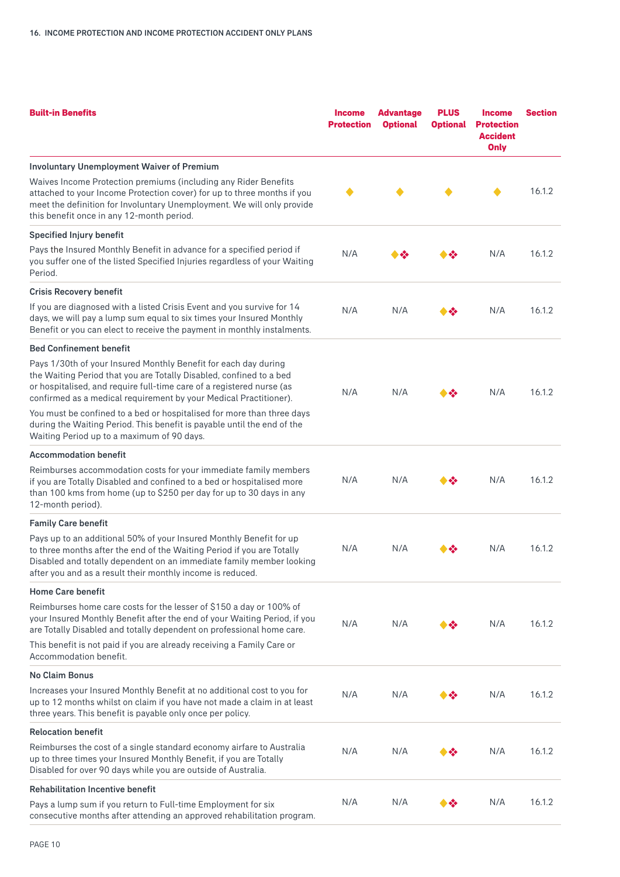| <b>Built-in Benefits</b>                                                                                                                                                                                                                                                             | <b>Income</b><br><b>Protection</b> | <b>Advantage</b><br><b>Optional</b> | <b>PLUS</b><br><b>Optional</b> | <b>Income</b><br><b>Protection</b><br><b>Accident</b><br><b>Only</b> | <b>Section</b> |
|--------------------------------------------------------------------------------------------------------------------------------------------------------------------------------------------------------------------------------------------------------------------------------------|------------------------------------|-------------------------------------|--------------------------------|----------------------------------------------------------------------|----------------|
| <b>Involuntary Unemployment Waiver of Premium</b>                                                                                                                                                                                                                                    |                                    |                                     |                                |                                                                      |                |
| Waives Income Protection premiums (including any Rider Benefits<br>attached to your Income Protection cover) for up to three months if you<br>meet the definition for Involuntary Unemployment. We will only provide<br>this benefit once in any 12-month period.                    |                                    |                                     |                                |                                                                      | 16.1.2         |
| <b>Specified Injury benefit</b>                                                                                                                                                                                                                                                      |                                    |                                     |                                |                                                                      |                |
| Pays the Insured Monthly Benefit in advance for a specified period if<br>you suffer one of the listed Specified Injuries regardless of your Waiting<br>Period.                                                                                                                       | N/A                                | ∙⊗                                  | $\bullet$                      | N/A                                                                  | 16.1.2         |
| <b>Crisis Recovery benefit</b>                                                                                                                                                                                                                                                       |                                    |                                     |                                |                                                                      |                |
| If you are diagnosed with a listed Crisis Event and you survive for 14<br>days, we will pay a lump sum equal to six times your Insured Monthly<br>Benefit or you can elect to receive the payment in monthly instalments.                                                            | N/A                                | N/A                                 | $\bullet$ $\bullet$            | N/A                                                                  | 16.1.2         |
| <b>Bed Confinement benefit</b>                                                                                                                                                                                                                                                       |                                    |                                     |                                |                                                                      |                |
| Pays 1/30th of your Insured Monthly Benefit for each day during<br>the Waiting Period that you are Totally Disabled, confined to a bed<br>or hospitalised, and require full-time care of a registered nurse (as<br>confirmed as a medical requirement by your Medical Practitioner). | N/A                                | N/A                                 | $\bullet$                      | N/A                                                                  | 16.1.2         |
| You must be confined to a bed or hospitalised for more than three days<br>during the Waiting Period. This benefit is payable until the end of the<br>Waiting Period up to a maximum of 90 days.                                                                                      |                                    |                                     |                                |                                                                      |                |
| <b>Accommodation benefit</b>                                                                                                                                                                                                                                                         |                                    |                                     |                                |                                                                      |                |
| Reimburses accommodation costs for your immediate family members<br>if you are Totally Disabled and confined to a bed or hospitalised more<br>than 100 kms from home (up to \$250 per day for up to 30 days in any<br>12-month period).                                              | N/A                                | N/A                                 | $\bullet$                      | N/A                                                                  | 16.1.2         |
| <b>Family Care benefit</b>                                                                                                                                                                                                                                                           |                                    |                                     |                                |                                                                      |                |
| Pays up to an additional 50% of your Insured Monthly Benefit for up<br>to three months after the end of the Waiting Period if you are Totally<br>Disabled and totally dependent on an immediate family member looking<br>after you and as a result their monthly income is reduced.  | N/A                                | N/A                                 | $\bullet$                      | N/A                                                                  | 16.1.2         |
| <b>Home Care benefit</b>                                                                                                                                                                                                                                                             |                                    |                                     |                                |                                                                      |                |
| Reimburses home care costs for the lesser of \$150 a day or 100% of<br>your Insured Monthly Benefit after the end of your Waiting Period, if you<br>are Totally Disabled and totally dependent on professional home care.                                                            | N/A                                | N/A                                 | $\bullet$ $\bullet$            | N/A                                                                  | 16.1.2         |
| This benefit is not paid if you are already receiving a Family Care or<br>Accommodation benefit.                                                                                                                                                                                     |                                    |                                     |                                |                                                                      |                |
| <b>No Claim Bonus</b>                                                                                                                                                                                                                                                                |                                    |                                     |                                |                                                                      |                |
| Increases your Insured Monthly Benefit at no additional cost to you for<br>up to 12 months whilst on claim if you have not made a claim in at least<br>three years. This benefit is payable only once per policy.                                                                    | N/A                                | N/A                                 | $\bullet$                      | N/A                                                                  | 16.1.2         |
| <b>Relocation benefit</b>                                                                                                                                                                                                                                                            |                                    |                                     |                                |                                                                      |                |
| Reimburses the cost of a single standard economy airfare to Australia<br>up to three times your Insured Monthly Benefit, if you are Totally<br>Disabled for over 90 days while you are outside of Australia.                                                                         | N/A                                | N/A                                 | $\bullet$                      | N/A                                                                  | 16.1.2         |
| <b>Rehabilitation Incentive benefit</b>                                                                                                                                                                                                                                              |                                    |                                     |                                |                                                                      |                |
| Pays a lump sum if you return to Full-time Employment for six<br>consecutive months after attending an approved rehabilitation program.                                                                                                                                              | N/A                                | N/A                                 | $\rightarrow$                  | N/A                                                                  | 16.1.2         |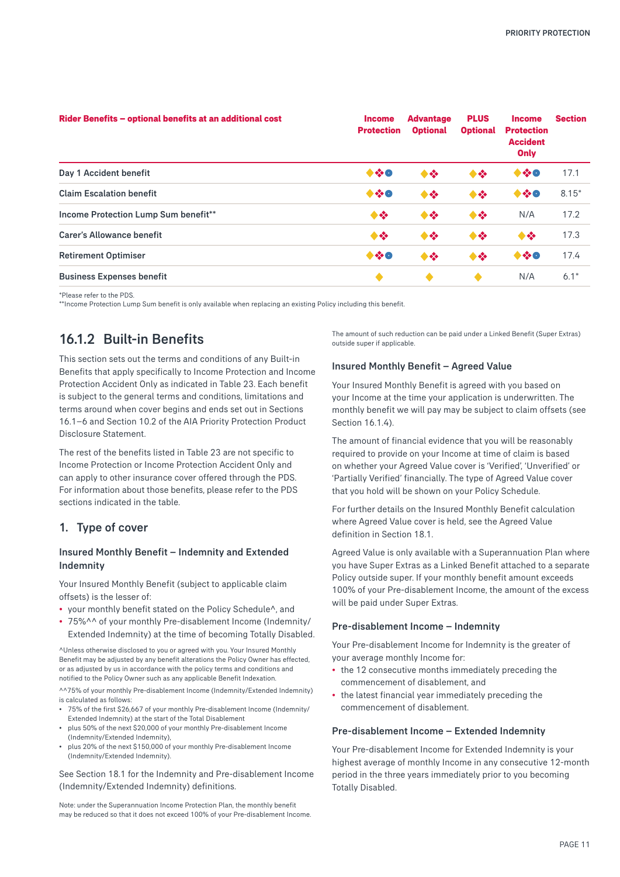| Rider Benefits - optional benefits at an additional cost | <b>Income</b><br><b>Protection</b> | <b>Advantage</b><br><b>Optional</b> | <b>PLUS</b><br><b>Optional</b> | <b>Income</b><br><b>Protection</b><br><b>Accident</b><br>Only | <b>Section</b> |
|----------------------------------------------------------|------------------------------------|-------------------------------------|--------------------------------|---------------------------------------------------------------|----------------|
| Day 1 Accident benefit                                   | $\blacklozenge$ $\clubsuit$ 0      | 金泰                                  | ◆※                             | $\blacklozenge$ $\clubsuit$ 0                                 | 17.1           |
| <b>Claim Escalation benefit</b>                          | $\blacklozenge$ $\clubsuit$ 0      | ◆※                                  | 参奏                             | ♦❖❶                                                           | $8.15*$        |
| Income Protection Lump Sum benefit**                     | - 安全                               | - 安全                                | ◆※                             | N/A                                                           | 17.2           |
| <b>Carer's Allowance benefit</b>                         | - 安全                               | ◆※                                  | ◆※                             | 令令                                                            | 17.3           |
| <b>Retirement Optimiser</b>                              | $\blacklozenge$ $\clubsuit$ 0      | 查察                                  | ◆※                             | $\blacklozenge$ $\clubsuit$ 0                                 | 17.4           |
| <b>Business Expenses benefit</b>                         |                                    |                                     |                                | N/A                                                           | $6.1*$         |

\*Please refer to the PDS.

\*\*Income Protection Lump Sum benefit is only available when replacing an existing Policy including this benefit.

## 16.1.2 Built-in Benefits

This section sets out the terms and conditions of any Built-in Benefits that apply specifically to Income Protection and Income Protection Accident Only as indicated in Table 23. Each benefit is subject to the general terms and conditions, limitations and terms around when cover begins and ends set out in Sections 16.1–6 and Section 10.2 of the AIA Priority Protection Product Disclosure Statement.

The rest of the benefits listed in Table 23 are not specific to Income Protection or Income Protection Accident Only and can apply to other insurance cover offered through the PDS. For information about those benefits, please refer to the PDS sections indicated in the table.

## 1. Type of cover

## Insured Monthly Benefit – Indemnity and Extended Indemnity

Your Insured Monthly Benefit (subject to applicable claim offsets) is the lesser of:

- your monthly benefit stated on the Policy Schedule^, and
- 75%^^ of your monthly Pre-disablement Income (Indemnity/ Extended Indemnity) at the time of becoming Totally Disabled.

^Unless otherwise disclosed to you or agreed with you. Your Insured Monthly Benefit may be adjusted by any benefit alterations the Policy Owner has effected, or as adjusted by us in accordance with the policy terms and conditions and notified to the Policy Owner such as any applicable Benefit Indexation.

^^75% of your monthly Pre-disablement Income (Indemnity/Extended Indemnity) is calculated as follows:

- 75% of the first \$26,667 of your monthly Pre-disablement Income (Indemnity/ Extended Indemnity) at the start of the Total Disablement
- plus 50% of the next \$20,000 of your monthly Pre-disablement Income (Indemnity/Extended Indemnity),
- plus 20% of the next \$150,000 of your monthly Pre-disablement Income (Indemnity/Extended Indemnity).

See Section 18.1 for the Indemnity and Pre-disablement Income (Indemnity/Extended Indemnity) definitions.

Note: under the Superannuation Income Protection Plan, the monthly benefit may be reduced so that it does not exceed 100% of your Pre-disablement Income. The amount of such reduction can be paid under a Linked Benefit (Super Extras) outside super if applicable.

#### Insured Monthly Benefit – Agreed Value

Your Insured Monthly Benefit is agreed with you based on your Income at the time your application is underwritten. The monthly benefit we will pay may be subject to claim offsets (see Section 16.1.4).

The amount of financial evidence that you will be reasonably required to provide on your Income at time of claim is based on whether your Agreed Value cover is 'Verified', 'Unverified' or 'Partially Verified' financially. The type of Agreed Value cover that you hold will be shown on your Policy Schedule.

For further details on the Insured Monthly Benefit calculation where Agreed Value cover is held, see the Agreed Value definition in Section 18.1.

Agreed Value is only available with a Superannuation Plan where you have Super Extras as a Linked Benefit attached to a separate Policy outside super. If your monthly benefit amount exceeds 100% of your Pre-disablement Income, the amount of the excess will be paid under Super Extras.

#### Pre-disablement Income – Indemnity

Your Pre-disablement Income for Indemnity is the greater of your average monthly Income for:

- the 12 consecutive months immediately preceding the commencement of disablement, and
- the latest financial year immediately preceding the commencement of disablement.

#### Pre-disablement Income – Extended Indemnity

Your Pre-disablement Income for Extended Indemnity is your highest average of monthly Income in any consecutive 12-month period in the three years immediately prior to you becoming Totally Disabled.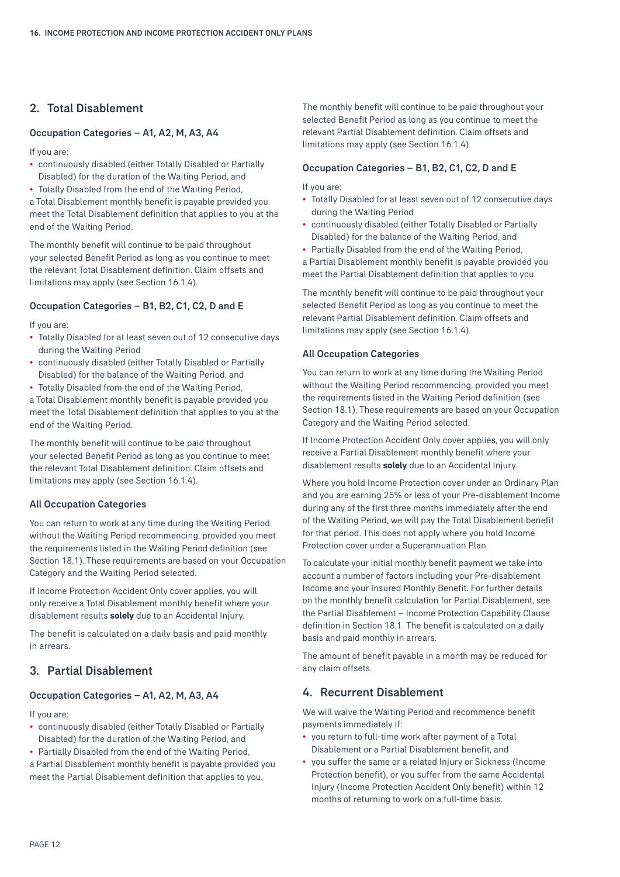## 2. Total Disablement

## Occupation Categories – A1, A2, M, A3, A4

If you are:

- continuously disabled (either Totally Disabled or Partially Disabled) for the duration of the Waiting Period, and
- Totally Disabled from the end of the Waiting Period,

a Total Disablement monthly benefit is payable provided you meet the Total Disablement definition that applies to you at the end of the Waiting Period.

The monthly benefit will continue to be paid throughout your selected Benefit Period as long as you continue to meet the relevant Total Disablement definition. Claim offsets and limitations may apply (see Section 16.1.4).

#### Occupation Categories – B1, B2, C1, C2, D and E

If you are:

- Totally Disabled for at least seven out of 12 consecutive days during the Waiting Period
- continuously disabled (either Totally Disabled or Partially Disabled) for the balance of the Waiting Period, and
- Totally Disabled from the end of the Waiting Period,

a Total Disablement monthly benefit is payable provided you meet the Total Disablement definition that applies to you at the end of the Waiting Period.

The monthly benefit will continue to be paid throughout your selected Benefit Period as long as you continue to meet the relevant Total Disablement definition. Claim offsets and limitations may apply (see Section 16.1.4).

#### All Occupation Categories

You can return to work at any time during the Waiting Period without the Waiting Period recommencing, provided you meet the requirements listed in the Waiting Period definition (see Section 18.1). These requirements are based on your Occupation Category and the Waiting Period selected.

If Income Protection Accident Only cover applies, you will only receive a Total Disablement monthly benefit where your disablement results **solely** due to an Accidental Injury.

The benefit is calculated on a daily basis and paid monthly in arrears.

## 3. Partial Disablement

#### Occupation Categories – A1, A2, M, A3, A4

If you are:

- continuously disabled (either Totally Disabled or Partially Disabled) for the duration of the Waiting Period, and
- Partially Disabled from the end of the Waiting Period,
- a Partial Disablement monthly benefit is payable provided you meet the Partial Disablement definition that applies to you.

The monthly benefit will continue to be paid throughout your selected Benefit Period as long as you continue to meet the relevant Partial Disablement definition. Claim offsets and limitations may apply (see Section 16.1.4).

#### Occupation Categories – B1, B2, C1, C2, D and E

If you are:

- Totally Disabled for at least seven out of 12 consecutive days during the Waiting Period
- continuously disabled (either Totally Disabled or Partially Disabled) for the balance of the Waiting Period, and
- Partially Disabled from the end of the Waiting Period,
- a Partial Disablement monthly benefit is payable provided you meet the Partial Disablement definition that applies to you.

The monthly benefit will continue to be paid throughout your selected Benefit Period as long as you continue to meet the relevant Partial Disablement definition. Claim offsets and limitations may apply (see Section 16.1.4).

#### All Occupation Categories

You can return to work at any time during the Waiting Period without the Waiting Period recommencing, provided you meet the requirements listed in the Waiting Period definition (see Section 18.1). These requirements are based on your Occupation Category and the Waiting Period selected.

If Income Protection Accident Only cover applies, you will only receive a Partial Disablement monthly benefit where your disablement results **solely** due to an Accidental Injury.

Where you hold Income Protection cover under an Ordinary Plan and you are earning 25% or less of your Pre-disablement Income during any of the first three months immediately after the end of the Waiting Period, we will pay the Total Disablement benefit for that period. This does not apply where you hold Income Protection cover under a Superannuation Plan.

To calculate your initial monthly benefit payment we take into account a number of factors including your Pre-disablement Income and your Insured Monthly Benefit. For further details on the monthly benefit calculation for Partial Disablement, see the Partial Disablement – Income Protection Capability Clause definition in Section 18.1. The benefit is calculated on a daily basis and paid monthly in arrears.

The amount of benefit payable in a month may be reduced for any claim offsets.

## 4. Recurrent Disablement

We will waive the Waiting Period and recommence benefit payments immediately if:

- you return to full-time work after payment of a Total Disablement or a Partial Disablement benefit, and
- you suffer the same or a related Injury or Sickness (Income Protection benefit), or you suffer from the same Accidental Injury (Income Protection Accident Only benefit) within 12 months of returning to work on a full-time basis.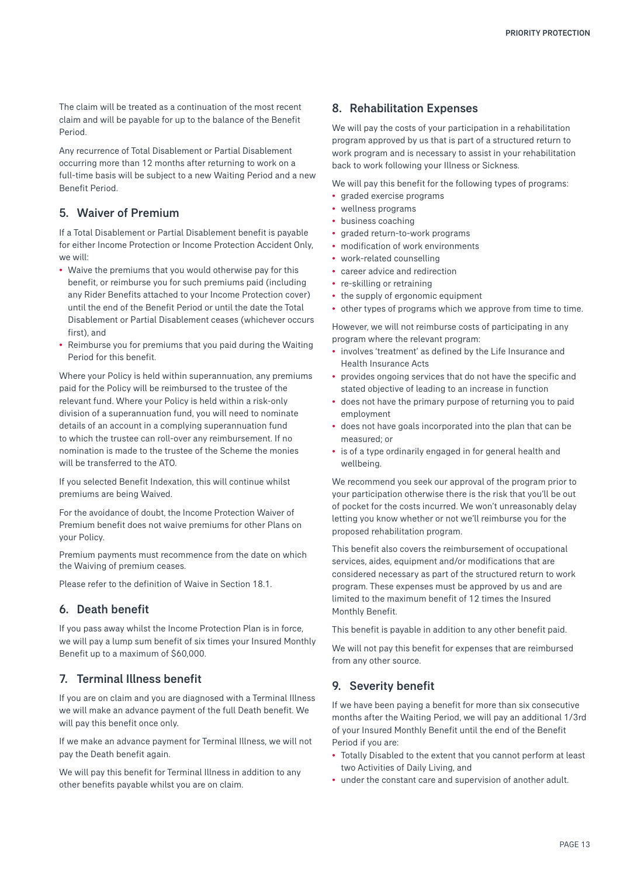The claim will be treated as a continuation of the most recent claim and will be payable for up to the balance of the Benefit Period.

Any recurrence of Total Disablement or Partial Disablement occurring more than 12 months after returning to work on a full-time basis will be subject to a new Waiting Period and a new Benefit Period.

## 5. Waiver of Premium

If a Total Disablement or Partial Disablement benefit is payable for either Income Protection or Income Protection Accident Only, we will:

- Waive the premiums that you would otherwise pay for this benefit, or reimburse you for such premiums paid (including any Rider Benefits attached to your Income Protection cover) until the end of the Benefit Period or until the date the Total Disablement or Partial Disablement ceases (whichever occurs first), and
- Reimburse you for premiums that you paid during the Waiting Period for this benefit.

Where your Policy is held within superannuation, any premiums paid for the Policy will be reimbursed to the trustee of the relevant fund. Where your Policy is held within a risk-only division of a superannuation fund, you will need to nominate details of an account in a complying superannuation fund to which the trustee can roll-over any reimbursement. If no nomination is made to the trustee of the Scheme the monies will be transferred to the ATO.

If you selected Benefit Indexation, this will continue whilst premiums are being Waived.

For the avoidance of doubt, the Income Protection Waiver of Premium benefit does not waive premiums for other Plans on your Policy.

Premium payments must recommence from the date on which the Waiving of premium ceases.

Please refer to the definition of Waive in Section 18.1.

## 6. Death benefit

If you pass away whilst the Income Protection Plan is in force, we will pay a lump sum benefit of six times your Insured Monthly Benefit up to a maximum of \$60,000.

## 7. Terminal Illness benefit

If you are on claim and you are diagnosed with a Terminal Illness we will make an advance payment of the full Death benefit. We will pay this benefit once only.

If we make an advance payment for Terminal Illness, we will not pay the Death benefit again.

We will pay this benefit for Terminal Illness in addition to any other benefits payable whilst you are on claim.

## 8. Rehabilitation Expenses

We will pay the costs of your participation in a rehabilitation program approved by us that is part of a structured return to work program and is necessary to assist in your rehabilitation back to work following your Illness or Sickness.

We will pay this benefit for the following types of programs:

- graded exercise programs
- wellness programs
- business coaching
- graded return-to-work programs
- modification of work environments
- work-related counselling
- career advice and redirection
- re-skilling or retraining
- the supply of ergonomic equipment
- other types of programs which we approve from time to time.

However, we will not reimburse costs of participating in any program where the relevant program:

- involves 'treatment' as defined by the Life Insurance and Health Insurance Acts
- provides ongoing services that do not have the specific and stated objective of leading to an increase in function
- does not have the primary purpose of returning you to paid employment
- does not have goals incorporated into the plan that can be measured; or
- is of a type ordinarily engaged in for general health and wellbeing.

We recommend you seek our approval of the program prior to your participation otherwise there is the risk that you'll be out of pocket for the costs incurred. We won't unreasonably delay letting you know whether or not we'll reimburse you for the proposed rehabilitation program.

This benefit also covers the reimbursement of occupational services, aides, equipment and/or modifications that are considered necessary as part of the structured return to work program. These expenses must be approved by us and are limited to the maximum benefit of 12 times the Insured Monthly Benefit.

This benefit is payable in addition to any other benefit paid.

We will not pay this benefit for expenses that are reimbursed from any other source.

## 9. Severity benefit

If we have been paying a benefit for more than six consecutive months after the Waiting Period, we will pay an additional 1/3rd of your Insured Monthly Benefit until the end of the Benefit Period if you are:

- Totally Disabled to the extent that you cannot perform at least two Activities of Daily Living, and
- under the constant care and supervision of another adult.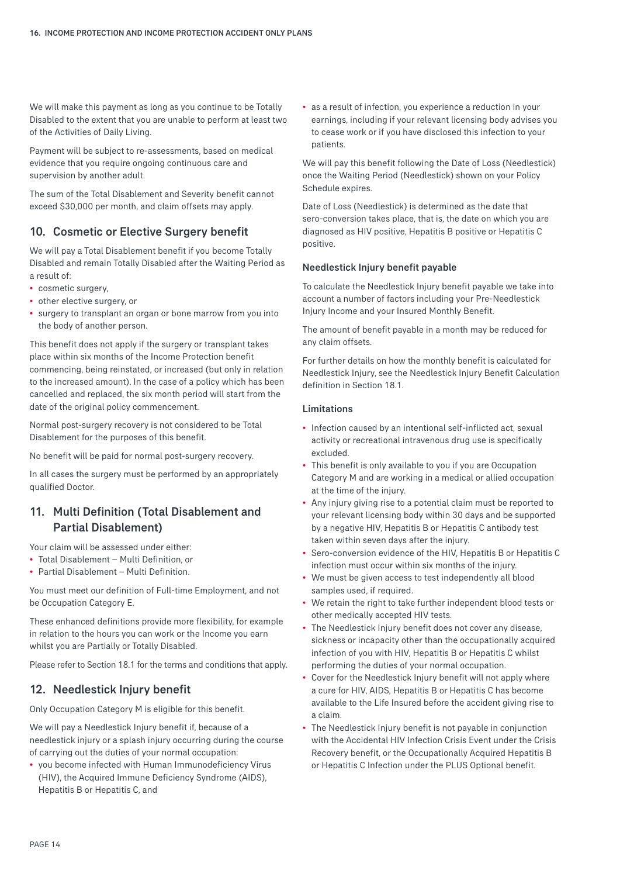We will make this payment as long as you continue to be Totally Disabled to the extent that you are unable to perform at least two of the Activities of Daily Living.

Payment will be subject to re-assessments, based on medical evidence that you require ongoing continuous care and supervision by another adult.

The sum of the Total Disablement and Severity benefit cannot exceed \$30,000 per month, and claim offsets may apply.

## 10. Cosmetic or Elective Surgery benefit

We will pay a Total Disablement benefit if you become Totally Disabled and remain Totally Disabled after the Waiting Period as a result of:

- cosmetic surgery,
- other elective surgery, or
- surgery to transplant an organ or bone marrow from you into the body of another person.

This benefit does not apply if the surgery or transplant takes place within six months of the Income Protection benefit commencing, being reinstated, or increased (but only in relation to the increased amount). In the case of a policy which has been cancelled and replaced, the six month period will start from the date of the original policy commencement.

Normal post-surgery recovery is not considered to be Total Disablement for the purposes of this benefit.

No benefit will be paid for normal post-surgery recovery.

In all cases the surgery must be performed by an appropriately qualified Doctor.

## 11. Multi Definition (Total Disablement and Partial Disablement)

Your claim will be assessed under either:

- Total Disablement Multi Definition, or
- Partial Disablement Multi Definition.

You must meet our definition of Full-time Employment, and not be Occupation Category E.

These enhanced definitions provide more flexibility, for example in relation to the hours you can work or the Income you earn whilst you are Partially or Totally Disabled.

Please refer to Section 18.1 for the terms and conditions that apply.

## 12. Needlestick Injury benefit

Only Occupation Category M is eligible for this benefit.

We will pay a Needlestick Injury benefit if, because of a needlestick injury or a splash injury occurring during the course of carrying out the duties of your normal occupation:

• you become infected with Human Immunodeficiency Virus (HIV), the Acquired Immune Deficiency Syndrome (AIDS), Hepatitis B or Hepatitis C, and

• as a result of infection, you experience a reduction in your earnings, including if your relevant licensing body advises you to cease work or if you have disclosed this infection to your patients.

We will pay this benefit following the Date of Loss (Needlestick) once the Waiting Period (Needlestick) shown on your Policy Schedule expires.

Date of Loss (Needlestick) is determined as the date that sero-conversion takes place, that is, the date on which you are diagnosed as HIV positive, Hepatitis B positive or Hepatitis C positive.

#### Needlestick Injury benefit payable

To calculate the Needlestick Injury benefit payable we take into account a number of factors including your Pre-Needlestick Injury Income and your Insured Monthly Benefit.

The amount of benefit payable in a month may be reduced for any claim offsets.

For further details on how the monthly benefit is calculated for Needlestick Injury, see the Needlestick Injury Benefit Calculation definition in Section 18.1.

#### Limitations

- Infection caused by an intentional self-inflicted act, sexual activity or recreational intravenous drug use is specifically excluded.
- This benefit is only available to you if you are Occupation Category M and are working in a medical or allied occupation at the time of the injury.
- Any injury giving rise to a potential claim must be reported to your relevant licensing body within 30 days and be supported by a negative HIV, Hepatitis B or Hepatitis C antibody test taken within seven days after the injury.
- Sero-conversion evidence of the HIV, Hepatitis B or Hepatitis C infection must occur within six months of the injury.
- We must be given access to test independently all blood samples used, if required.
- We retain the right to take further independent blood tests or other medically accepted HIV tests.
- The Needlestick Injury benefit does not cover any disease, sickness or incapacity other than the occupationally acquired infection of you with HIV, Hepatitis B or Hepatitis C whilst performing the duties of your normal occupation.
- Cover for the Needlestick Injury benefit will not apply where a cure for HIV, AIDS, Hepatitis B or Hepatitis C has become available to the Life Insured before the accident giving rise to a claim.
- The Needlestick Injury benefit is not payable in conjunction with the Accidental HIV Infection Crisis Event under the Crisis Recovery benefit, or the Occupationally Acquired Hepatitis B or Hepatitis C Infection under the PLUS Optional benefit.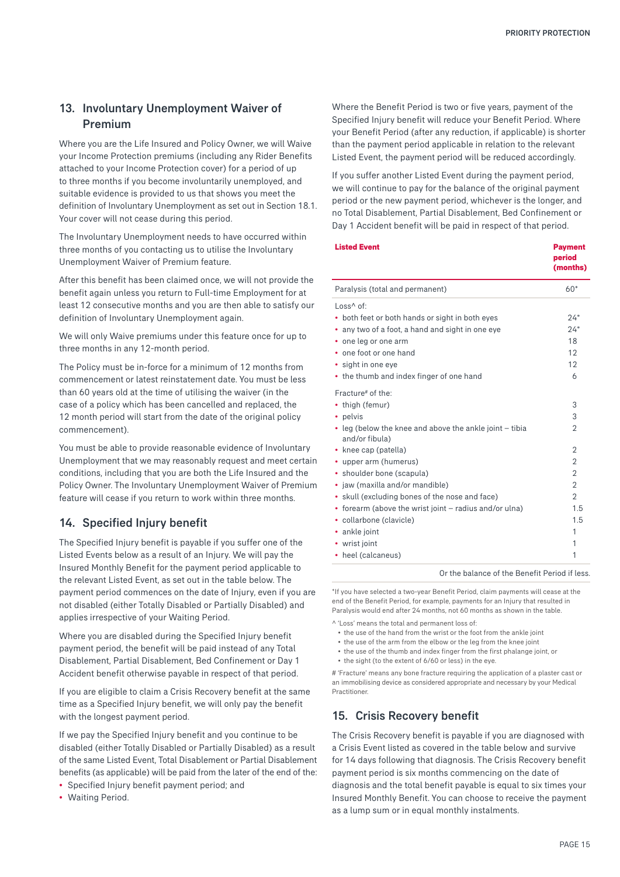## 13. Involuntary Unemployment Waiver of Premium

Where you are the Life Insured and Policy Owner, we will Waive your Income Protection premiums (including any Rider Benefits attached to your Income Protection cover) for a period of up to three months if you become involuntarily unemployed, and suitable evidence is provided to us that shows you meet the definition of Involuntary Unemployment as set out in Section 18.1. Your cover will not cease during this period.

The Involuntary Unemployment needs to have occurred within three months of you contacting us to utilise the Involuntary Unemployment Waiver of Premium feature.

After this benefit has been claimed once, we will not provide the benefit again unless you return to Full-time Employment for at least 12 consecutive months and you are then able to satisfy our definition of Involuntary Unemployment again.

We will only Waive premiums under this feature once for up to three months in any 12-month period.

The Policy must be in-force for a minimum of 12 months from commencement or latest reinstatement date. You must be less than 60 years old at the time of utilising the waiver (in the case of a policy which has been cancelled and replaced, the 12 month period will start from the date of the original policy commencement).

You must be able to provide reasonable evidence of Involuntary Unemployment that we may reasonably request and meet certain conditions, including that you are both the Life Insured and the Policy Owner. The Involuntary Unemployment Waiver of Premium feature will cease if you return to work within three months.

## 14. Specified Injury benefit

The Specified Injury benefit is payable if you suffer one of the Listed Events below as a result of an Injury. We will pay the Insured Monthly Benefit for the payment period applicable to the relevant Listed Event, as set out in the table below. The payment period commences on the date of Injury, even if you are not disabled (either Totally Disabled or Partially Disabled) and applies irrespective of your Waiting Period.

Where you are disabled during the Specified Injury benefit payment period, the benefit will be paid instead of any Total Disablement, Partial Disablement, Bed Confinement or Day 1 Accident benefit otherwise payable in respect of that period.

If you are eligible to claim a Crisis Recovery benefit at the same time as a Specified Injury benefit, we will only pay the benefit with the longest payment period.

If we pay the Specified Injury benefit and you continue to be disabled (either Totally Disabled or Partially Disabled) as a result of the same Listed Event, Total Disablement or Partial Disablement benefits (as applicable) will be paid from the later of the end of the:

- Specified Injury benefit payment period; and
- Waiting Period.

Where the Benefit Period is two or five years, payment of the Specified Injury benefit will reduce your Benefit Period. Where your Benefit Period (after any reduction, if applicable) is shorter than the payment period applicable in relation to the relevant Listed Event, the payment period will be reduced accordingly.

If you suffer another Listed Event during the payment period, we will continue to pay for the balance of the original payment period or the new payment period, whichever is the longer, and no Total Disablement, Partial Disablement, Bed Confinement or Day 1 Accident benefit will be paid in respect of that period.

| <b>Listed Event</b>                                                                 | <b>Payment</b><br>period<br>(months) |
|-------------------------------------------------------------------------------------|--------------------------------------|
| Paralysis (total and permanent)                                                     | $60*$                                |
| $Loss^ of:$                                                                         |                                      |
| both feet or both hands or sight in both eyes                                       | $24*$                                |
| any two of a foot, a hand and sight in one eye                                      | $24*$                                |
| one leg or one arm                                                                  | 18                                   |
| one foot or one hand                                                                | 12                                   |
| • sight in one eye                                                                  | 12                                   |
| • the thumb and index finger of one hand                                            | 6                                    |
| Fracture# of the:                                                                   |                                      |
| thigh (femur)                                                                       | 3                                    |
| • pelvis                                                                            | 3                                    |
| $\bullet$ leg (below the knee and above the ankle joint $-$ tibia<br>and/or fibula) | $\overline{2}$                       |
| • knee cap (patella)                                                                | 2                                    |
| • upper arm (humerus)                                                               | $\overline{2}$                       |
| • shoulder bone (scapula)                                                           | $\overline{2}$                       |
| jaw (maxilla and/or mandible)<br>٠                                                  | $\overline{2}$                       |
| skull (excluding bones of the nose and face)                                        | $\overline{2}$                       |
| forearm (above the wrist joint – radius and/or ulna)                                | 1.5                                  |
| collarbone (clavicle)                                                               | 1.5                                  |
| • ankle joint                                                                       | 1                                    |
| • wrist joint                                                                       | 1                                    |
| • heel (calcaneus)                                                                  | 1                                    |

Or the balance of the Benefit Period if less.

\*If you have selected a two-year Benefit Period, claim payments will cease at the end of the Benefit Period, for example, payments for an Injury that resulted in Paralysis would end after 24 months, not 60 months as shown in the table.

^ 'Loss' means the total and permanent loss of:

- the use of the hand from the wrist or the foot from the ankle joint
- the use of the arm from the elbow or the leg from the knee joint
- the use of the thumb and index finger from the first phalange joint, or • the sight (to the extent of 6/60 or less) in the eye.
- 

# 'Fracture' means any bone fracture requiring the application of a plaster cast or an immobilising device as considered appropriate and necessary by your Medical Practitioner.

## 15. Crisis Recovery benefit

The Crisis Recovery benefit is payable if you are diagnosed with a Crisis Event listed as covered in the table below and survive for 14 days following that diagnosis. The Crisis Recovery benefit payment period is six months commencing on the date of diagnosis and the total benefit payable is equal to six times your Insured Monthly Benefit. You can choose to receive the payment as a lump sum or in equal monthly instalments.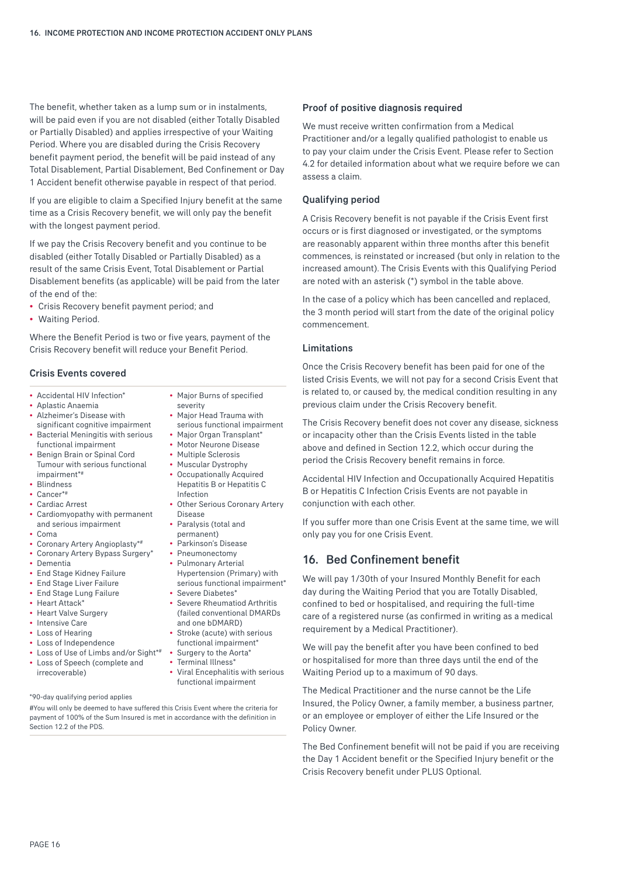The benefit, whether taken as a lump sum or in instalments, will be paid even if you are not disabled (either Totally Disabled or Partially Disabled) and applies irrespective of your Waiting Period. Where you are disabled during the Crisis Recovery benefit payment period, the benefit will be paid instead of any Total Disablement, Partial Disablement, Bed Confinement or Day 1 Accident benefit otherwise payable in respect of that period.

If you are eligible to claim a Specified Injury benefit at the same time as a Crisis Recovery benefit, we will only pay the benefit with the longest payment period.

If we pay the Crisis Recovery benefit and you continue to be disabled (either Totally Disabled or Partially Disabled) as a result of the same Crisis Event, Total Disablement or Partial Disablement benefits (as applicable) will be paid from the later of the end of the:

- Crisis Recovery benefit payment period; and
- Waiting Period.

Where the Benefit Period is two or five years, payment of the Crisis Recovery benefit will reduce your Benefit Period.

## Crisis Events covered

- Accidental HIV Infection\*
- Aplastic Anaemia
- Alzheimer's Disease with significant cognitive impairment • Bacterial Meningitis with serious
- functional impairment
- Benign Brain or Spinal Cord Tumour with serious functional impairment\*
- Blindness
- Cancer\*#
- Cardiac Arrest
- Cardiomyopathy with permanent and serious impairment
- Coma
- Coronary Artery Angioplasty\*# • Coronary Artery Bypass Surgery\*
- Dementia
- 
- End Stage Kidney Failure
- End Stage Liver Failure
- End Stage Lung Failure • Heart Attack\*
- 
- Heart Valve Surgery • Intensive Care
- Loss of Hearing
- Loss of Independence
- Loss of Use of Limbs and/or Sight\*#
- Loss of Speech (complete and irrecoverable)

#### \*90-day qualifying period applies

#You will only be deemed to have suffered this Crisis Event where the criteria for payment of 100% of the Sum Insured is met in accordance with the definition in Section 12.2 of the PDS.

- Major Burns of specified severity
- Major Head Trauma with serious functional impairment
- Major Organ Transplant\* • Motor Neurone Disease
- Multiple Sclerosis
- Muscular Dystrophy
- Occupationally Acquired Hepatitis B or Hepatitis C Infection
- **Other Serious Coronary Artery** Disease
- Paralysis (total and permanent)
- Parkinson's Disease • Pneumonectomy
- Pulmonary Arterial
	- Hypertension (Primary) with serious functional impairment\*
- Severe Diabetes\* Severe Rheumatiod Arthritis
- (failed conventional DMARDs and one bDMARD) • Stroke (acute) with serious
- functional impairment\* Surgery to the Aorta\*
- Terminal Illness\*
- Viral Encephalitis with serious functional impairment

#### Proof of positive diagnosis required

We must receive written confirmation from a Medical Practitioner and/or a legally qualified pathologist to enable us to pay your claim under the Crisis Event. Please refer to Section 4.2 for detailed information about what we require before we can assess a claim.

## Qualifying period

A Crisis Recovery benefit is not payable if the Crisis Event first occurs or is first diagnosed or investigated, or the symptoms are reasonably apparent within three months after this benefit commences, is reinstated or increased (but only in relation to the increased amount). The Crisis Events with this Qualifying Period are noted with an asterisk (\*) symbol in the table above.

In the case of a policy which has been cancelled and replaced, the 3 month period will start from the date of the original policy commencement.

## Limitations

Once the Crisis Recovery benefit has been paid for one of the listed Crisis Events, we will not pay for a second Crisis Event that is related to, or caused by, the medical condition resulting in any previous claim under the Crisis Recovery benefit.

The Crisis Recovery benefit does not cover any disease, sickness or incapacity other than the Crisis Events listed in the table above and defined in Section 12.2, which occur during the period the Crisis Recovery benefit remains in force.

Accidental HIV Infection and Occupationally Acquired Hepatitis B or Hepatitis C Infection Crisis Events are not payable in conjunction with each other.

If you suffer more than one Crisis Event at the same time, we will only pay you for one Crisis Event.

## 16. Bed Confinement benefit

We will pay 1/30th of your Insured Monthly Benefit for each day during the Waiting Period that you are Totally Disabled, confined to bed or hospitalised, and requiring the full-time care of a registered nurse (as confirmed in writing as a medical requirement by a Medical Practitioner).

We will pay the benefit after you have been confined to bed or hospitalised for more than three days until the end of the Waiting Period up to a maximum of 90 days.

The Medical Practitioner and the nurse cannot be the Life Insured, the Policy Owner, a family member, a business partner, or an employee or employer of either the Life Insured or the Policy Owner.

The Bed Confinement benefit will not be paid if you are receiving the Day 1 Accident benefit or the Specified Injury benefit or the Crisis Recovery benefit under PLUS Optional.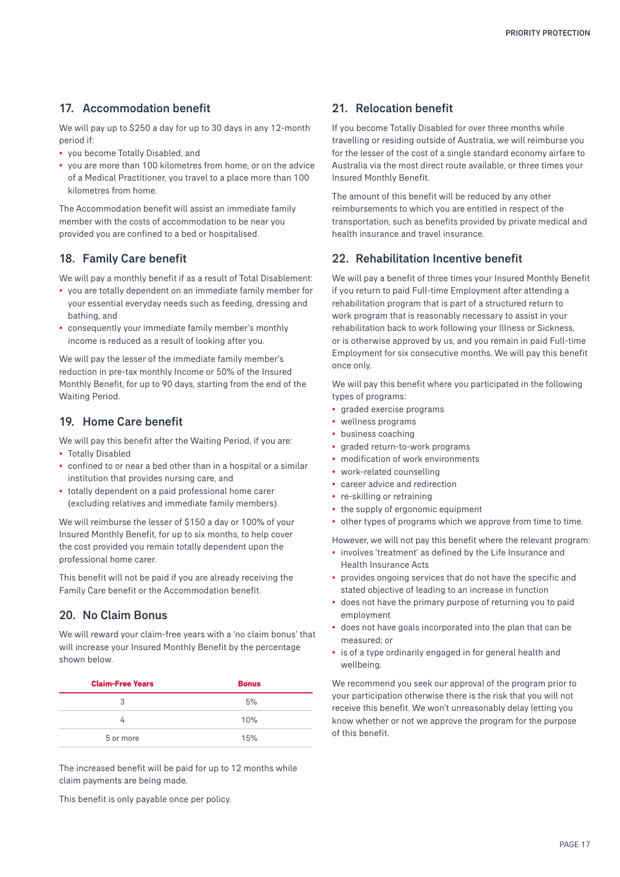## 17. Accommodation benefit

We will pay up to \$250 a day for up to 30 days in any 12-month period if:

- you become Totally Disabled, and
- you are more than 100 kilometres from home, or on the advice of a Medical Practitioner, you travel to a place more than 100 kilometres from home.

The Accommodation benefit will assist an immediate family member with the costs of accommodation to be near you provided you are confined to a bed or hospitalised.

## 18. Family Care benefit

We will pay a monthly benefit if as a result of Total Disablement:

- you are totally dependent on an immediate family member for your essential everyday needs such as feeding, dressing and bathing, and
- consequently your immediate family member's monthly income is reduced as a result of looking after you.

We will pay the lesser of the immediate family member's reduction in pre-tax monthly Income or 50% of the Insured Monthly Benefit, for up to 90 days, starting from the end of the Waiting Period.

## 19. Home Care benefit

We will pay this benefit after the Waiting Period, if you are:

- Totally Disabled
- confined to or near a bed other than in a hospital or a similar institution that provides nursing care, and
- totally dependent on a paid professional home carer (excluding relatives and immediate family members).

We will reimburse the lesser of \$150 a day or 100% of your Insured Monthly Benefit, for up to six months, to help cover the cost provided you remain totally dependent upon the professional home carer.

This benefit will not be paid if you are already receiving the Family Care benefit or the Accommodation benefit.

## 20. No Claim Bonus

We will reward your claim-free years with a 'no claim bonus' that will increase your Insured Monthly Benefit by the percentage shown below.

| <b>Claim-Free Years</b> | <b>Bonus</b> |
|-------------------------|--------------|
| 3                       | 5%           |
|                         | 10%          |
| 5 or more               | 15%          |

The increased benefit will be paid for up to 12 months while claim payments are being made.

This benefit is only payable once per policy.

## 21. Relocation benefit

If you become Totally Disabled for over three months while travelling or residing outside of Australia, we will reimburse you for the lesser of the cost of a single standard economy airfare to Australia via the most direct route available, or three times your Insured Monthly Benefit.

The amount of this benefit will be reduced by any other reimbursements to which you are entitled in respect of the transportation, such as benefits provided by private medical and health insurance and travel insurance.

## 22. Rehabilitation Incentive benefit

We will pay a benefit of three times your Insured Monthly Benefit if you return to paid Full-time Employment after attending a rehabilitation program that is part of a structured return to work program that is reasonably necessary to assist in your rehabilitation back to work following your Illness or Sickness, or is otherwise approved by us, and you remain in paid Full-time Employment for six consecutive months. We will pay this benefit once only.

We will pay this benefit where you participated in the following types of programs:

- graded exercise programs
- wellness programs
- business coaching
- graded return-to-work programs
- modification of work environments
- work-related counselling
- career advice and redirection
- re-skilling or retraining
- the supply of ergonomic equipment
- other types of programs which we approve from time to time.

However, we will not pay this benefit where the relevant program:

- involves 'treatment' as defined by the Life Insurance and Health Insurance Acts
- provides ongoing services that do not have the specific and stated objective of leading to an increase in function
- does not have the primary purpose of returning you to paid employment
- does not have goals incorporated into the plan that can be measured; or
- is of a type ordinarily engaged in for general health and wellbeing.

We recommend you seek our approval of the program prior to your participation otherwise there is the risk that you will not receive this benefit. We won't unreasonably delay letting you know whether or not we approve the program for the purpose of this benefit.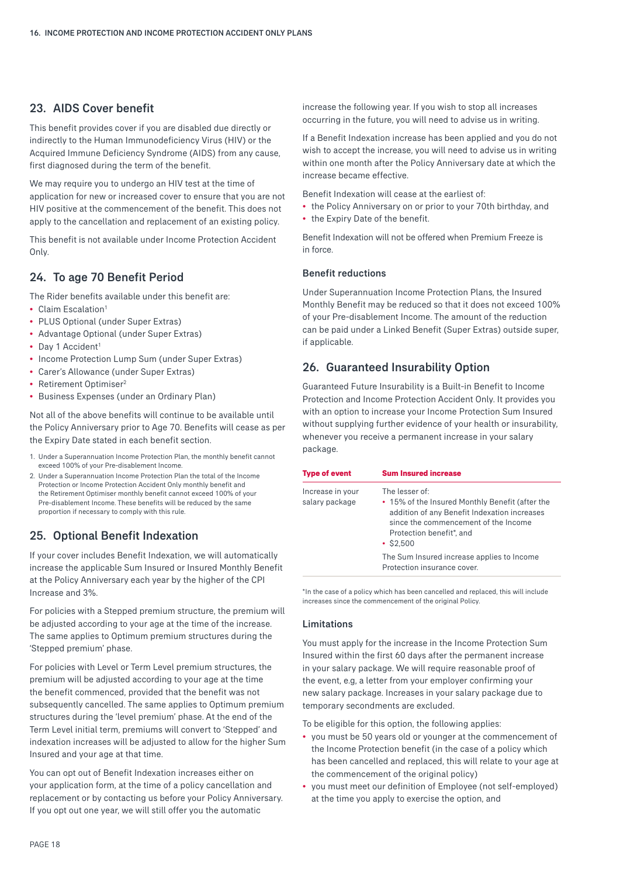## 23. AIDS Cover benefit

This benefit provides cover if you are disabled due directly or indirectly to the Human Immunodeficiency Virus (HIV) or the Acquired Immune Deficiency Syndrome (AIDS) from any cause, first diagnosed during the term of the benefit.

We may require you to undergo an HIV test at the time of application for new or increased cover to ensure that you are not HIV positive at the commencement of the benefit. This does not apply to the cancellation and replacement of an existing policy.

This benefit is not available under Income Protection Accident Only.

## 24. To age 70 Benefit Period

The Rider benefits available under this benefit are:

- Claim Escalation<sup>1</sup>
- PLUS Optional (under Super Extras)
- Advantage Optional (under Super Extras)
- Day 1 Accident<sup>1</sup>
- Income Protection Lump Sum (under Super Extras)
- Carer's Allowance (under Super Extras)
- Retirement Optimiser<sup>2</sup>
- Business Expenses (under an Ordinary Plan)

Not all of the above benefits will continue to be available until the Policy Anniversary prior to Age 70. Benefits will cease as per the Expiry Date stated in each benefit section.

- 1. Under a Superannuation Income Protection Plan, the monthly benefit cannot exceed 100% of your Pre-disablement Income.
- 2. Under a Superannuation Income Protection Plan the total of the Income Protection or Income Protection Accident Only monthly benefit and the Retirement Optimiser monthly benefit cannot exceed 100% of your Pre-disablement Income. These benefits will be reduced by the same proportion if necessary to comply with this rule.

## 25. Optional Benefit Indexation

If your cover includes Benefit Indexation, we will automatically increase the applicable Sum Insured or Insured Monthly Benefit at the Policy Anniversary each year by the higher of the CPI Increase and 3%.

For policies with a Stepped premium structure, the premium will be adjusted according to your age at the time of the increase. The same applies to Optimum premium structures during the 'Stepped premium' phase.

For policies with Level or Term Level premium structures, the premium will be adjusted according to your age at the time the benefit commenced, provided that the benefit was not subsequently cancelled. The same applies to Optimum premium structures during the 'level premium' phase. At the end of the Term Level initial term, premiums will convert to 'Stepped' and indexation increases will be adjusted to allow for the higher Sum Insured and your age at that time.

You can opt out of Benefit Indexation increases either on your application form, at the time of a policy cancellation and replacement or by contacting us before your Policy Anniversary. If you opt out one year, we will still offer you the automatic

increase the following year. If you wish to stop all increases occurring in the future, you will need to advise us in writing.

If a Benefit Indexation increase has been applied and you do not wish to accept the increase, you will need to advise us in writing within one month after the Policy Anniversary date at which the increase became effective.

Benefit Indexation will cease at the earliest of:

- the Policy Anniversary on or prior to your 70th birthday, and
- the Expiry Date of the benefit.

Benefit Indexation will not be offered when Premium Freeze is in force.

#### Benefit reductions

Under Superannuation Income Protection Plans, the Insured Monthly Benefit may be reduced so that it does not exceed 100% of your Pre-disablement Income. The amount of the reduction can be paid under a Linked Benefit (Super Extras) outside super, if applicable.

## 26. Guaranteed Insurability Option

Guaranteed Future Insurability is a Built-in Benefit to Income Protection and Income Protection Accident Only. It provides you with an option to increase your Income Protection Sum Insured without supplying further evidence of your health or insurability, whenever you receive a permanent increase in your salary package.

| <b>Type of event</b>               | <b>Sum Insured increase</b>                                                                                                                                                                                                                            |  |  |  |  |
|------------------------------------|--------------------------------------------------------------------------------------------------------------------------------------------------------------------------------------------------------------------------------------------------------|--|--|--|--|
| Increase in your<br>salary package | The lesser of:<br>• 15% of the Insured Monthly Benefit (after the<br>addition of any Benefit Indexation increases<br>since the commencement of the Income<br>Protection benefit*, and<br>$\cdot$ \$2.500<br>The Sum Insured increase applies to Income |  |  |  |  |
|                                    | Protection insurance cover.                                                                                                                                                                                                                            |  |  |  |  |

\*In the case of a policy which has been cancelled and replaced, this will include increases since the commencement of the original Policy.

#### Limitations

You must apply for the increase in the Income Protection Sum Insured within the first 60 days after the permanent increase in your salary package. We will require reasonable proof of the event, e.g, a letter from your employer confirming your new salary package. Increases in your salary package due to temporary secondments are excluded.

To be eligible for this option, the following applies:

- you must be 50 years old or younger at the commencement of the Income Protection benefit (in the case of a policy which has been cancelled and replaced, this will relate to your age at the commencement of the original policy)
- you must meet our definition of Employee (not self-employed) at the time you apply to exercise the option, and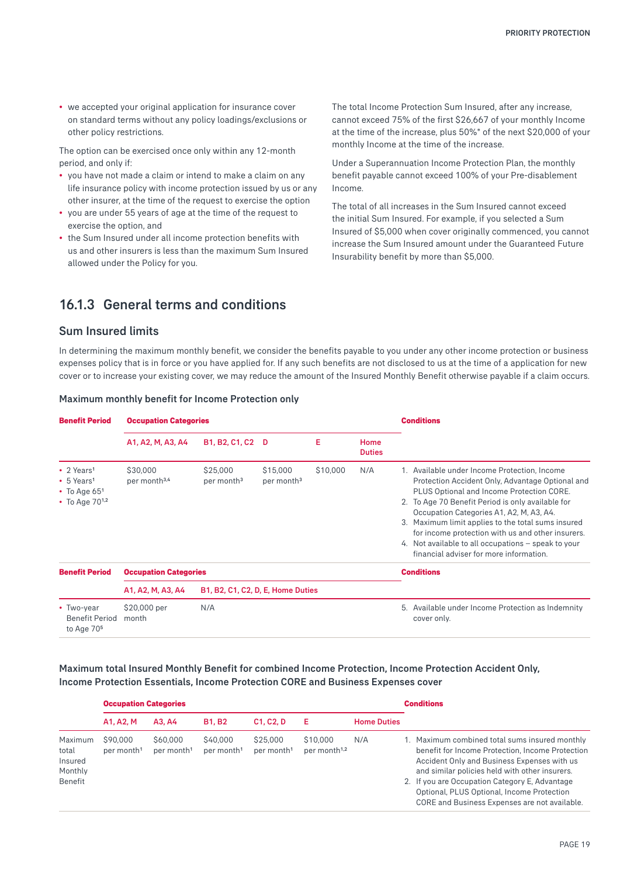• we accepted your original application for insurance cover on standard terms without any policy loadings/exclusions or other policy restrictions.

The option can be exercised once only within any 12-month period, and only if:

- you have not made a claim or intend to make a claim on any life insurance policy with income protection issued by us or any other insurer, at the time of the request to exercise the option
- you are under 55 years of age at the time of the request to exercise the option, and
- the Sum Insured under all income protection benefits with us and other insurers is less than the maximum Sum Insured allowed under the Policy for you.

The total Income Protection Sum Insured, after any increase, cannot exceed 75% of the first \$26,667 of your monthly Income at the time of the increase, plus 50%\* of the next \$20,000 of your monthly Income at the time of the increase.

Under a Superannuation Income Protection Plan, the monthly benefit payable cannot exceed 100% of your Pre-disablement Income.

The total of all increases in the Sum Insured cannot exceed the initial Sum Insured. For example, if you selected a Sum Insured of \$5,000 when cover originally commenced, you cannot increase the Sum Insured amount under the Guaranteed Future Insurability benefit by more than \$5,000.

## 16.1.3 General terms and conditions

## Sum Insured limits

In determining the maximum monthly benefit, we consider the benefits payable to you under any other income protection or business expenses policy that is in force or you have applied for. If any such benefits are not disclosed to us at the time of a application for new cover or to increase your existing cover, we may reduce the amount of the Insured Monthly Benefit otherwise payable if a claim occurs.

| <b>Benefit Period</b>                                                                                                 | <b>Occupation Categories</b>         |                                    |                                    | <b>Conditions</b> |                       |                                                                                                                                                                                                                                                                                                                                                                                                                                                             |
|-----------------------------------------------------------------------------------------------------------------------|--------------------------------------|------------------------------------|------------------------------------|-------------------|-----------------------|-------------------------------------------------------------------------------------------------------------------------------------------------------------------------------------------------------------------------------------------------------------------------------------------------------------------------------------------------------------------------------------------------------------------------------------------------------------|
|                                                                                                                       | A1, A2, M, A3, A4                    | B1, B2, C1, C2 D                   |                                    | Е                 | Home<br><b>Duties</b> |                                                                                                                                                                                                                                                                                                                                                                                                                                                             |
| $\cdot$ 2 Years <sup>1</sup><br>$\cdot$ 5 Years <sup>1</sup><br>$\cdot$ To Age 65 <sup>1</sup><br>• To Age $70^{1,2}$ | \$30,000<br>per month <sup>3,4</sup> | \$25,000<br>per month <sup>3</sup> | \$15,000<br>per month <sup>3</sup> | \$10,000          | N/A                   | 1. Available under Income Protection, Income<br>Protection Accident Only, Advantage Optional and<br>PLUS Optional and Income Protection CORE.<br>2. To Age 70 Benefit Period is only available for<br>Occupation Categories A1, A2, M, A3, A4.<br>3. Maximum limit applies to the total sums insured<br>for income protection with us and other insurers.<br>4. Not available to all occupations - speak to your<br>financial adviser for more information. |
| <b>Benefit Period</b>                                                                                                 | <b>Occupation Categories</b>         |                                    |                                    |                   |                       | <b>Conditions</b>                                                                                                                                                                                                                                                                                                                                                                                                                                           |
|                                                                                                                       | A1, A2, M, A3, A4                    | B1, B2, C1, C2, D, E, Home Duties  |                                    |                   |                       |                                                                                                                                                                                                                                                                                                                                                                                                                                                             |
| • Two-year<br><b>Benefit Period</b><br>to Age $705$                                                                   | \$20,000 per<br>month                | N/A                                |                                    |                   |                       | Available under Income Protection as Indemnity<br>5.<br>cover only.                                                                                                                                                                                                                                                                                                                                                                                         |

#### Maximum monthly benefit for Income Protection only

Maximum total Insured Monthly Benefit for combined Income Protection, Income Protection Accident Only, Income Protection Essentials, Income Protection CORE and Business Expenses cover

|                                                          | <b>Occupation Categories</b>       |                                    |                                    | <b>Conditions</b>                  |                                      |                    |                                                                                                                                                                                                                                                                                                                                                   |
|----------------------------------------------------------|------------------------------------|------------------------------------|------------------------------------|------------------------------------|--------------------------------------|--------------------|---------------------------------------------------------------------------------------------------------------------------------------------------------------------------------------------------------------------------------------------------------------------------------------------------------------------------------------------------|
|                                                          | A1. A2. M                          | A3. A4                             | <b>B1.B2</b>                       | C1. C2. D                          | Е                                    | <b>Home Duties</b> |                                                                                                                                                                                                                                                                                                                                                   |
| Maximum<br>total<br>Insured<br>Monthly<br><b>Benefit</b> | \$90,000<br>per month <sup>1</sup> | \$60,000<br>per month <sup>1</sup> | \$40,000<br>per month <sup>1</sup> | \$25,000<br>per month <sup>1</sup> | \$10,000<br>per month <sup>1,2</sup> | N/A                | Maximum combined total sums insured monthly<br>benefit for Income Protection, Income Protection<br>Accident Only and Business Expenses with us<br>and similar policies held with other insurers.<br>2. If you are Occupation Category E, Advantage<br>Optional, PLUS Optional, Income Protection<br>CORE and Business Expenses are not available. |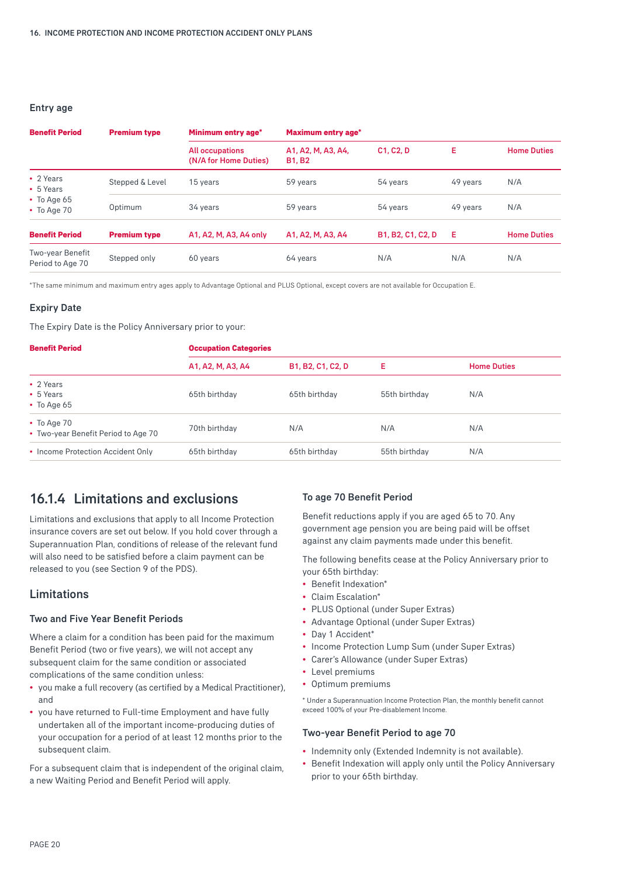#### Entry age

| <b>Benefit Period</b>                  | <b>Premium type</b> | Minimum entry age*                              | <b>Maximum entry age*</b>           |                   |          |                    |
|----------------------------------------|---------------------|-------------------------------------------------|-------------------------------------|-------------------|----------|--------------------|
|                                        |                     | <b>All occupations</b><br>(N/A for Home Duties) | A1, A2, M, A3, A4,<br><b>B1, B2</b> | C1, C2, D         | Е.       | <b>Home Duties</b> |
| $\cdot$ 2 Years<br>$\cdot$ 5 Years     | Stepped & Level     | 15 years                                        | 59 years                            | 54 years          | 49 years | N/A                |
| $\cdot$ To Age 65<br>$\cdot$ To Age 70 | Optimum             | 34 years                                        | 59 years                            | 54 years          | 49 years | N/A                |
| <b>Benefit Period</b>                  | <b>Premium type</b> | A1, A2, M, A3, A4 only                          | A1, A2, M, A3, A4                   | B1, B2, C1, C2, D | Е        | <b>Home Duties</b> |
| Two-year Benefit<br>Period to Age 70   | Stepped only        | 60 years                                        | 64 years                            | N/A               | N/A      | N/A                |

\*The same minimum and maximum entry ages apply to Advantage Optional and PLUS Optional, except covers are not available for Occupation E.

#### Expiry Date

The Expiry Date is the Policy Anniversary prior to your:

| <b>Benefit Period</b>                                    | <b>Occupation Categories</b> |                   |               |                    |  |  |
|----------------------------------------------------------|------------------------------|-------------------|---------------|--------------------|--|--|
|                                                          | A1, A2, M, A3, A4            | B1, B2, C1, C2, D | Е             | <b>Home Duties</b> |  |  |
| $\cdot$ 2 Years<br>$\cdot$ 5 Years<br>$\cdot$ To Age 65  | 65th birthday                | 65th birthday     | 55th birthday | N/A                |  |  |
| $\cdot$ To Age 70<br>• Two-year Benefit Period to Age 70 | 70th birthday                | N/A               | N/A           | N/A                |  |  |
| • Income Protection Accident Only                        | 65th birthday                | 65th birthday     | 55th birthday | N/A                |  |  |

## 16.1.4 Limitations and exclusions

Limitations and exclusions that apply to all Income Protection insurance covers are set out below. If you hold cover through a Superannuation Plan, conditions of release of the relevant fund will also need to be satisfied before a claim payment can be released to you (see Section 9 of the PDS).

## Limitations

#### Two and Five Year Benefit Periods

Where a claim for a condition has been paid for the maximum Benefit Period (two or five years), we will not accept any subsequent claim for the same condition or associated complications of the same condition unless:

- you make a full recovery (as certified by a Medical Practitioner), and
- you have returned to Full-time Employment and have fully undertaken all of the important income-producing duties of your occupation for a period of at least 12 months prior to the subsequent claim.

For a subsequent claim that is independent of the original claim, a new Waiting Period and Benefit Period will apply.

#### To age 70 Benefit Period

Benefit reductions apply if you are aged 65 to 70. Any government age pension you are being paid will be offset against any claim payments made under this benefit.

The following benefits cease at the Policy Anniversary prior to your 65th birthday:

- Benefit Indexation\*
- Claim Escalation\*
- PLUS Optional (under Super Extras)
- Advantage Optional (under Super Extras)
- Day 1 Accident<sup>\*</sup>
- Income Protection Lump Sum (under Super Extras)
- Carer's Allowance (under Super Extras)
- Level premiums
- Optimum premiums

\* Under a Superannuation Income Protection Plan, the monthly benefit cannot exceed 100% of your Pre-disablement Income.

#### Two-year Benefit Period to age 70

- Indemnity only (Extended Indemnity is not available).
- Benefit Indexation will apply only until the Policy Anniversary prior to your 65th birthday.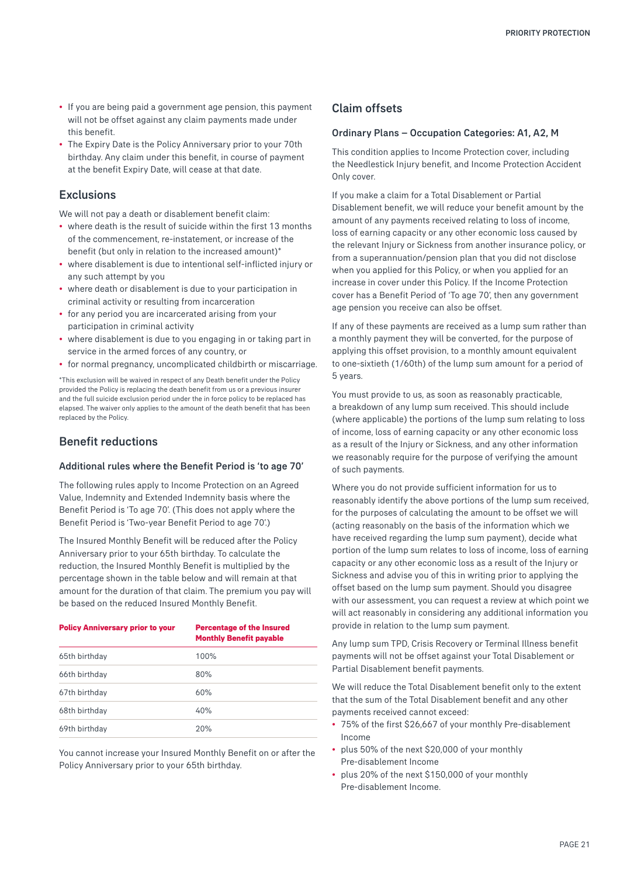- If you are being paid a government age pension, this payment will not be offset against any claim payments made under this benefit.
- The Expiry Date is the Policy Anniversary prior to your 70th birthday. Any claim under this benefit, in course of payment at the benefit Expiry Date, will cease at that date.

## **Exclusions**

We will not pay a death or disablement benefit claim:

- where death is the result of suicide within the first 13 months of the commencement, re-instatement, or increase of the benefit (but only in relation to the increased amount)\*
- where disablement is due to intentional self-inflicted injury or any such attempt by you
- where death or disablement is due to your participation in criminal activity or resulting from incarceration
- for any period you are incarcerated arising from your participation in criminal activity
- where disablement is due to you engaging in or taking part in service in the armed forces of any country, or
- for normal pregnancy, uncomplicated childbirth or miscarriage.

\*This exclusion will be waived in respect of any Death benefit under the Policy provided the Policy is replacing the death benefit from us or a previous insurer and the full suicide exclusion period under the in force policy to be replaced has elapsed. The waiver only applies to the amount of the death benefit that has been replaced by the Policy.

## Benefit reductions

#### Additional rules where the Benefit Period is 'to age 70'

The following rules apply to Income Protection on an Agreed Value, Indemnity and Extended Indemnity basis where the Benefit Period is 'To age 70'. (This does not apply where the Benefit Period is 'Two-year Benefit Period to age 70'.)

The Insured Monthly Benefit will be reduced after the Policy Anniversary prior to your 65th birthday. To calculate the reduction, the Insured Monthly Benefit is multiplied by the percentage shown in the table below and will remain at that amount for the duration of that claim. The premium you pay will be based on the reduced Insured Monthly Benefit.

| <b>Policy Anniversary prior to your</b> | <b>Percentage of the Insured</b><br><b>Monthly Benefit payable</b> |
|-----------------------------------------|--------------------------------------------------------------------|
| 65th birthday                           | 100%                                                               |
| 66th birthday                           | 80%                                                                |
| 67th birthday                           | 60%                                                                |
| 68th birthday                           | 40%                                                                |
| 69th birthday                           | 20%                                                                |

You cannot increase your Insured Monthly Benefit on or after the Policy Anniversary prior to your 65th birthday.

## Claim offsets

#### Ordinary Plans – Occupation Categories: A1, A2, M

This condition applies to Income Protection cover, including the Needlestick Injury benefit, and Income Protection Accident Only cover.

If you make a claim for a Total Disablement or Partial Disablement benefit, we will reduce your benefit amount by the amount of any payments received relating to loss of income, loss of earning capacity or any other economic loss caused by the relevant Injury or Sickness from another insurance policy, or from a superannuation/pension plan that you did not disclose when you applied for this Policy, or when you applied for an increase in cover under this Policy. If the Income Protection cover has a Benefit Period of 'To age 70', then any government age pension you receive can also be offset.

If any of these payments are received as a lump sum rather than a monthly payment they will be converted, for the purpose of applying this offset provision, to a monthly amount equivalent to one-sixtieth (1/60th) of the lump sum amount for a period of 5 years.

You must provide to us, as soon as reasonably practicable, a breakdown of any lump sum received. This should include (where applicable) the portions of the lump sum relating to loss of income, loss of earning capacity or any other economic loss as a result of the Injury or Sickness, and any other information we reasonably require for the purpose of verifying the amount of such payments.

Where you do not provide sufficient information for us to reasonably identify the above portions of the lump sum received, for the purposes of calculating the amount to be offset we will (acting reasonably on the basis of the information which we have received regarding the lump sum payment), decide what portion of the lump sum relates to loss of income, loss of earning capacity or any other economic loss as a result of the Injury or Sickness and advise you of this in writing prior to applying the offset based on the lump sum payment. Should you disagree with our assessment, you can request a review at which point we will act reasonably in considering any additional information you provide in relation to the lump sum payment.

Any lump sum TPD, Crisis Recovery or Terminal Illness benefit payments will not be offset against your Total Disablement or Partial Disablement benefit payments.

We will reduce the Total Disablement benefit only to the extent that the sum of the Total Disablement benefit and any other payments received cannot exceed:

- 75% of the first \$26,667 of your monthly Pre-disablement Income
- plus 50% of the next \$20,000 of your monthly Pre-disablement Income
- plus 20% of the next \$150,000 of your monthly Pre-disablement Income.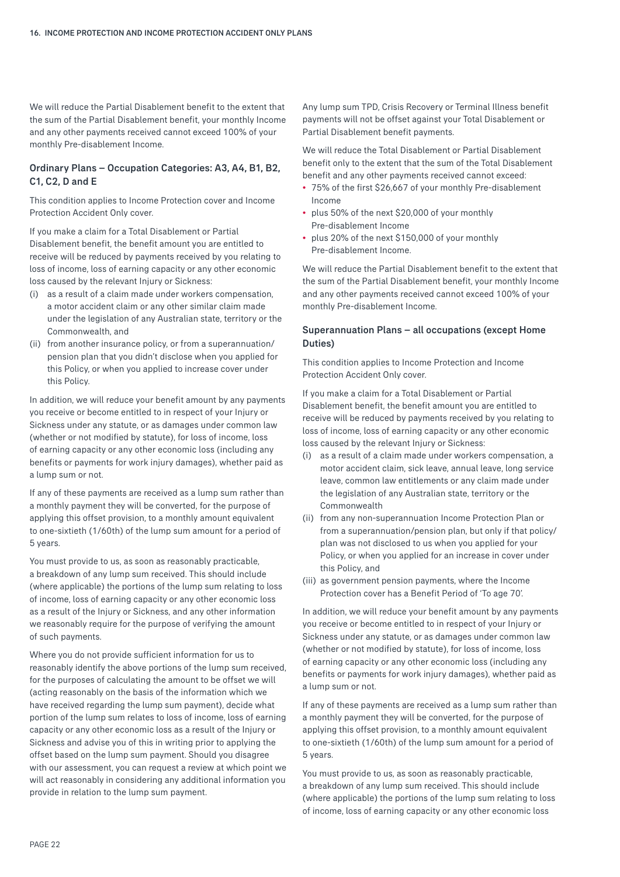We will reduce the Partial Disablement benefit to the extent that the sum of the Partial Disablement benefit, your monthly Income and any other payments received cannot exceed 100% of your monthly Pre-disablement Income.

### Ordinary Plans – Occupation Categories: A3, A4, B1, B2, C1, C2, D and E

This condition applies to Income Protection cover and Income Protection Accident Only cover.

If you make a claim for a Total Disablement or Partial Disablement benefit, the benefit amount you are entitled to receive will be reduced by payments received by you relating to loss of income, loss of earning capacity or any other economic loss caused by the relevant Injury or Sickness:

- (i) as a result of a claim made under workers compensation, a motor accident claim or any other similar claim made under the legislation of any Australian state, territory or the Commonwealth, and
- (ii) from another insurance policy, or from a superannuation/ pension plan that you didn't disclose when you applied for this Policy, or when you applied to increase cover under this Policy.

In addition, we will reduce your benefit amount by any payments you receive or become entitled to in respect of your Injury or Sickness under any statute, or as damages under common law (whether or not modified by statute), for loss of income, loss of earning capacity or any other economic loss (including any benefits or payments for work injury damages), whether paid as a lump sum or not.

If any of these payments are received as a lump sum rather than a monthly payment they will be converted, for the purpose of applying this offset provision, to a monthly amount equivalent to one-sixtieth (1/60th) of the lump sum amount for a period of 5 years.

You must provide to us, as soon as reasonably practicable, a breakdown of any lump sum received. This should include (where applicable) the portions of the lump sum relating to loss of income, loss of earning capacity or any other economic loss as a result of the Injury or Sickness, and any other information we reasonably require for the purpose of verifying the amount of such payments.

Where you do not provide sufficient information for us to reasonably identify the above portions of the lump sum received, for the purposes of calculating the amount to be offset we will (acting reasonably on the basis of the information which we have received regarding the lump sum payment), decide what portion of the lump sum relates to loss of income, loss of earning capacity or any other economic loss as a result of the Injury or Sickness and advise you of this in writing prior to applying the offset based on the lump sum payment. Should you disagree with our assessment, you can request a review at which point we will act reasonably in considering any additional information you provide in relation to the lump sum payment.

Any lump sum TPD, Crisis Recovery or Terminal Illness benefit payments will not be offset against your Total Disablement or Partial Disablement benefit payments.

We will reduce the Total Disablement or Partial Disablement benefit only to the extent that the sum of the Total Disablement benefit and any other payments received cannot exceed:

- 75% of the first \$26,667 of your monthly Pre-disablement Income
- plus 50% of the next \$20,000 of your monthly Pre-disablement Income
- plus 20% of the next \$150,000 of your monthly Pre-disablement Income.

We will reduce the Partial Disablement benefit to the extent that the sum of the Partial Disablement benefit, your monthly Income and any other payments received cannot exceed 100% of your monthly Pre-disablement Income.

## Superannuation Plans – all occupations (except Home Duties)

This condition applies to Income Protection and Income Protection Accident Only cover.

If you make a claim for a Total Disablement or Partial Disablement benefit, the benefit amount you are entitled to receive will be reduced by payments received by you relating to loss of income, loss of earning capacity or any other economic loss caused by the relevant Injury or Sickness:

- (i) as a result of a claim made under workers compensation, a motor accident claim, sick leave, annual leave, long service leave, common law entitlements or any claim made under the legislation of any Australian state, territory or the Commonwealth
- (ii) from any non-superannuation Income Protection Plan or from a superannuation/pension plan, but only if that policy/ plan was not disclosed to us when you applied for your Policy, or when you applied for an increase in cover under this Policy, and
- (iii) as government pension payments, where the Income Protection cover has a Benefit Period of 'To age 70'.

In addition, we will reduce your benefit amount by any payments you receive or become entitled to in respect of your Injury or Sickness under any statute, or as damages under common law (whether or not modified by statute), for loss of income, loss of earning capacity or any other economic loss (including any benefits or payments for work injury damages), whether paid as a lump sum or not.

If any of these payments are received as a lump sum rather than a monthly payment they will be converted, for the purpose of applying this offset provision, to a monthly amount equivalent to one-sixtieth (1/60th) of the lump sum amount for a period of 5 years.

You must provide to us, as soon as reasonably practicable, a breakdown of any lump sum received. This should include (where applicable) the portions of the lump sum relating to loss of income, loss of earning capacity or any other economic loss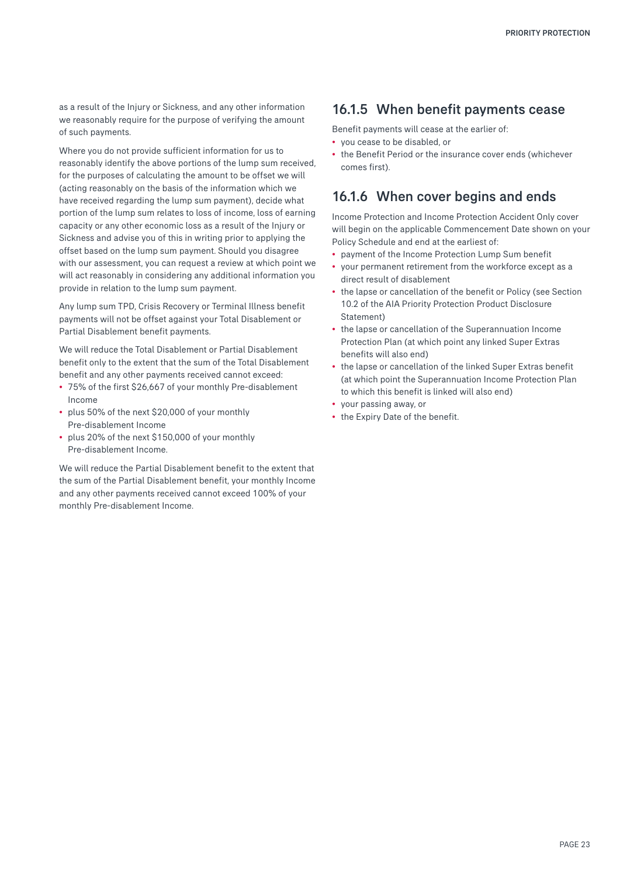as a result of the Injury or Sickness, and any other information we reasonably require for the purpose of verifying the amount of such payments.

Where you do not provide sufficient information for us to reasonably identify the above portions of the lump sum received, for the purposes of calculating the amount to be offset we will (acting reasonably on the basis of the information which we have received regarding the lump sum payment), decide what portion of the lump sum relates to loss of income, loss of earning capacity or any other economic loss as a result of the Injury or Sickness and advise you of this in writing prior to applying the offset based on the lump sum payment. Should you disagree with our assessment, you can request a review at which point we will act reasonably in considering any additional information you provide in relation to the lump sum payment.

Any lump sum TPD, Crisis Recovery or Terminal Illness benefit payments will not be offset against your Total Disablement or Partial Disablement benefit payments.

We will reduce the Total Disablement or Partial Disablement benefit only to the extent that the sum of the Total Disablement benefit and any other payments received cannot exceed:

- 75% of the first \$26,667 of your monthly Pre-disablement Income
- plus 50% of the next \$20,000 of your monthly Pre-disablement Income
- plus 20% of the next \$150,000 of your monthly Pre-disablement Income.

We will reduce the Partial Disablement benefit to the extent that the sum of the Partial Disablement benefit, your monthly Income and any other payments received cannot exceed 100% of your monthly Pre-disablement Income.

## 16.1.5 When benefit payments cease

Benefit payments will cease at the earlier of:

- you cease to be disabled, or
- the Benefit Period or the insurance cover ends (whichever comes first).

## 16.1.6 When cover begins and ends

Income Protection and Income Protection Accident Only cover will begin on the applicable Commencement Date shown on your Policy Schedule and end at the earliest of:

- payment of the Income Protection Lump Sum benefit
- your permanent retirement from the workforce except as a direct result of disablement
- the lapse or cancellation of the benefit or Policy (see Section 10.2 of the AIA Priority Protection Product Disclosure Statement)
- the lapse or cancellation of the Superannuation Income Protection Plan (at which point any linked Super Extras benefits will also end)
- the lapse or cancellation of the linked Super Extras benefit (at which point the Superannuation Income Protection Plan to which this benefit is linked will also end)
- your passing away, or
- the Expiry Date of the benefit.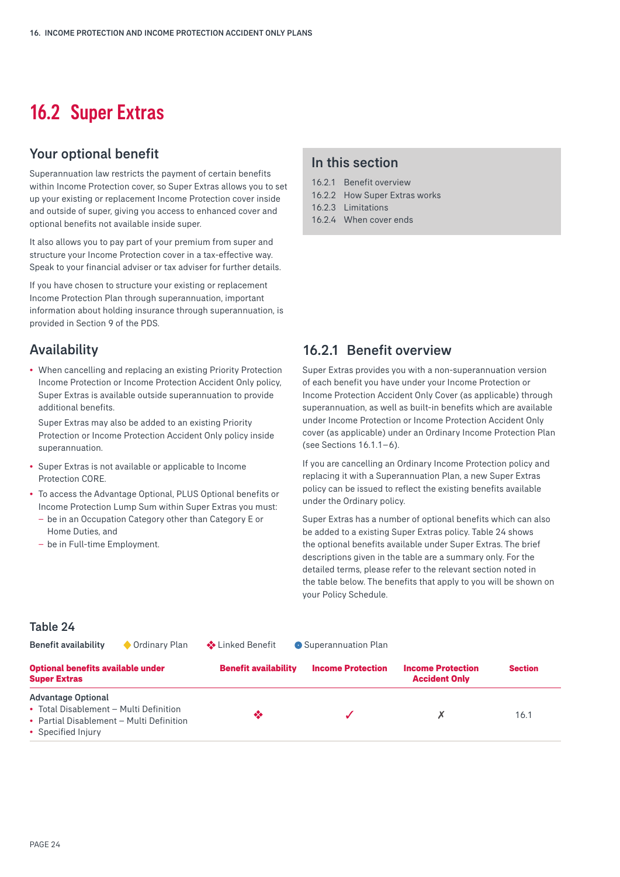# <span id="page-25-0"></span>16.2 Super Extras

## Your optional benefit

Superannuation law restricts the payment of certain benefits within Income Protection cover, so Super Extras allows you to set up your existing or replacement Income Protection cover inside and outside of super, giving you access to enhanced cover and optional benefits not available inside super.

It also allows you to pay part of your premium from super and structure your Income Protection cover in a tax-effective way. Speak to your financial adviser or tax adviser for further details.

If you have chosen to structure your existing or replacement Income Protection Plan through superannuation, important information about holding insurance through superannuation, is provided in Section 9 of the PDS.

## Availability

• When cancelling and replacing an existing Priority Protection Income Protection or Income Protection Accident Only policy, Super Extras is available outside superannuation to provide additional benefits.

Super Extras may also be added to an existing Priority Protection or Income Protection Accident Only policy inside superannuation.

- Super Extras is not available or applicable to Income Protection CORE.
- To access the Advantage Optional, PLUS Optional benefits or Income Protection Lump Sum within Super Extras you must:
	- be in an Occupation Category other than Category E or Home Duties, and
	- be in Full-time Employment.

## In this section

- 16.2.1 Benefit overview
- 16.2.2 How Super Extras works
- 16.2.3 Limitations
- 16.2.4 When cover ends

## 16.2.1 Benefit overview

Super Extras provides you with a non-superannuation version of each benefit you have under your Income Protection or Income Protection Accident Only Cover (as applicable) through superannuation, as well as built-in benefits which are available under Income Protection or Income Protection Accident Only cover (as applicable) under an Ordinary Income Protection Plan (see Sections 16.1.1–6).

If you are cancelling an Ordinary Income Protection policy and replacing it with a Superannuation Plan, a new Super Extras policy can be issued to reflect the existing benefits available under the Ordinary policy.

Super Extras has a number of optional benefits which can also be added to a existing Super Extras policy. Table 24 shows the optional benefits available under Super Extras. The brief descriptions given in the table are a summary only. For the detailed terms, please refer to the relevant section noted in the table below. The benefits that apply to you will be shown on your Policy Schedule.

## Table 24

| <b>Benefit availability</b>                                                                                                           | Ordinary Plan | ❖ Linked Benefit            | • Superannuation Plan    |                                                  |                |
|---------------------------------------------------------------------------------------------------------------------------------------|---------------|-----------------------------|--------------------------|--------------------------------------------------|----------------|
| Optional benefits available under<br><b>Super Extras</b>                                                                              |               | <b>Benefit availability</b> | <b>Income Protection</b> | <b>Income Protection</b><br><b>Accident Only</b> | <b>Section</b> |
| <b>Advantage Optional</b><br>• Total Disablement - Multi Definition<br>• Partial Disablement - Multi Definition<br>• Specified Injury |               | ≪                           |                          | x                                                | 16.1           |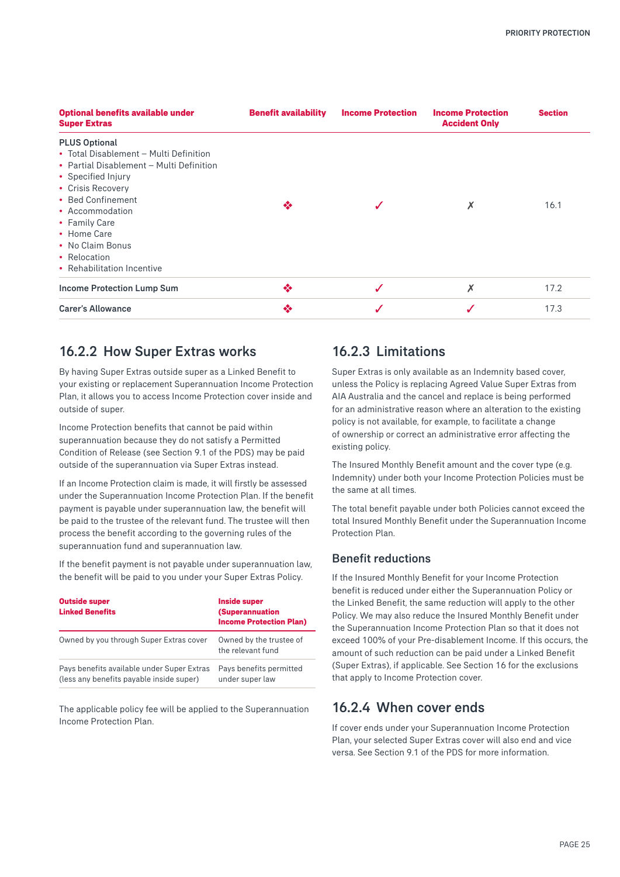| <b>Optional benefits available under</b><br><b>Super Extras</b>                                                                                                                                                                                                                                 | <b>Benefit availability</b> | <b>Income Protection</b> | <b>Income Protection</b><br><b>Accident Only</b> | <b>Section</b> |
|-------------------------------------------------------------------------------------------------------------------------------------------------------------------------------------------------------------------------------------------------------------------------------------------------|-----------------------------|--------------------------|--------------------------------------------------|----------------|
| <b>PLUS Optional</b><br>• Total Disablement – Multi Definition<br>• Partial Disablement – Multi Definition<br>• Specified Injury<br>• Crisis Recovery<br>• Bed Confinement<br>• Accommodation<br>• Family Care<br>• Home Care<br>• No Claim Bonus<br>• Relocation<br>• Rehabilitation Incentive | 幸                           |                          | Х                                                | 16.1           |
| <b>Income Protection Lump Sum</b>                                                                                                                                                                                                                                                               | 嗪                           |                          | Х                                                | 17.2           |
| <b>Carer's Allowance</b>                                                                                                                                                                                                                                                                        | 幸                           |                          |                                                  | 17.3           |

## 16.2.2 How Super Extras works

By having Super Extras outside super as a Linked Benefit to your existing or replacement Superannuation Income Protection Plan, it allows you to access Income Protection cover inside and outside of super.

Income Protection benefits that cannot be paid within superannuation because they do not satisfy a Permitted Condition of Release (see Section 9.1 of the PDS) may be paid outside of the superannuation via Super Extras instead.

If an Income Protection claim is made, it will firstly be assessed under the Superannuation Income Protection Plan. If the benefit payment is payable under superannuation law, the benefit will be paid to the trustee of the relevant fund. The trustee will then process the benefit according to the governing rules of the superannuation fund and superannuation law.

If the benefit payment is not payable under superannuation law, the benefit will be paid to you under your Super Extras Policy.

| <b>Outside super</b><br><b>Linked Benefits</b>                                         | <b>Inside super</b><br><b>(Superannuation</b><br><b>Income Protection Plan)</b> |
|----------------------------------------------------------------------------------------|---------------------------------------------------------------------------------|
| Owned by you through Super Extras cover                                                | Owned by the trustee of<br>the relevant fund                                    |
| Pays benefits available under Super Extras<br>(less any benefits payable inside super) | Pays benefits permitted<br>under super law                                      |

The applicable policy fee will be applied to the Superannuation Income Protection Plan.

## 16.2.3 Limitations

Super Extras is only available as an Indemnity based cover, unless the Policy is replacing Agreed Value Super Extras from AIA Australia and the cancel and replace is being performed for an administrative reason where an alteration to the existing policy is not available, for example, to facilitate a change of ownership or correct an administrative error affecting the existing policy.

The Insured Monthly Benefit amount and the cover type (e.g. Indemnity) under both your Income Protection Policies must be the same at all times.

The total benefit payable under both Policies cannot exceed the total Insured Monthly Benefit under the Superannuation Income Protection Plan.

## Benefit reductions

If the Insured Monthly Benefit for your Income Protection benefit is reduced under either the Superannuation Policy or the Linked Benefit, the same reduction will apply to the other Policy. We may also reduce the Insured Monthly Benefit under the Superannuation Income Protection Plan so that it does not exceed 100% of your Pre-disablement Income. If this occurs, the amount of such reduction can be paid under a Linked Benefit (Super Extras), if applicable. See Section 16 for the exclusions that apply to Income Protection cover.

## 16.2.4 When cover ends

If cover ends under your Superannuation Income Protection Plan, your selected Super Extras cover will also end and vice versa. See Section 9.1 of the PDS for more information.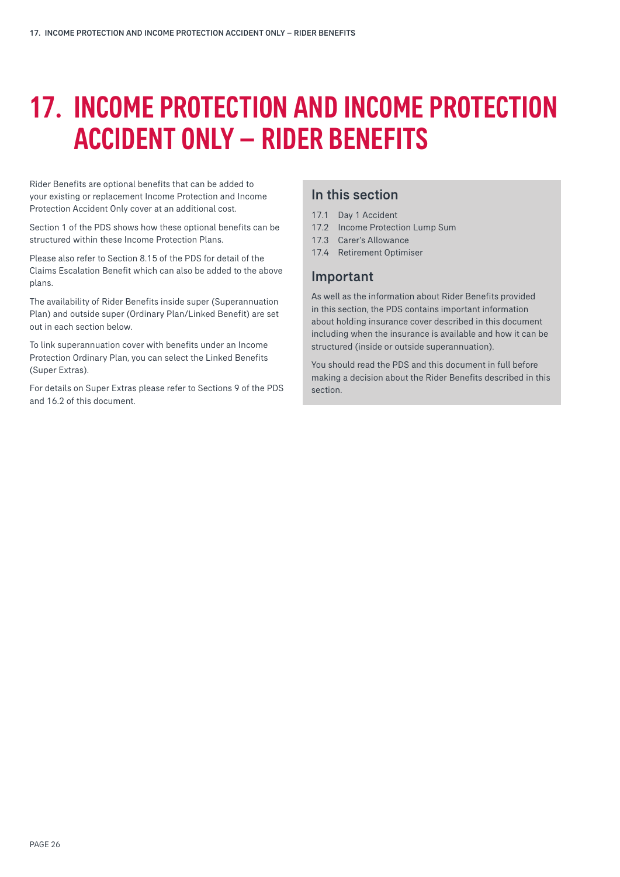# <span id="page-27-0"></span>17. INCOME PROTECTION AND INCOME PROTECTION ACCIDENT ONLY – RIDER BENEFITS

Rider Benefits are optional benefits that can be added to your existing or replacement Income Protection and Income Protection Accident Only cover at an additional cost.

Section 1 of the PDS shows how these optional benefits can be structured within these Income Protection Plans.

Please also refer to Section 8.15 of the PDS for detail of the Claims Escalation Benefit which can also be added to the above plans.

The availability of Rider Benefits inside super (Superannuation Plan) and outside super (Ordinary Plan/Linked Benefit) are set out in each section below.

To link superannuation cover with benefits under an Income Protection Ordinary Plan, you can select the Linked Benefits (Super Extras).

For details on Super Extras please refer to Sections 9 of the PDS and 16.2 of this document.

## In this section

- 17.1 Day 1 Accident
- 17.2 Income Protection Lump Sum
- 17.3 Carer's Allowance
- 17.4 Retirement Optimiser

## Important

As well as the information about Rider Benefits provided in this section, the PDS contains important information about holding insurance cover described in this document including when the insurance is available and how it can be structured (inside or outside superannuation).

You should read the PDS and this document in full before making a decision about the Rider Benefits described in this section.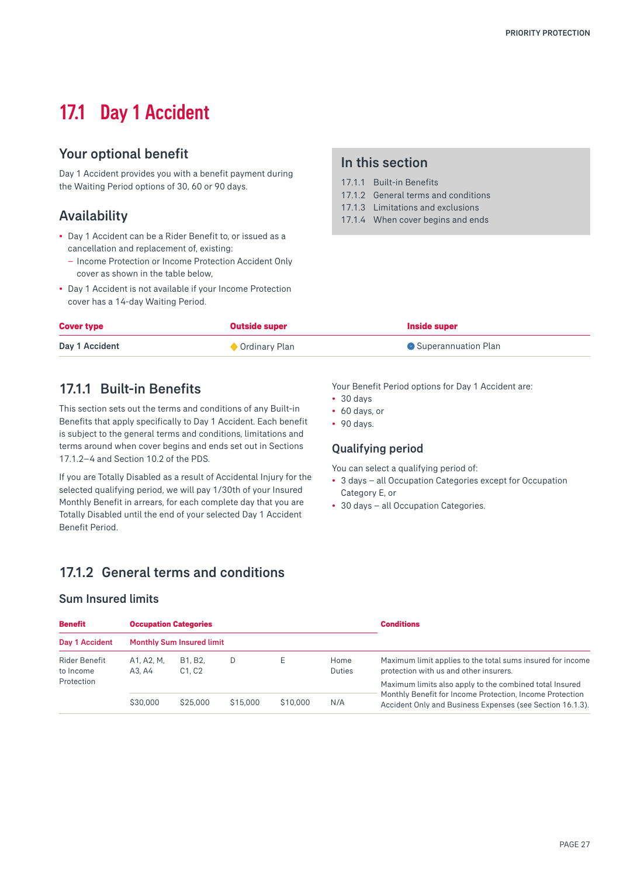# <span id="page-28-0"></span>17.1 Day 1 Accident

## Your optional benefit

Day 1 Accident provides you with a benefit payment during the Waiting Period options of 30, 60 or 90 days.

## Availability

- Day 1 Accident can be a Rider Benefit to, or issued as a cancellation and replacement of, existing:
	- Income Protection or Income Protection Accident Only cover as shown in the table below,
- Day 1 Accident is not available if your Income Protection cover has a 14-day Waiting Period.

## In this section

- 17.1.1 Built-in Benefits
- 17.1.2 General terms and conditions
- 17.1.3 Limitations and exclusions
- 17.1.4 When cover begins and ends

| <b>Cover type</b> | <b>Outside super</b> | <b>Inside super</b>   |
|-------------------|----------------------|-----------------------|
| Day 1 Accident    | ◆ Ordinary Plan      | • Superannuation Plan |

## 17.1.1 Built-in Benefits

This section sets out the terms and conditions of any Built-in Benefits that apply specifically to Day 1 Accident. Each benefit is subject to the general terms and conditions, limitations and terms around when cover begins and ends set out in Sections 17.1.2–4 and Section 10.2 of the PDS.

If you are Totally Disabled as a result of Accidental Injury for the selected qualifying period, we will pay 1/30th of your Insured Monthly Benefit in arrears, for each complete day that you are Totally Disabled until the end of your selected Day 1 Accident Benefit Period.

Your Benefit Period options for Day 1 Accident are:

- 30 days
- 60 days, or
- 90 days.

## Qualifying period

You can select a qualifying period of:

- 3 days all Occupation Categories except for Occupation Category E, or
- 30 days all Occupation Categories.

## 17.1.2 General terms and conditions

## Sum Insured limits

| <b>Benefit</b>             | <b>Occupation Categories</b> |                                            |          |          | <b>Conditions</b>                                       |                                                                                                                       |
|----------------------------|------------------------------|--------------------------------------------|----------|----------|---------------------------------------------------------|-----------------------------------------------------------------------------------------------------------------------|
| Day 1 Accident             |                              | <b>Monthly Sum Insured limit</b>           |          |          |                                                         |                                                                                                                       |
| Rider Benefit<br>to Income | A1, A2, M.<br>A3. A4         | B <sub>1</sub> . B <sub>2</sub> .<br>C1.C2 | D        |          | Home<br>Duties                                          | Maximum limit applies to the total sums insured for income<br>protection with us and other insurers.                  |
| Protection                 |                              |                                            |          |          | Maximum limits also apply to the combined total Insured |                                                                                                                       |
|                            | \$30,000                     | \$25,000                                   | \$15,000 | \$10,000 | N/A                                                     | Monthly Benefit for Income Protection, Income Protection<br>Accident Only and Business Expenses (see Section 16.1.3). |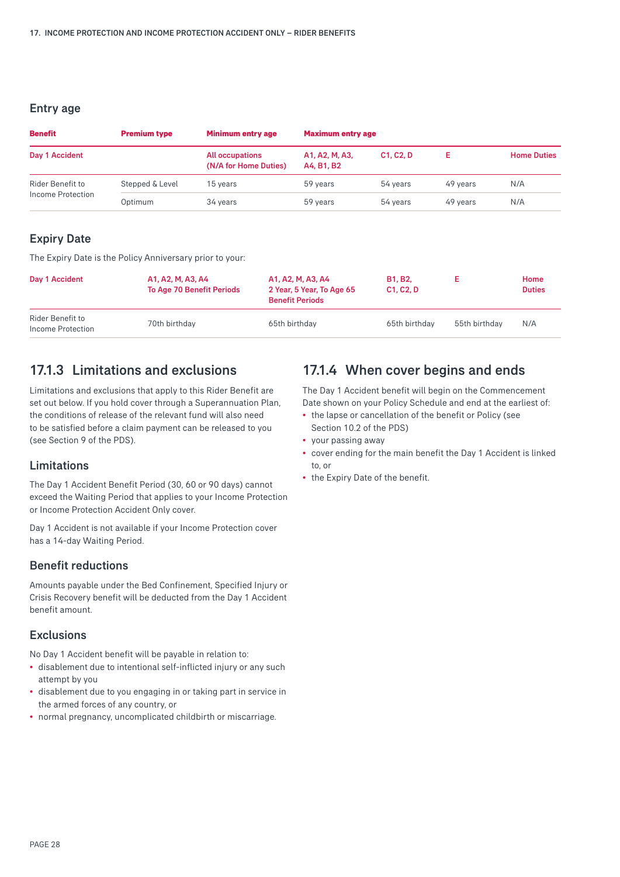## Entry age

| <b>Benefit</b>                        | <b>Premium type</b> | <b>Minimum entry age</b>                 | <b>Maximum entry age</b>     |           |          |                    |
|---------------------------------------|---------------------|------------------------------------------|------------------------------|-----------|----------|--------------------|
| Day 1 Accident                        |                     | All occupations<br>(N/A for Home Duties) | A1, A2, M, A3,<br>A4, B1, B2 | C1. C2. D |          | <b>Home Duties</b> |
| Rider Benefit to<br>Income Protection | Stepped & Level     | 15 vears                                 | 59 vears                     | 54 vears  | 49 vears | N/A                |
|                                       | Optimum             | 34 vears                                 | 59 years                     | 54 vears  | 49 vears | N/A                |

## Expiry Date

The Expiry Date is the Policy Anniversary prior to your:

| Day 1 Accident                        | A1, A2, M, A3, A4<br>To Age 70 Benefit Periods | A1, A2, M, A3, A4<br>2 Year, 5 Year, To Age 65<br><b>Benefit Periods</b> | <b>B1, B2,</b><br>C1. C2. D |               | Home<br><b>Duties</b> |
|---------------------------------------|------------------------------------------------|--------------------------------------------------------------------------|-----------------------------|---------------|-----------------------|
| Rider Benefit to<br>Income Protection | 70th birthday                                  | 65th birthdav                                                            | 65th birthdav               | 55th birthdav | N/A                   |

## 17.1.3 Limitations and exclusions

Limitations and exclusions that apply to this Rider Benefit are set out below. If you hold cover through a Superannuation Plan, the conditions of release of the relevant fund will also need to be satisfied before a claim payment can be released to you (see Section 9 of the PDS).

## Limitations

The Day 1 Accident Benefit Period (30, 60 or 90 days) cannot exceed the Waiting Period that applies to your Income Protection or Income Protection Accident Only cover.

Day 1 Accident is not available if your Income Protection cover has a 14-day Waiting Period.

## Benefit reductions

Amounts payable under the Bed Confinement, Specified Injury or Crisis Recovery benefit will be deducted from the Day 1 Accident benefit amount.

## Exclusions

No Day 1 Accident benefit will be payable in relation to:

- disablement due to intentional self-inflicted injury or any such attempt by you
- disablement due to you engaging in or taking part in service in the armed forces of any country, or
- normal pregnancy, uncomplicated childbirth or miscarriage.

## 17.1.4 When cover begins and ends

The Day 1 Accident benefit will begin on the Commencement Date shown on your Policy Schedule and end at the earliest of:

- the lapse or cancellation of the benefit or Policy (see Section 10.2 of the PDS)
- your passing away
- cover ending for the main benefit the Day 1 Accident is linked to, or
- the Expiry Date of the benefit.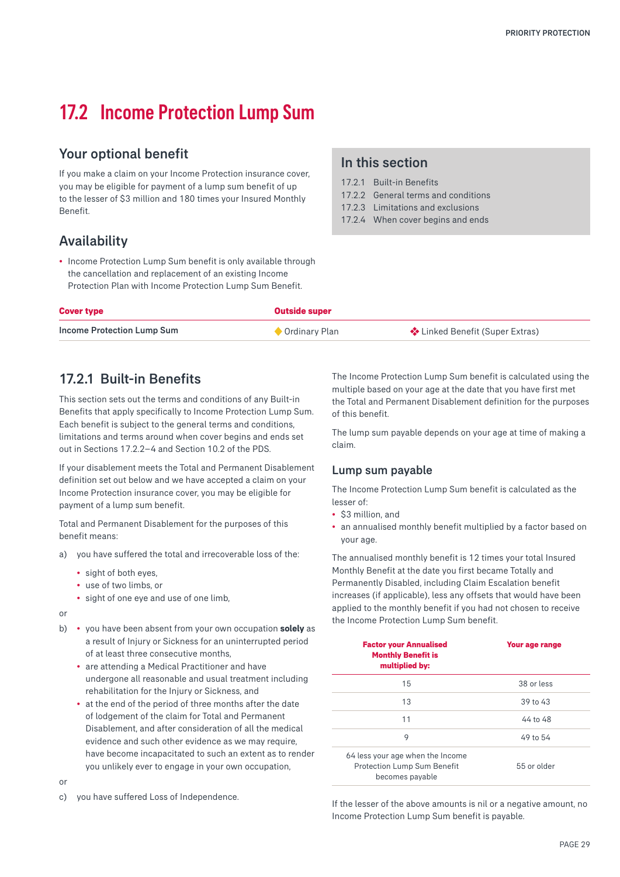## <span id="page-30-0"></span>17.2 Income Protection Lump Sum

## Your optional benefit

If you make a claim on your Income Protection insurance cover, you may be eligible for payment of a lump sum benefit of up to the lesser of \$3 million and 180 times your Insured Monthly Benefit.

## In this section

- 17.2.1 Built-in Benefits
- 17.2.2 General terms and conditions
- 17.2.3 Limitations and exclusions
- 17.2.4 When cover begins and ends

## Availability

• Income Protection Lump Sum benefit is only available through the cancellation and replacement of an existing Income Protection Plan with Income Protection Lump Sum Benefit.

| <b>Cover type</b>                 | Outside super   |                                 |  |
|-----------------------------------|-----------------|---------------------------------|--|
| <b>Income Protection Lump Sum</b> | ◆ Ordinary Plan | ❖ Linked Benefit (Super Extras) |  |

## 17.2.1 Built-in Benefits

This section sets out the terms and conditions of any Built-in Benefits that apply specifically to Income Protection Lump Sum. Each benefit is subject to the general terms and conditions, limitations and terms around when cover begins and ends set out in Sections 17.2.2–4 and Section 10.2 of the PDS.

If your disablement meets the Total and Permanent Disablement definition set out below and we have accepted a claim on your Income Protection insurance cover, you may be eligible for payment of a lump sum benefit.

Total and Permanent Disablement for the purposes of this benefit means:

- a) you have suffered the total and irrecoverable loss of the:
	- sight of both eyes,
	- use of two limbs, or
	- sight of one eye and use of one limb,

or

- b) you have been absent from your own occupation **solely** as a result of Injury or Sickness for an uninterrupted period of at least three consecutive months,
	- are attending a Medical Practitioner and have undergone all reasonable and usual treatment including rehabilitation for the Injury or Sickness, and
	- at the end of the period of three months after the date of lodgement of the claim for Total and Permanent Disablement, and after consideration of all the medical evidence and such other evidence as we may require. have become incapacitated to such an extent as to render you unlikely ever to engage in your own occupation,

or

c) you have suffered Loss of Independence.

The Income Protection Lump Sum benefit is calculated using the multiple based on your age at the date that you have first met the Total and Permanent Disablement definition for the purposes of this benefit.

The lump sum payable depends on your age at time of making a claim.

## Lump sum payable

The Income Protection Lump Sum benefit is calculated as the lesser of:

- \$3 million, and
- an annualised monthly benefit multiplied by a factor based on your age.

The annualised monthly benefit is 12 times your total Insured Monthly Benefit at the date you first became Totally and Permanently Disabled, including Claim Escalation benefit increases (if applicable), less any offsets that would have been applied to the monthly benefit if you had not chosen to receive the Income Protection Lump Sum benefit.

| <b>Factor your Annualised</b><br><b>Monthly Benefit is</b><br>multiplied by:              | Your age range      |
|-------------------------------------------------------------------------------------------|---------------------|
| 15                                                                                        | 38 or less          |
| 13                                                                                        | 39 <sub>to</sub> 43 |
| 11                                                                                        | 44 to 48            |
| 9                                                                                         | 49 to 54            |
| 64 less your age when the Income<br><b>Protection Lump Sum Benefit</b><br>becomes payable | 55 or older         |

If the lesser of the above amounts is nil or a negative amount, no Income Protection Lump Sum benefit is payable.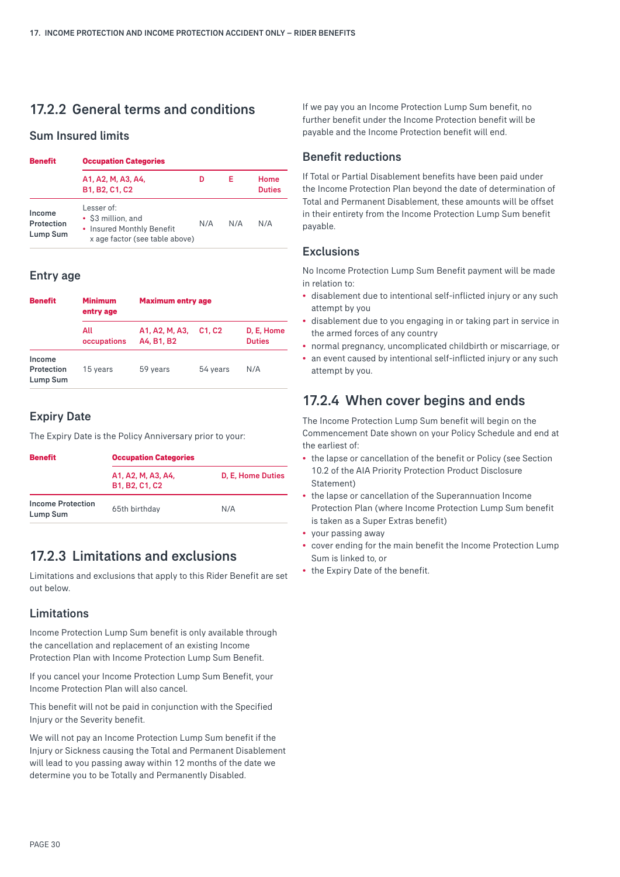## 17.2.2 General terms and conditions

## Sum Insured limits

| <b>Benefit</b>                   | <b>Occupation Categories</b>                                                                    |     |     |                       |  |  |
|----------------------------------|-------------------------------------------------------------------------------------------------|-----|-----|-----------------------|--|--|
|                                  | A1, A2, M, A3, A4,<br>B1, B2, C1, C2                                                            | D   |     | Home<br><b>Duties</b> |  |  |
| Income<br>Protection<br>Lump Sum | Lesser of:<br>• \$3 million, and<br>• Insured Monthly Benefit<br>x age factor (see table above) | N/A | N/A | N/A                   |  |  |

## Entry age

| <b>Benefit</b>                   | <b>Minimum</b><br><b>Maximum entry age</b><br>entry age |                              |                                |                             |
|----------------------------------|---------------------------------------------------------|------------------------------|--------------------------------|-----------------------------|
|                                  | All<br>occupations                                      | A1, A2, M, A3,<br>A4, B1, B2 | C <sub>1</sub> .C <sub>2</sub> | D, E, Home<br><b>Duties</b> |
| Income<br>Protection<br>Lump Sum | 15 years                                                | 59 years                     | 54 years                       | N/A                         |

## Expiry Date

The Expiry Date is the Policy Anniversary prior to your:

| <b>Benefit</b>                       | <b>Occupation Categories</b>                |                   |  |  |  |
|--------------------------------------|---------------------------------------------|-------------------|--|--|--|
|                                      | A1, A2, M, A3, A4,<br><b>B1. B2. C1. C2</b> | D, E, Home Duties |  |  |  |
| <b>Income Protection</b><br>Lump Sum | 65th birthday                               | N/A               |  |  |  |

## 17.2.3 Limitations and exclusions

Limitations and exclusions that apply to this Rider Benefit are set out below.

## Limitations

Income Protection Lump Sum benefit is only available through the cancellation and replacement of an existing Income Protection Plan with Income Protection Lump Sum Benefit.

If you cancel your Income Protection Lump Sum Benefit, your Income Protection Plan will also cancel.

This benefit will not be paid in conjunction with the Specified Injury or the Severity benefit.

We will not pay an Income Protection Lump Sum benefit if the Injury or Sickness causing the Total and Permanent Disablement will lead to you passing away within 12 months of the date we determine you to be Totally and Permanently Disabled.

If we pay you an Income Protection Lump Sum benefit, no further benefit under the Income Protection benefit will be payable and the Income Protection benefit will end.

## Benefit reductions

If Total or Partial Disablement benefits have been paid under the Income Protection Plan beyond the date of determination of Total and Permanent Disablement, these amounts will be offset in their entirety from the Income Protection Lump Sum benefit payable.

## Exclusions

No Income Protection Lump Sum Benefit payment will be made in relation to:

- disablement due to intentional self-inflicted injury or any such attempt by you
- disablement due to you engaging in or taking part in service in the armed forces of any country
- normal pregnancy, uncomplicated childbirth or miscarriage, or
- an event caused by intentional self-inflicted injury or any such attempt by you.

## 17.2.4 When cover begins and ends

The Income Protection Lump Sum benefit will begin on the Commencement Date shown on your Policy Schedule and end at the earliest of:

- the lapse or cancellation of the benefit or Policy (see Section 10.2 of the AIA Priority Protection Product Disclosure Statement)
- the lapse or cancellation of the Superannuation Income Protection Plan (where Income Protection Lump Sum benefit is taken as a Super Extras benefit)
- your passing away
- cover ending for the main benefit the Income Protection Lump Sum is linked to, or
- the Expiry Date of the benefit.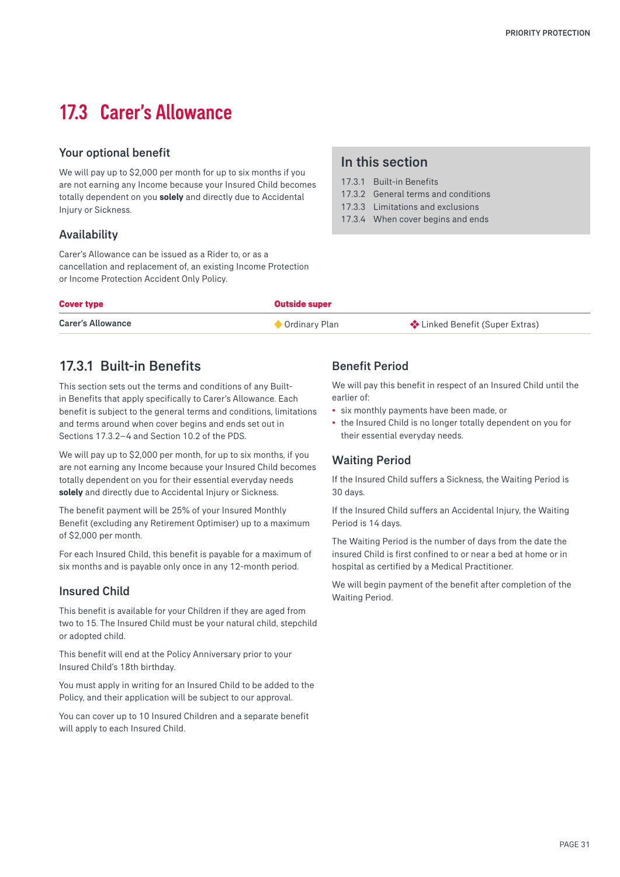# <span id="page-32-0"></span>17.3 Carer's Allowance

## Your optional benefit

We will pay up to \$2,000 per month for up to six months if you are not earning any Income because your Insured Child becomes totally dependent on you **solely** and directly due to Accidental Injury or Sickness.

## Availability

Carer's Allowance can be issued as a Rider to, or as a cancellation and replacement of, an existing Income Protection or Income Protection Accident Only Policy.

## In this section

- 17.3.1 Built-in Benefits
- 17.3.2 General terms and conditions
- 17.3.3 Limitations and exclusions
- 17.3.4 When cover begins and ends

| <b>Cover type</b>        | <b>Outside super</b> |                               |  |
|--------------------------|----------------------|-------------------------------|--|
| <b>Carer's Allowance</b> | Ordinary Plan        | Linked Benefit (Super Extras) |  |

## 17.3.1 Built-in Benefits

This section sets out the terms and conditions of any Builtin Benefits that apply specifically to Carer's Allowance. Each benefit is subject to the general terms and conditions, limitations and terms around when cover begins and ends set out in Sections 17.3.2–4 and Section 10.2 of the PDS.

We will pay up to \$2,000 per month, for up to six months, if you are not earning any Income because your Insured Child becomes totally dependent on you for their essential everyday needs **solely** and directly due to Accidental Injury or Sickness.

The benefit payment will be 25% of your Insured Monthly Benefit (excluding any Retirement Optimiser) up to a maximum of \$2,000 per month.

For each Insured Child, this benefit is payable for a maximum of six months and is payable only once in any 12-month period.

## Insured Child

This benefit is available for your Children if they are aged from two to 15. The Insured Child must be your natural child, stepchild or adopted child.

This benefit will end at the Policy Anniversary prior to your Insured Child's 18th birthday.

You must apply in writing for an Insured Child to be added to the Policy, and their application will be subject to our approval.

You can cover up to 10 Insured Children and a separate benefit will apply to each Insured Child.

## Benefit Period

We will pay this benefit in respect of an Insured Child until the earlier of:

- six monthly payments have been made, or
- the Insured Child is no longer totally dependent on you for their essential everyday needs.

## Waiting Period

If the Insured Child suffers a Sickness, the Waiting Period is 30 days.

If the Insured Child suffers an Accidental Injury, the Waiting Period is 14 days.

The Waiting Period is the number of days from the date the insured Child is first confined to or near a bed at home or in hospital as certified by a Medical Practitioner.

We will begin payment of the benefit after completion of the Waiting Period.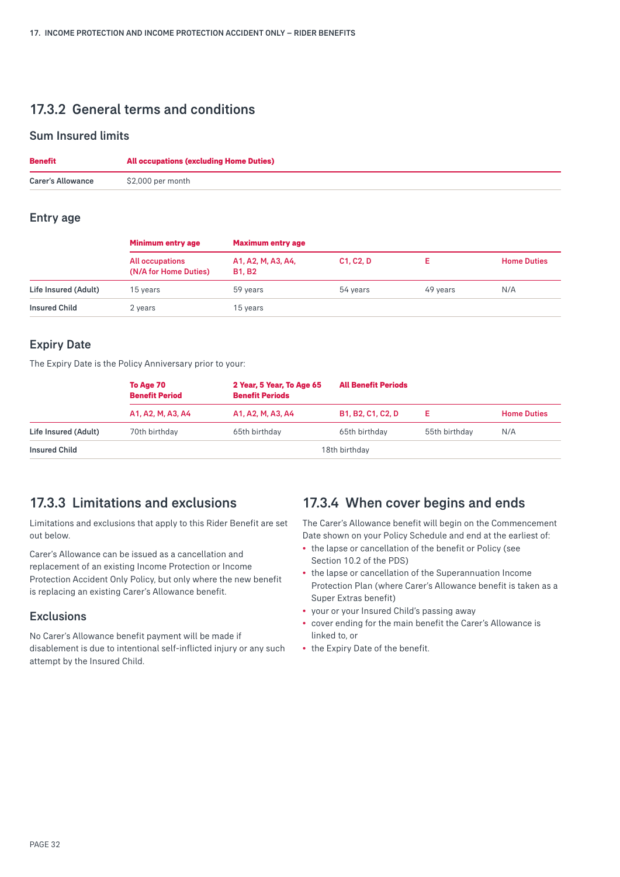## 17.3.2 General terms and conditions

## Sum Insured limits

| <b>Benefit</b>           | <b>All occupations (excluding Home Duties)</b> |
|--------------------------|------------------------------------------------|
| <b>Carer's Allowance</b> | \$2,000 per month                              |

## Entry age

|                      | <b>Minimum entry age</b>                        | <b>Maximum entry age</b>            |           |          |                    |
|----------------------|-------------------------------------------------|-------------------------------------|-----------|----------|--------------------|
|                      | <b>All occupations</b><br>(N/A for Home Duties) | A1, A2, M, A3, A4,<br><b>B1, B2</b> | C1, C2, D |          | <b>Home Duties</b> |
| Life Insured (Adult) | 15 years                                        | 59 years                            | 54 years  | 49 vears | N/A                |
| <b>Insured Child</b> | 2 years                                         | 15 years                            |           |          |                    |

## Expiry Date

The Expiry Date is the Policy Anniversary prior to your:

|                      | To Age 70<br><b>Benefit Period</b> | 2 Year, 5 Year, To Age 65<br><b>Benefit Periods</b> | <b>All Benefit Periods</b>                                                         |               |                    |
|----------------------|------------------------------------|-----------------------------------------------------|------------------------------------------------------------------------------------|---------------|--------------------|
|                      | A1, A2, M, A3, A4                  | A1, A2, M, A3, A4                                   | B <sub>1</sub> , B <sub>2</sub> , C <sub>1</sub> , C <sub>2</sub> , D <sub>1</sub> | E.            | <b>Home Duties</b> |
| Life Insured (Adult) | 70th birthday                      | 65th birthday                                       | 65th birthday                                                                      | 55th birthday | N/A                |
| <b>Insured Child</b> |                                    |                                                     | 18th birthday                                                                      |               |                    |

## 17.3.3 Limitations and exclusions

Limitations and exclusions that apply to this Rider Benefit are set out below.

Carer's Allowance can be issued as a cancellation and replacement of an existing Income Protection or Income Protection Accident Only Policy, but only where the new benefit is replacing an existing Carer's Allowance benefit.

## **Exclusions**

No Carer's Allowance benefit payment will be made if disablement is due to intentional self-inflicted injury or any such attempt by the Insured Child.

## 17.3.4 When cover begins and ends

The Carer's Allowance benefit will begin on the Commencement Date shown on your Policy Schedule and end at the earliest of:

- the lapse or cancellation of the benefit or Policy (see Section 10.2 of the PDS)
- the lapse or cancellation of the Superannuation Income Protection Plan (where Carer's Allowance benefit is taken as a Super Extras benefit)
- your or your Insured Child's passing away
- cover ending for the main benefit the Carer's Allowance is linked to, or
- the Expiry Date of the benefit.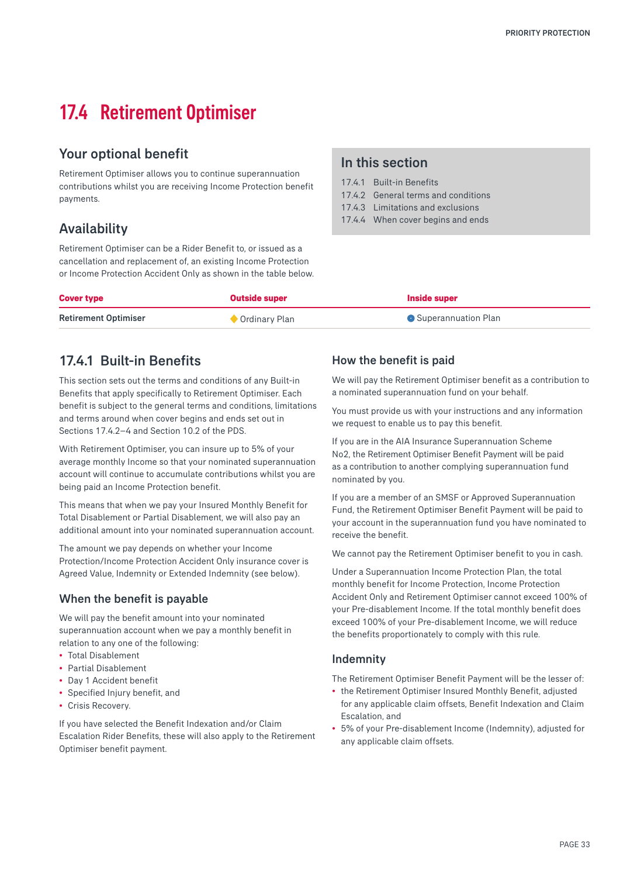## <span id="page-34-0"></span>17.4 Retirement Optimiser

## Your optional benefit

Retirement Optimiser allows you to continue superannuation contributions whilst you are receiving Income Protection benefit payments.

## Availability

Retirement Optimiser can be a Rider Benefit to, or issued as a cancellation and replacement of, an existing Income Protection or Income Protection Accident Only as shown in the table below.

## In this section

17.4.1 Built-in Benefits

17.4.2 General terms and conditions

- 17.4.3 Limitations and exclusions
- 17.4.4 When cover begins and ends

| <b>Cover type</b>           | <b>Outside super</b> | Inside super          |
|-----------------------------|----------------------|-----------------------|
| <b>Retirement Optimiser</b> | Ordinary Plan        | • Superannuation Plan |

## 17.4.1 Built-in Benefits

This section sets out the terms and conditions of any Built-in Benefits that apply specifically to Retirement Optimiser. Each benefit is subject to the general terms and conditions, limitations and terms around when cover begins and ends set out in Sections 17.4.2–4 and Section 10.2 of the PDS.

With Retirement Optimiser, you can insure up to 5% of your average monthly Income so that your nominated superannuation account will continue to accumulate contributions whilst you are being paid an Income Protection benefit.

This means that when we pay your Insured Monthly Benefit for Total Disablement or Partial Disablement, we will also pay an additional amount into your nominated superannuation account.

The amount we pay depends on whether your Income Protection/Income Protection Accident Only insurance cover is Agreed Value, Indemnity or Extended Indemnity (see below).

## When the benefit is payable

We will pay the benefit amount into your nominated superannuation account when we pay a monthly benefit in relation to any one of the following:

- Total Disablement
- Partial Disablement
- Day 1 Accident benefit
- Specified Injury benefit, and
- Crisis Recovery.

If you have selected the Benefit Indexation and/or Claim Escalation Rider Benefits, these will also apply to the Retirement Optimiser benefit payment.

## How the benefit is paid

We will pay the Retirement Optimiser benefit as a contribution to a nominated superannuation fund on your behalf.

You must provide us with your instructions and any information we request to enable us to pay this benefit.

If you are in the AIA Insurance Superannuation Scheme No2, the Retirement Optimiser Benefit Payment will be paid as a contribution to another complying superannuation fund nominated by you.

If you are a member of an SMSF or Approved Superannuation Fund, the Retirement Optimiser Benefit Payment will be paid to your account in the superannuation fund you have nominated to receive the benefit.

We cannot pay the Retirement Optimiser benefit to you in cash.

Under a Superannuation Income Protection Plan, the total monthly benefit for Income Protection, Income Protection Accident Only and Retirement Optimiser cannot exceed 100% of your Pre-disablement Income. If the total monthly benefit does exceed 100% of your Pre-disablement Income, we will reduce the benefits proportionately to comply with this rule.

## **Indemnity**

The Retirement Optimiser Benefit Payment will be the lesser of:

- the Retirement Optimiser Insured Monthly Benefit, adjusted for any applicable claim offsets, Benefit Indexation and Claim Escalation, and
- 5% of your Pre-disablement Income (Indemnity), adjusted for any applicable claim offsets.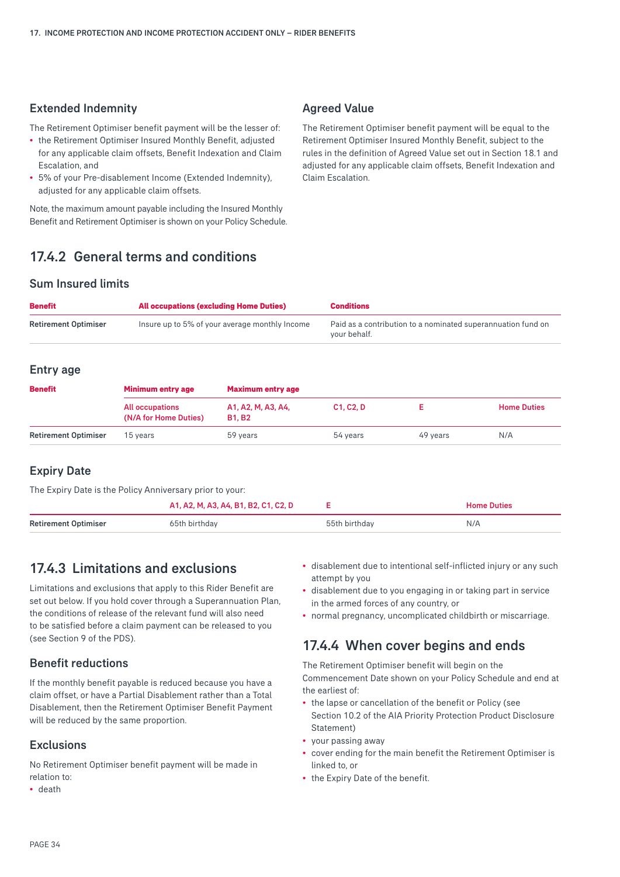## Extended Indemnity

The Retirement Optimiser benefit payment will be the lesser of:

- the Retirement Optimiser Insured Monthly Benefit, adjusted for any applicable claim offsets, Benefit Indexation and Claim Escalation, and
- 5% of your Pre-disablement Income (Extended Indemnity), adjusted for any applicable claim offsets.

Note, the maximum amount payable including the Insured Monthly Benefit and Retirement Optimiser is shown on your Policy Schedule.

## Agreed Value

The Retirement Optimiser benefit payment will be equal to the Retirement Optimiser Insured Monthly Benefit, subject to the rules in the definition of Agreed Value set out in Section 18.1 and adjusted for any applicable claim offsets, Benefit Indexation and Claim Escalation.

## 17.4.2 General terms and conditions

## Sum Insured limits

| <b>Benefit</b>              | <b>All occupations (excluding Home Duties)</b> | <b>Conditions</b>                                                            |
|-----------------------------|------------------------------------------------|------------------------------------------------------------------------------|
| <b>Retirement Optimiser</b> | Insure up to 5% of your average monthly Income | Paid as a contribution to a nominated superannuation fund on<br>your behalf. |
| Entry age                   |                                                |                                                                              |

| <b>Benefit</b>              | Minimum entry age                        | <b>Maximum entry age</b>           |           |          |                    |
|-----------------------------|------------------------------------------|------------------------------------|-----------|----------|--------------------|
|                             | All occupations<br>(N/A for Home Duties) | A1, A2, M, A3, A4,<br><b>B1.B2</b> | C1, C2, D |          | <b>Home Duties</b> |
| <b>Retirement Optimiser</b> | 15 vears                                 | 59 years                           | 54 vears  | 49 vears | N/A                |

## Expiry Date

The Expiry Date is the Policy Anniversary prior to your:

|                             | A1, A2, M, A3, A4, B1, B2, C1, C2, D |               | <b>Home Duties</b> |
|-----------------------------|--------------------------------------|---------------|--------------------|
| <b>Retirement Optimiser</b> | 65th birthdav                        | 55th birthdav | N/A                |

## 17.4.3 Limitations and exclusions

Limitations and exclusions that apply to this Rider Benefit are set out below. If you hold cover through a Superannuation Plan. the conditions of release of the relevant fund will also need to be satisfied before a claim payment can be released to you (see Section 9 of the PDS).

## Benefit reductions

If the monthly benefit payable is reduced because you have a claim offset, or have a Partial Disablement rather than a Total Disablement, then the Retirement Optimiser Benefit Payment will be reduced by the same proportion.

## **Exclusions**

No Retirement Optimiser benefit payment will be made in relation to:

• death

- disablement due to intentional self-inflicted injury or any such attempt by you
- disablement due to you engaging in or taking part in service in the armed forces of any country, or
- normal pregnancy, uncomplicated childbirth or miscarriage.

## 17.4.4 When cover begins and ends

The Retirement Optimiser benefit will begin on the Commencement Date shown on your Policy Schedule and end at the earliest of:

- the lapse or cancellation of the benefit or Policy (see Section 10.2 of the AIA Priority Protection Product Disclosure Statement)
- your passing away
- cover ending for the main benefit the Retirement Optimiser is linked to, or
- the Expiry Date of the benefit.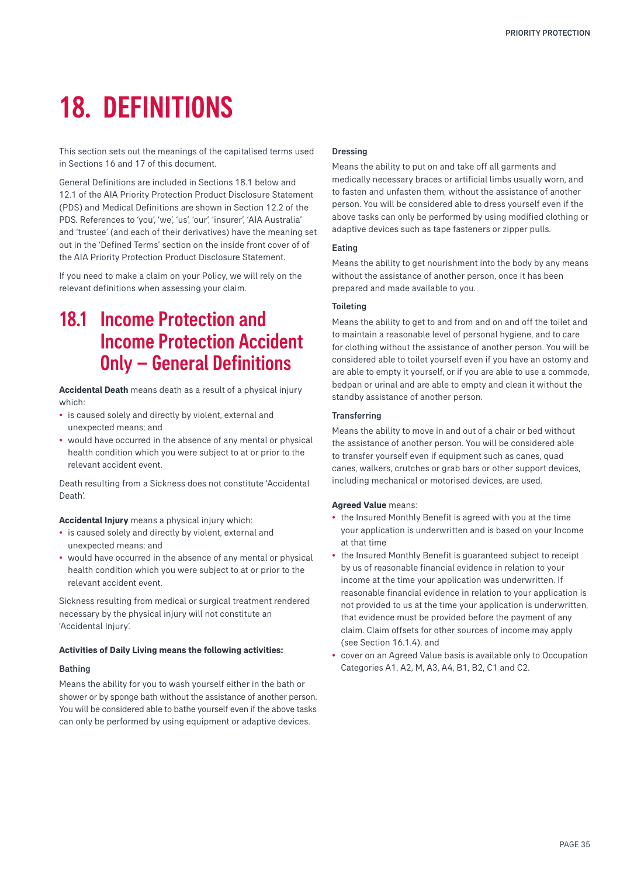# <span id="page-36-0"></span>18. DEFINITIONS

This section sets out the meanings of the capitalised terms used in Sections 16 and 17 of this document.

General Definitions are included in Sections 18.1 below and 12.1 of the AIA Priority Protection Product Disclosure Statement (PDS) and Medical Definitions are shown in Section 12.2 of the PDS. References to 'you', 'we', 'us', 'our', 'insurer', 'AIA Australia' and 'trustee' (and each of their derivatives) have the meaning set out in the 'Defined Terms' section on the inside front cover of of the AIA Priority Protection Product Disclosure Statement.

If you need to make a claim on your Policy, we will rely on the relevant definitions when assessing your claim.

## 18.1 Income Protection and Income Protection Accident Only – General Definitions

**Accidental Death** means death as a result of a physical injury which:

- is caused solely and directly by violent, external and unexpected means; and
- would have occurred in the absence of any mental or physical health condition which you were subject to at or prior to the relevant accident event.

Death resulting from a Sickness does not constitute 'Accidental Death'.

#### **Accidental Injury** means a physical injury which:

- is caused solely and directly by violent, external and unexpected means; and
- would have occurred in the absence of any mental or physical health condition which you were subject to at or prior to the relevant accident event.

Sickness resulting from medical or surgical treatment rendered necessary by the physical injury will not constitute an 'Accidental Injury'.

#### **Activities of Daily Living means the following activities:**

#### Bathing

Means the ability for you to wash yourself either in the bath or shower or by sponge bath without the assistance of another person. You will be considered able to bathe yourself even if the above tasks can only be performed by using equipment or adaptive devices.

#### Dressing

Means the ability to put on and take off all garments and medically necessary braces or artificial limbs usually worn, and to fasten and unfasten them, without the assistance of another person. You will be considered able to dress yourself even if the above tasks can only be performed by using modified clothing or adaptive devices such as tape fasteners or zipper pulls.

#### Eating

Means the ability to get nourishment into the body by any means without the assistance of another person, once it has been prepared and made available to you.

#### **Toileting**

Means the ability to get to and from and on and off the toilet and to maintain a reasonable level of personal hygiene, and to care for clothing without the assistance of another person. You will be considered able to toilet yourself even if you have an ostomy and are able to empty it yourself, or if you are able to use a commode, bedpan or urinal and are able to empty and clean it without the standby assistance of another person.

#### **Transferring**

Means the ability to move in and out of a chair or bed without the assistance of another person. You will be considered able to transfer yourself even if equipment such as canes, quad canes, walkers, crutches or grab bars or other support devices, including mechanical or motorised devices, are used.

#### **Agreed Value** means:

- the Insured Monthly Benefit is agreed with you at the time your application is underwritten and is based on your Income at that time
- the Insured Monthly Benefit is guaranteed subject to receipt by us of reasonable financial evidence in relation to your income at the time your application was underwritten. If reasonable financial evidence in relation to your application is not provided to us at the time your application is underwritten, that evidence must be provided before the payment of any claim. Claim offsets for other sources of income may apply (see Section 16.1.4), and
- cover on an Agreed Value basis is available only to Occupation Categories A1, A2, M, A3, A4, B1, B2, C1 and C2.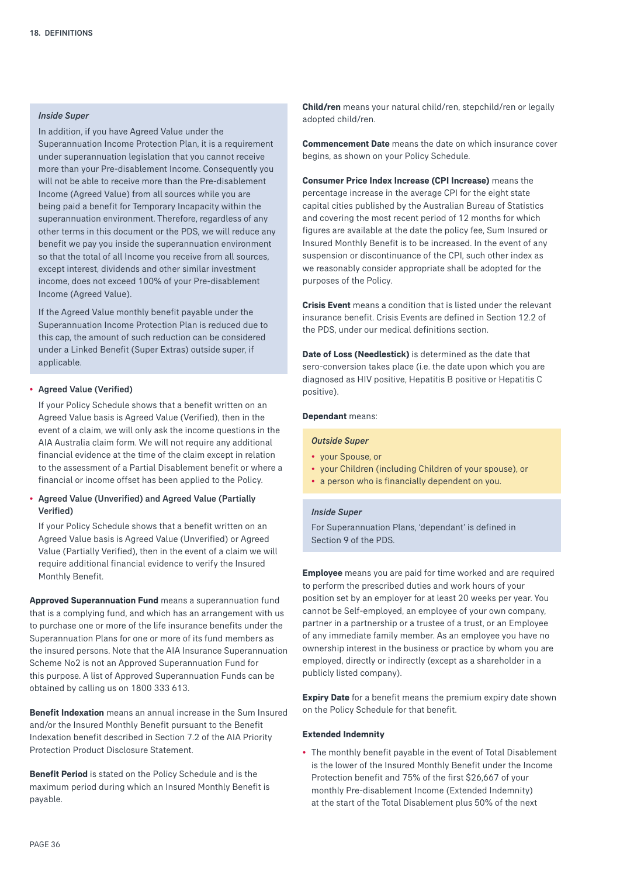#### *Inside Super*

In addition, if you have Agreed Value under the Superannuation Income Protection Plan, it is a requirement under superannuation legislation that you cannot receive more than your Pre-disablement Income. Consequently you will not be able to receive more than the Pre-disablement Income (Agreed Value) from all sources while you are being paid a benefit for Temporary Incapacity within the superannuation environment. Therefore, regardless of any other terms in this document or the PDS, we will reduce any benefit we pay you inside the superannuation environment so that the total of all Income you receive from all sources, except interest, dividends and other similar investment income, does not exceed 100% of your Pre-disablement Income (Agreed Value).

If the Agreed Value monthly benefit payable under the Superannuation Income Protection Plan is reduced due to this cap, the amount of such reduction can be considered under a Linked Benefit (Super Extras) outside super, if applicable.

## • Agreed Value (Verified)

If your Policy Schedule shows that a benefit written on an Agreed Value basis is Agreed Value (Verified), then in the event of a claim, we will only ask the income questions in the AIA Australia claim form. We will not require any additional financial evidence at the time of the claim except in relation to the assessment of a Partial Disablement benefit or where a financial or income offset has been applied to the Policy.

### • Agreed Value (Unverified) and Agreed Value (Partially Verified)

If your Policy Schedule shows that a benefit written on an Agreed Value basis is Agreed Value (Unverified) or Agreed Value (Partially Verified), then in the event of a claim we will require additional financial evidence to verify the Insured Monthly Benefit.

**Approved Superannuation Fund** means a superannuation fund that is a complying fund, and which has an arrangement with us to purchase one or more of the life insurance benefits under the Superannuation Plans for one or more of its fund members as the insured persons. Note that the AIA Insurance Superannuation Scheme No2 is not an Approved Superannuation Fund for this purpose. A list of Approved Superannuation Funds can be obtained by calling us on 1800 333 613.

**Benefit Indexation** means an annual increase in the Sum Insured and/or the Insured Monthly Benefit pursuant to the Benefit Indexation benefit described in Section 7.2 of the AIA Priority Protection Product Disclosure Statement.

**Benefit Period** is stated on the Policy Schedule and is the maximum period during which an Insured Monthly Benefit is payable.

**Child/ren** means your natural child/ren, stepchild/ren or legally adopted child/ren.

**Commencement Date** means the date on which insurance cover begins, as shown on your Policy Schedule.

**Consumer Price Index Increase (CPI Increase)** means the percentage increase in the average CPI for the eight state capital cities published by the Australian Bureau of Statistics and covering the most recent period of 12 months for which figures are available at the date the policy fee, Sum Insured or Insured Monthly Benefit is to be increased. In the event of any suspension or discontinuance of the CPI, such other index as we reasonably consider appropriate shall be adopted for the purposes of the Policy.

**Crisis Event** means a condition that is listed under the relevant insurance benefit. Crisis Events are defined in Section 12.2 of the PDS, under our medical definitions section.

**Date of Loss (Needlestick)** is determined as the date that sero-conversion takes place (i.e. the date upon which you are diagnosed as HIV positive, Hepatitis B positive or Hepatitis C positive).

#### **Dependant** means:

## *Outside Super*

- your Spouse, or
- your Children (including Children of your spouse), or
- a person who is financially dependent on you.

#### *Inside Super*

For Superannuation Plans, 'dependant' is defined in Section 9 of the PDS.

**Employee** means you are paid for time worked and are required to perform the prescribed duties and work hours of your position set by an employer for at least 20 weeks per year. You cannot be Self-employed, an employee of your own company, partner in a partnership or a trustee of a trust, or an Employee of any immediate family member. As an employee you have no ownership interest in the business or practice by whom you are employed, directly or indirectly (except as a shareholder in a publicly listed company).

**Expiry Date** for a benefit means the premium expiry date shown on the Policy Schedule for that benefit.

#### **Extended Indemnity**

• The monthly benefit payable in the event of Total Disablement is the lower of the Insured Monthly Benefit under the Income Protection benefit and 75% of the first \$26,667 of your monthly Pre-disablement Income (Extended Indemnity) at the start of the Total Disablement plus 50% of the next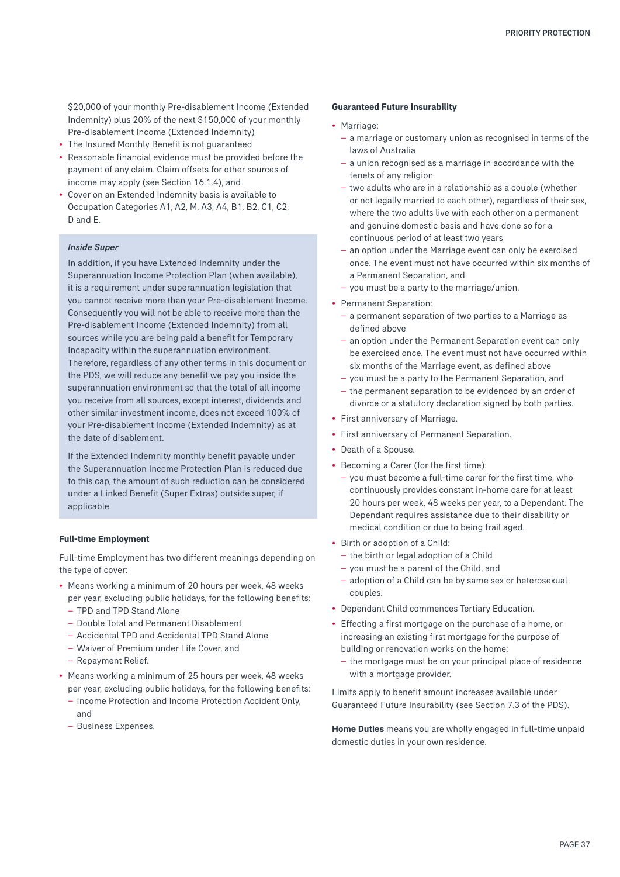\$20,000 of your monthly Pre-disablement Income (Extended Indemnity) plus 20% of the next \$150,000 of your monthly Pre-disablement Income (Extended Indemnity)

- The Insured Monthly Benefit is not guaranteed
- Reasonable financial evidence must be provided before the payment of any claim. Claim offsets for other sources of income may apply (see Section 16.1.4), and
- Cover on an Extended Indemnity basis is available to Occupation Categories A1, A2, M, A3, A4, B1, B2, C1, C2, D and E.

#### *Inside Super*

In addition, if you have Extended Indemnity under the Superannuation Income Protection Plan (when available), it is a requirement under superannuation legislation that you cannot receive more than your Pre-disablement Income. Consequently you will not be able to receive more than the Pre-disablement Income (Extended Indemnity) from all sources while you are being paid a benefit for Temporary Incapacity within the superannuation environment. Therefore, regardless of any other terms in this document or the PDS, we will reduce any benefit we pay you inside the superannuation environment so that the total of all income you receive from all sources, except interest, dividends and other similar investment income, does not exceed 100% of your Pre-disablement Income (Extended Indemnity) as at the date of disablement.

If the Extended Indemnity monthly benefit payable under the Superannuation Income Protection Plan is reduced due to this cap, the amount of such reduction can be considered under a Linked Benefit (Super Extras) outside super, if applicable.

#### **Full-time Employment**

Full-time Employment has two different meanings depending on the type of cover:

- Means working a minimum of 20 hours per week, 48 weeks per year, excluding public holidays, for the following benefits:
	- TPD and TPD Stand Alone
	- Double Total and Permanent Disablement
	- Accidental TPD and Accidental TPD Stand Alone
	- Waiver of Premium under Life Cover, and
	- Repayment Relief.
- Means working a minimum of 25 hours per week, 48 weeks per year, excluding public holidays, for the following benefits:
	- Income Protection and Income Protection Accident Only, and
	- Business Expenses.

#### **Guaranteed Future Insurability**

- Marriage:
	- a marriage or customary union as recognised in terms of the laws of Australia
	- a union recognised as a marriage in accordance with the tenets of any religion
	- two adults who are in a relationship as a couple (whether or not legally married to each other), regardless of their sex, where the two adults live with each other on a permanent and genuine domestic basis and have done so for a continuous period of at least two years
	- an option under the Marriage event can only be exercised once. The event must not have occurred within six months of a Permanent Separation, and
	- you must be a party to the marriage/union.
- Permanent Separation:
	- a permanent separation of two parties to a Marriage as defined above
	- an option under the Permanent Separation event can only be exercised once. The event must not have occurred within six months of the Marriage event, as defined above
	- you must be a party to the Permanent Separation, and
	- the permanent separation to be evidenced by an order of divorce or a statutory declaration signed by both parties.
- First anniversary of Marriage.
- First anniversary of Permanent Separation.
- Death of a Spouse.
- Becoming a Carer (for the first time):
	- you must become a full-time carer for the first time, who continuously provides constant in-home care for at least 20 hours per week, 48 weeks per year, to a Dependant. The Dependant requires assistance due to their disability or medical condition or due to being frail aged.
- Birth or adoption of a Child:
	- the birth or legal adoption of a Child
	- you must be a parent of the Child, and
	- adoption of a Child can be by same sex or heterosexual couples.
- Dependant Child commences Tertiary Education.
- Effecting a first mortgage on the purchase of a home, or increasing an existing first mortgage for the purpose of building or renovation works on the home:
	- the mortgage must be on your principal place of residence with a mortgage provider.

Limits apply to benefit amount increases available under Guaranteed Future Insurability (see Section 7.3 of the PDS).

**Home Duties** means you are wholly engaged in full-time unpaid domestic duties in your own residence.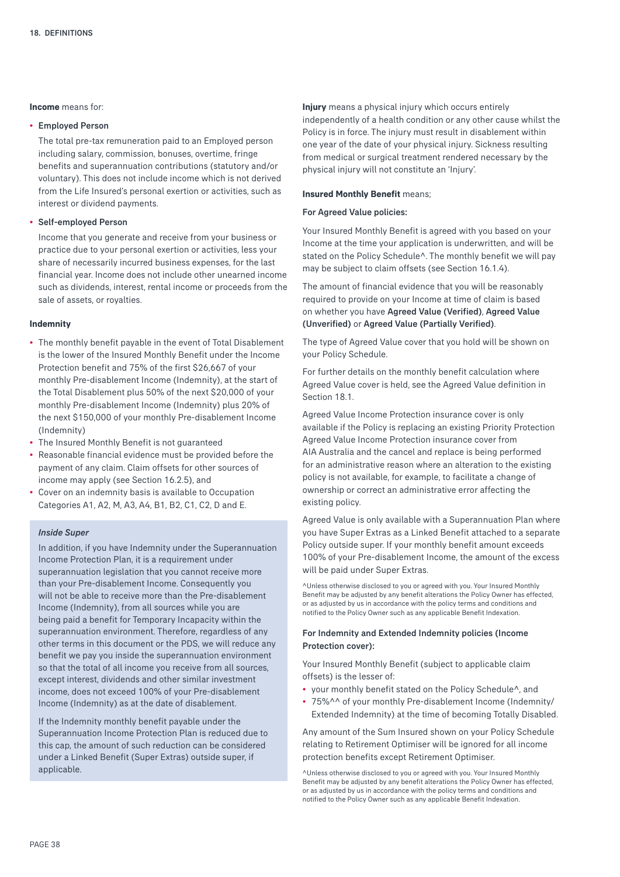#### **Income** means for:

#### • Employed Person

The total pre-tax remuneration paid to an Employed person including salary, commission, bonuses, overtime, fringe benefits and superannuation contributions (statutory and/or voluntary). This does not include income which is not derived from the Life Insured's personal exertion or activities, such as interest or dividend payments.

#### • Self-employed Person

Income that you generate and receive from your business or practice due to your personal exertion or activities, less your share of necessarily incurred business expenses, for the last financial year. Income does not include other unearned income such as dividends, interest, rental income or proceeds from the sale of assets, or royalties.

#### **Indemnity**

- The monthly benefit payable in the event of Total Disablement is the lower of the Insured Monthly Benefit under the Income Protection benefit and 75% of the first \$26,667 of your monthly Pre-disablement Income (Indemnity), at the start of the Total Disablement plus 50% of the next \$20,000 of your monthly Pre-disablement Income (Indemnity) plus 20% of the next \$150,000 of your monthly Pre-disablement Income (Indemnity)
- The Insured Monthly Benefit is not guaranteed
- Reasonable financial evidence must be provided before the payment of any claim. Claim offsets for other sources of income may apply (see Section 16.2.5), and
- Cover on an indemnity basis is available to Occupation Categories A1, A2, M, A3, A4, B1, B2, C1, C2, D and E.

#### *Inside Super*

In addition, if you have Indemnity under the Superannuation Income Protection Plan, it is a requirement under superannuation legislation that you cannot receive more than your Pre-disablement Income. Consequently you will not be able to receive more than the Pre-disablement Income (Indemnity), from all sources while you are being paid a benefit for Temporary Incapacity within the superannuation environment. Therefore, regardless of any other terms in this document or the PDS, we will reduce any benefit we pay you inside the superannuation environment so that the total of all income you receive from all sources, except interest, dividends and other similar investment income, does not exceed 100% of your Pre-disablement Income (Indemnity) as at the date of disablement.

If the Indemnity monthly benefit payable under the Superannuation Income Protection Plan is reduced due to this cap, the amount of such reduction can be considered under a Linked Benefit (Super Extras) outside super, if applicable.

**Injury** means a physical injury which occurs entirely independently of a health condition or any other cause whilst the Policy is in force. The injury must result in disablement within one year of the date of your physical injury. Sickness resulting from medical or surgical treatment rendered necessary by the physical injury will not constitute an 'Injury'.

#### **Insured Monthly Benefit** means;

#### For Agreed Value policies:

Your Insured Monthly Benefit is agreed with you based on your Income at the time your application is underwritten, and will be stated on the Policy Schedule^. The monthly benefit we will pay may be subject to claim offsets (see Section 16.1.4).

The amount of financial evidence that you will be reasonably required to provide on your Income at time of claim is based on whether you have Agreed Value (Verified), Agreed Value (Unverified) or Agreed Value (Partially Verified).

The type of Agreed Value cover that you hold will be shown on your Policy Schedule.

For further details on the monthly benefit calculation where Agreed Value cover is held, see the Agreed Value definition in Section 18.1.

Agreed Value Income Protection insurance cover is only available if the Policy is replacing an existing Priority Protection Agreed Value Income Protection insurance cover from AIA Australia and the cancel and replace is being performed for an administrative reason where an alteration to the existing policy is not available, for example, to facilitate a change of ownership or correct an administrative error affecting the existing policy.

Agreed Value is only available with a Superannuation Plan where you have Super Extras as a Linked Benefit attached to a separate Policy outside super. If your monthly benefit amount exceeds 100% of your Pre-disablement Income, the amount of the excess will be paid under Super Extras.

^Unless otherwise disclosed to you or agreed with you. Your Insured Monthly Benefit may be adjusted by any benefit alterations the Policy Owner has effected, or as adjusted by us in accordance with the policy terms and conditions and notified to the Policy Owner such as any applicable Benefit Indexation.

#### For Indemnity and Extended Indemnity policies (Income Protection cover):

Your Insured Monthly Benefit (subject to applicable claim offsets) is the lesser of:

- your monthly benefit stated on the Policy Schedule^, and
- 75%^^ of your monthly Pre-disablement Income (Indemnity/ Extended Indemnity) at the time of becoming Totally Disabled.

Any amount of the Sum Insured shown on your Policy Schedule relating to Retirement Optimiser will be ignored for all income protection benefits except Retirement Optimiser.

^Unless otherwise disclosed to you or agreed with you. Your Insured Monthly Benefit may be adjusted by any benefit alterations the Policy Owner has effected, or as adjusted by us in accordance with the policy terms and conditions and notified to the Policy Owner such as any applicable Benefit Indexation.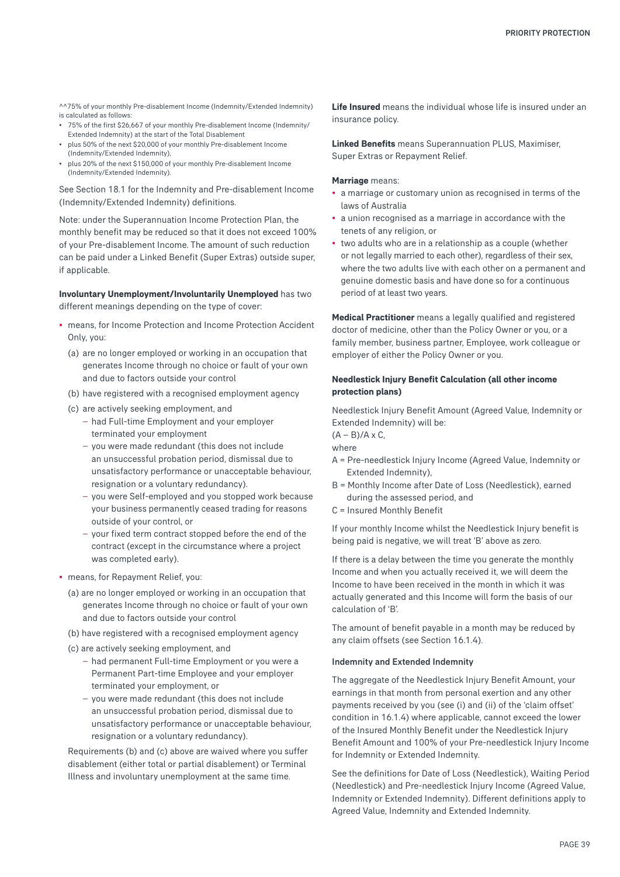^^75% of your monthly Pre-disablement Income (Indemnity/Extended Indemnity) is calculated as follows:

- 75% of the first \$26,667 of your monthly Pre-disablement Income (Indemnity/ Extended Indemnity) at the start of the Total Disablement
- plus 50% of the next \$20,000 of your monthly Pre-disablement Income (Indemnity/Extended Indemnity),
- plus 20% of the next \$150,000 of your monthly Pre-disablement Income (Indemnity/Extended Indemnity).

See Section 18.1 for the Indemnity and Pre-disablement Income (Indemnity/Extended Indemnity) definitions.

Note: under the Superannuation Income Protection Plan, the monthly benefit may be reduced so that it does not exceed 100% of your Pre-disablement Income. The amount of such reduction can be paid under a Linked Benefit (Super Extras) outside super, if applicable.

**Involuntary Unemployment/Involuntarily Unemployed** has two different meanings depending on the type of cover:

- means, for Income Protection and Income Protection Accident Only, you:
	- (a) are no longer employed or working in an occupation that generates Income through no choice or fault of your own and due to factors outside your control
	- (b) have registered with a recognised employment agency
	- (c) are actively seeking employment, and
		- had Full-time Employment and your employer terminated your employment
		- you were made redundant (this does not include an unsuccessful probation period, dismissal due to unsatisfactory performance or unacceptable behaviour, resignation or a voluntary redundancy).
		- you were Self-employed and you stopped work because your business permanently ceased trading for reasons outside of your control, or
		- your fixed term contract stopped before the end of the contract (except in the circumstance where a project was completed early).
- means, for Repayment Relief, you:
	- (a) are no longer employed or working in an occupation that generates Income through no choice or fault of your own and due to factors outside your control
	- (b) have registered with a recognised employment agency
	- (c) are actively seeking employment, and
		- had permanent Full-time Employment or you were a Permanent Part-time Employee and your employer terminated your employment, or
		- you were made redundant (this does not include an unsuccessful probation period, dismissal due to unsatisfactory performance or unacceptable behaviour, resignation or a voluntary redundancy).

Requirements (b) and (c) above are waived where you suffer disablement (either total or partial disablement) or Terminal Illness and involuntary unemployment at the same time.

**Life Insured** means the individual whose life is insured under an insurance policy.

**Linked Benefits** means Superannuation PLUS, Maximiser, Super Extras or Repayment Relief.

#### **Marriage** means:

- a marriage or customary union as recognised in terms of the laws of Australia
- a union recognised as a marriage in accordance with the tenets of any religion, or
- two adults who are in a relationship as a couple (whether or not legally married to each other), regardless of their sex, where the two adults live with each other on a permanent and genuine domestic basis and have done so for a continuous period of at least two years.

**Medical Practitioner** means a legally qualified and registered doctor of medicine, other than the Policy Owner or you, or a family member, business partner, Employee, work colleague or employer of either the Policy Owner or you.

#### **Needlestick Injury Benefit Calculation (all other income protection plans)**

Needlestick Injury Benefit Amount (Agreed Value, Indemnity or Extended Indemnity) will be:

 $(A - B)/A \times C$ 

where

- A = Pre-needlestick Injury Income (Agreed Value, Indemnity or Extended Indemnity),
- B = Monthly Income after Date of Loss (Needlestick), earned during the assessed period, and
- C = Insured Monthly Benefit

If your monthly Income whilst the Needlestick Injury benefit is being paid is negative, we will treat 'B' above as zero.

If there is a delay between the time you generate the monthly Income and when you actually received it, we will deem the Income to have been received in the month in which it was actually generated and this Income will form the basis of our calculation of 'B'.

The amount of benefit payable in a month may be reduced by any claim offsets (see Section 16.1.4).

#### Indemnity and Extended Indemnity

The aggregate of the Needlestick Injury Benefit Amount, your earnings in that month from personal exertion and any other payments received by you (see (i) and (ii) of the 'claim offset' condition in 16.1.4) where applicable, cannot exceed the lower of the Insured Monthly Benefit under the Needlestick Injury Benefit Amount and 100% of your Pre-needlestick Injury Income for Indemnity or Extended Indemnity.

See the definitions for Date of Loss (Needlestick), Waiting Period (Needlestick) and Pre-needlestick Injury Income (Agreed Value, Indemnity or Extended Indemnity). Different definitions apply to Agreed Value, Indemnity and Extended Indemnity.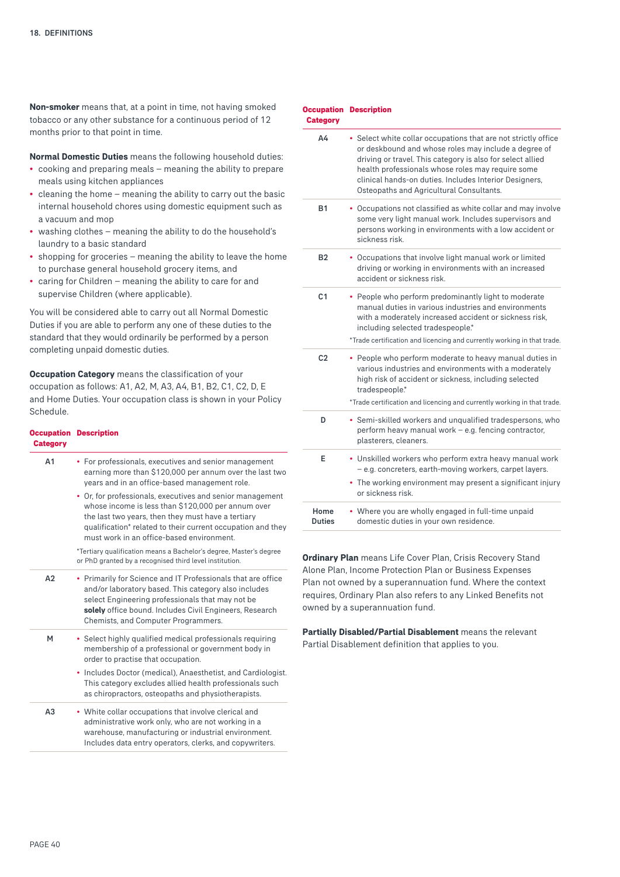**Non-smoker** means that, at a point in time, not having smoked tobacco or any other substance for a continuous period of 12 months prior to that point in time.

**Normal Domestic Duties** means the following household duties:

- cooking and preparing meals meaning the ability to prepare meals using kitchen appliances
- cleaning the home meaning the ability to carry out the basic internal household chores using domestic equipment such as a vacuum and mop
- washing clothes meaning the ability to do the household's laundry to a basic standard
- shopping for groceries meaning the ability to leave the home to purchase general household grocery items, and
- caring for Children meaning the ability to care for and supervise Children (where applicable).

You will be considered able to carry out all Normal Domestic Duties if you are able to perform any one of these duties to the standard that they would ordinarily be performed by a person completing unpaid domestic duties.

**Occupation Category** means the classification of your occupation as follows: A1, A2, M, A3, A4, B1, B2, C1, C2, D, E and Home Duties. Your occupation class is shown in your Policy Schedule.

| <b>Category</b> | <b>Occupation Description</b>                                                                                                                                                                                                                                                                 |                                                                          | pe<br>pl                |
|-----------------|-----------------------------------------------------------------------------------------------------------------------------------------------------------------------------------------------------------------------------------------------------------------------------------------------|--------------------------------------------------------------------------|-------------------------|
| A <sub>1</sub>  | • For professionals, executives and senior management<br>earning more than \$120,000 per annum over the last two<br>years and in an office-based management role.                                                                                                                             | Е<br>$\cdot$ Ur<br>Ξ.<br>• Th                                            |                         |
|                 | • Or, for professionals, executives and senior management<br>whose income is less than \$120,000 per annum over<br>the last two years, then they must have a tertiary<br>qualification <sup>*</sup> related to their current occupation and they<br>must work in an office-based environment. | Home<br><b>Duties</b>                                                    | or<br>$\bullet$ W<br>do |
|                 | *Tertiary qualification means a Bachelor's degree, Master's degree<br>or PhD granted by a recognised third level institution.                                                                                                                                                                 | <b>Ordinary Plan r</b>                                                   |                         |
| A2              | • Primarily for Science and IT Professionals that are office<br>and/or laboratory based. This category also includes<br>select Engineering professionals that may not be<br>solely office bound. Includes Civil Engineers, Research<br>Chemists, and Computer Programmers.                    | Alone Plan, Inco<br>Plan not owned<br>requires, Ordina<br>owned by a sup |                         |
| M               | • Select highly qualified medical professionals requiring<br>membership of a professional or government body in<br>order to practise that occupation.                                                                                                                                         | <b>Partially Disabl</b><br><b>Partial Disablen</b>                       |                         |
|                 | • Includes Doctor (medical), Anaesthetist, and Cardiologist.<br>This category excludes allied health professionals such<br>as chiropractors, osteopaths and physiotherapists.                                                                                                                 |                                                                          |                         |
| A <sub>3</sub>  | • White collar occupations that involve clerical and<br>administrative work only, who are not working in a<br>warehouse, manufacturing or industrial environment.                                                                                                                             |                                                                          |                         |

Includes data entry operators, clerks, and copywriters.

#### **Occupation Description Category**

| A4             | • Select white collar occupations that are not strictly office<br>or deskbound and whose roles may include a degree of<br>driving or travel. This category is also for select allied<br>health professionals whose roles may require some<br>clinical hands-on duties. Includes Interior Designers,<br>Osteopaths and Agricultural Consultants. |
|----------------|-------------------------------------------------------------------------------------------------------------------------------------------------------------------------------------------------------------------------------------------------------------------------------------------------------------------------------------------------|
| <b>B1</b>      | Occupations not classified as white collar and may involve<br>some very light manual work. Includes supervisors and<br>persons working in environments with a low accident or<br>sickness risk.                                                                                                                                                 |
| <b>B2</b>      | • Occupations that involve light manual work or limited<br>driving or working in environments with an increased<br>accident or sickness risk.                                                                                                                                                                                                   |
| C <sub>1</sub> | • People who perform predominantly light to moderate<br>manual duties in various industries and environments<br>with a moderately increased accident or sickness risk,<br>including selected tradespeople.*<br>*Trade certification and licencing and currently working in that trade.                                                          |
| C <sub>2</sub> | • People who perform moderate to heavy manual duties in<br>various industries and environments with a moderately<br>high risk of accident or sickness, including selected<br>tradespeople.*<br>*Trade certification and licencing and currently working in that trade.                                                                          |
| D              | • Semi-skilled workers and unqualified tradespersons, who<br>perform heavy manual work - e.g. fencing contractor,<br>plasterers, cleaners.                                                                                                                                                                                                      |
| E              | • Unskilled workers who perform extra heavy manual work<br>- e.g. concreters, earth-moving workers, carpet layers.<br>• The working environment may present a significant injury<br>or sickness risk.                                                                                                                                           |
| Home<br>Duties | • Where you are wholly engaged in full-time unpaid<br>domestic duties in your own residence.                                                                                                                                                                                                                                                    |

neans Life Cover Plan, Crisis Recovery Stand ome Protection Plan or Business Expenses by a superannuation fund. Where the context ry Plan also refers to any Linked Benefits not berannuation fund.

ed/Partial Disablement means the relevant nent definition that applies to you.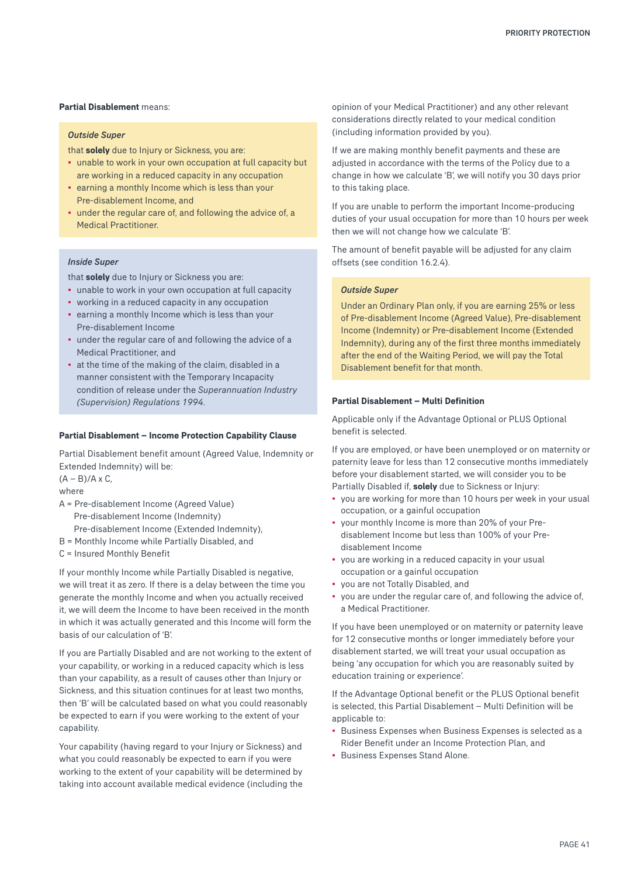#### **Partial Disablement** means:

#### *Outside Super*

that **solely** due to Injury or Sickness, you are:

- unable to work in your own occupation at full capacity but are working in a reduced capacity in any occupation
- earning a monthly Income which is less than your Pre-disablement Income, and
- under the regular care of, and following the advice of, a Medical Practitioner.

#### *Inside Super*

that **solely** due to Injury or Sickness you are:

- unable to work in your own occupation at full capacity
- working in a reduced capacity in any occupation
- earning a monthly Income which is less than your Pre-disablement Income
- under the regular care of and following the advice of a Medical Practitioner, and
- at the time of the making of the claim, disabled in a manner consistent with the Temporary Incapacity condition of release under the *Superannuation Industry (Supervision) Regulations 1994*.

#### **Partial Disablement – Income Protection Capability Clause**

Partial Disablement benefit amount (Agreed Value, Indemnity or Extended Indemnity) will be:

 $(A - B)/A \times C$ 

where

- A = Pre-disablement Income (Agreed Value) Pre-disablement Income (Indemnity)
- Pre-disablement Income (Extended Indemnity),
- B = Monthly Income while Partially Disabled, and
- C = Insured Monthly Benefit

If your monthly Income while Partially Disabled is negative, we will treat it as zero. If there is a delay between the time you generate the monthly Income and when you actually received it, we will deem the Income to have been received in the month in which it was actually generated and this Income will form the basis of our calculation of 'B'.

If you are Partially Disabled and are not working to the extent of your capability, or working in a reduced capacity which is less than your capability, as a result of causes other than Injury or Sickness, and this situation continues for at least two months, then 'B' will be calculated based on what you could reasonably be expected to earn if you were working to the extent of your capability.

Your capability (having regard to your Injury or Sickness) and what you could reasonably be expected to earn if you were working to the extent of your capability will be determined by taking into account available medical evidence (including the opinion of your Medical Practitioner) and any other relevant considerations directly related to your medical condition (including information provided by you).

If we are making monthly benefit payments and these are adjusted in accordance with the terms of the Policy due to a change in how we calculate 'B', we will notify you 30 days prior to this taking place.

If you are unable to perform the important Income-producing duties of your usual occupation for more than 10 hours per week then we will not change how we calculate 'B'.

The amount of benefit payable will be adjusted for any claim offsets (see condition 16.2.4).

### *Outside Super*

Under an Ordinary Plan only, if you are earning 25% or less of Pre-disablement Income (Agreed Value), Pre-disablement Income (Indemnity) or Pre-disablement Income (Extended Indemnity), during any of the first three months immediately after the end of the Waiting Period, we will pay the Total Disablement benefit for that month.

#### **Partial Disablement – Multi Definition**

Applicable only if the Advantage Optional or PLUS Optional benefit is selected.

If you are employed, or have been unemployed or on maternity or paternity leave for less than 12 consecutive months immediately before your disablement started, we will consider you to be Partially Disabled if, **solely** due to Sickness or Injury:

- you are working for more than 10 hours per week in your usual occupation, or a gainful occupation
- your monthly Income is more than 20% of your Predisablement Income but less than 100% of your Predisablement Income
- you are working in a reduced capacity in your usual occupation or a gainful occupation
- you are not Totally Disabled, and
- you are under the regular care of, and following the advice of, a Medical Practitioner.

If you have been unemployed or on maternity or paternity leave for 12 consecutive months or longer immediately before your disablement started, we will treat your usual occupation as being 'any occupation for which you are reasonably suited by education training or experience'.

If the Advantage Optional benefit or the PLUS Optional benefit is selected, this Partial Disablement – Multi Definition will be applicable to:

- Business Expenses when Business Expenses is selected as a Rider Benefit under an Income Protection Plan, and
- Business Expenses Stand Alone.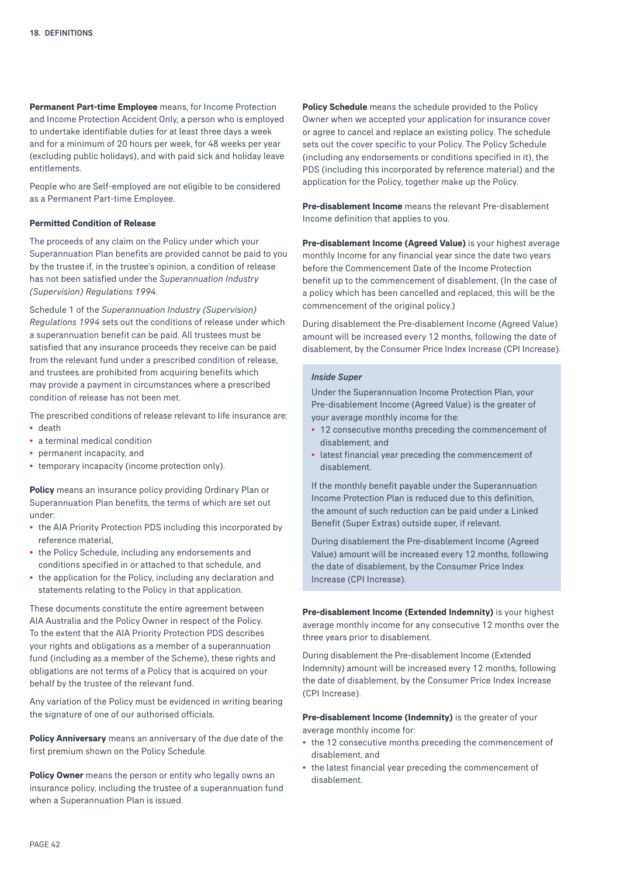**Permanent Part-time Employee** means, for Income Protection and Income Protection Accident Only, a person who is employed to undertake identifiable duties for at least three days a week and for a minimum of 20 hours per week, for 48 weeks per year (excluding public holidays), and with paid sick and holiday leave entitlements.

People who are Self-employed are not eligible to be considered as a Permanent Part-time Employee.

#### **Permitted Condition of Release**

The proceeds of any claim on the Policy under which your Superannuation Plan benefits are provided cannot be paid to you by the trustee if, in the trustee's opinion, a condition of release has not been satisfied under the *Superannuation Industry (Supervision) Regulations 1994*.

Schedule 1 of the *Superannuation Industry (Supervision) Regulations 1994* sets out the conditions of release under which a superannuation benefit can be paid. All trustees must be satisfied that any insurance proceeds they receive can be paid from the relevant fund under a prescribed condition of release, and trustees are prohibited from acquiring benefits which may provide a payment in circumstances where a prescribed condition of release has not been met.

The prescribed conditions of release relevant to life insurance are: • death

- a terminal medical condition
- permanent incapacity, and
- temporary incapacity (income protection only).

**Policy** means an insurance policy providing Ordinary Plan or Superannuation Plan benefits, the terms of which are set out under:

- the AIA Priority Protection PDS including this incorporated by reference material,
- the Policy Schedule, including any endorsements and conditions specified in or attached to that schedule, and
- the application for the Policy, including any declaration and statements relating to the Policy in that application.

These documents constitute the entire agreement between AIA Australia and the Policy Owner in respect of the Policy. To the extent that the AIA Priority Protection PDS describes your rights and obligations as a member of a superannuation fund (including as a member of the Scheme), these rights and obligations are not terms of a Policy that is acquired on your behalf by the trustee of the relevant fund.

Any variation of the Policy must be evidenced in writing bearing the signature of one of our authorised officials.

**Policy Anniversary** means an anniversary of the due date of the first premium shown on the Policy Schedule.

**Policy Owner** means the person or entity who legally owns an insurance policy, including the trustee of a superannuation fund when a Superannuation Plan is issued.

**Policy Schedule** means the schedule provided to the Policy Owner when we accepted your application for insurance cover or agree to cancel and replace an existing policy. The schedule sets out the cover specific to your Policy. The Policy Schedule (including any endorsements or conditions specified in it), the PDS (including this incorporated by reference material) and the application for the Policy, together make up the Policy.

**Pre-disablement Income** means the relevant Pre-disablement Income definition that applies to you.

**Pre-disablement Income (Agreed Value)** is your highest average monthly Income for any financial year since the date two years before the Commencement Date of the Income Protection benefit up to the commencement of disablement. (In the case of a policy which has been cancelled and replaced, this will be the commencement of the original policy.)

During disablement the Pre-disablement Income (Agreed Value) amount will be increased every 12 months, following the date of disablement, by the Consumer Price Index Increase (CPI Increase).

#### *Inside Super*

Under the Superannuation Income Protection Plan, your Pre-disablement Income (Agreed Value) is the greater of your average monthly income for the:

- 12 consecutive months preceding the commencement of disablement, and
- latest financial year preceding the commencement of disablement.

If the monthly benefit payable under the Superannuation Income Protection Plan is reduced due to this definition, the amount of such reduction can be paid under a Linked Benefit (Super Extras) outside super, if relevant.

During disablement the Pre-disablement Income (Agreed Value) amount will be increased every 12 months, following the date of disablement, by the Consumer Price Index Increase (CPI Increase).

**Pre-disablement Income (Extended Indemnity)** is your highest average monthly income for any consecutive 12 months over the three years prior to disablement.

During disablement the Pre-disablement Income (Extended Indemnity) amount will be increased every 12 months, following the date of disablement, by the Consumer Price Index Increase (CPI Increase).

**Pre-disablement Income (Indemnity)** is the greater of your average monthly income for:

- the 12 consecutive months preceding the commencement of disablement, and
- the latest financial year preceding the commencement of disablement.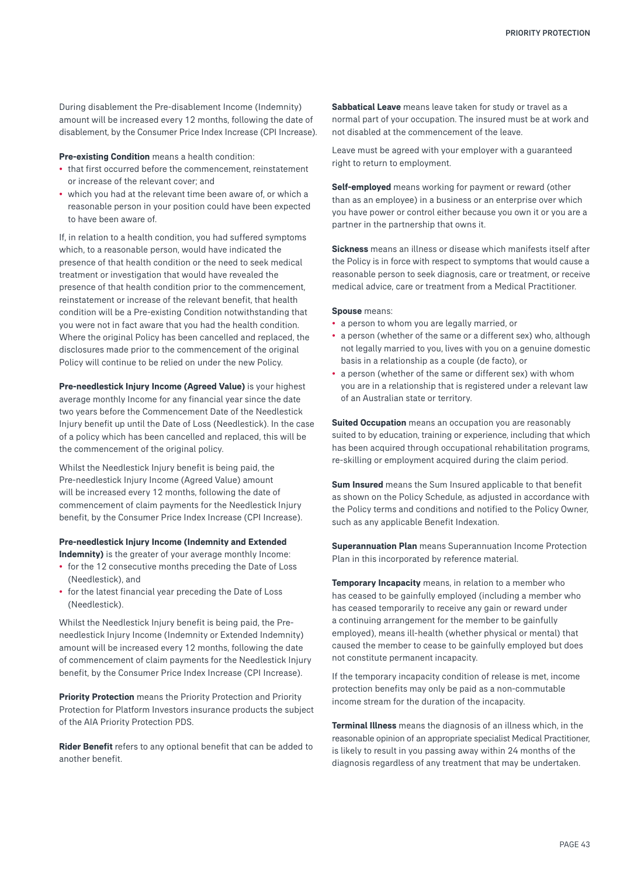During disablement the Pre-disablement Income (Indemnity) amount will be increased every 12 months, following the date of disablement, by the Consumer Price Index Increase (CPI Increase).

#### **Pre-existing Condition** means a health condition:

- that first occurred before the commencement, reinstatement or increase of the relevant cover; and
- which you had at the relevant time been aware of, or which a reasonable person in your position could have been expected to have been aware of.

If, in relation to a health condition, you had suffered symptoms which, to a reasonable person, would have indicated the presence of that health condition or the need to seek medical treatment or investigation that would have revealed the presence of that health condition prior to the commencement, reinstatement or increase of the relevant benefit, that health condition will be a Pre-existing Condition notwithstanding that you were not in fact aware that you had the health condition. Where the original Policy has been cancelled and replaced, the disclosures made prior to the commencement of the original Policy will continue to be relied on under the new Policy.

**Pre-needlestick Injury Income (Agreed Value)** is your highest average monthly Income for any financial year since the date two years before the Commencement Date of the Needlestick Injury benefit up until the Date of Loss (Needlestick). In the case of a policy which has been cancelled and replaced, this will be the commencement of the original policy.

Whilst the Needlestick Injury benefit is being paid, the Pre-needlestick Injury Income (Agreed Value) amount will be increased every 12 months, following the date of commencement of claim payments for the Needlestick Injury benefit, by the Consumer Price Index Increase (CPI Increase).

#### **Pre-needlestick Injury Income (Indemnity and Extended Indemnity)** is the greater of your average monthly Income:

- for the 12 consecutive months preceding the Date of Loss (Needlestick), and
- for the latest financial year preceding the Date of Loss (Needlestick).

Whilst the Needlestick Injury benefit is being paid, the Preneedlestick Injury Income (Indemnity or Extended Indemnity) amount will be increased every 12 months, following the date of commencement of claim payments for the Needlestick Injury benefit, by the Consumer Price Index Increase (CPI Increase).

**Priority Protection** means the Priority Protection and Priority Protection for Platform Investors insurance products the subject of the AIA Priority Protection PDS.

**Rider Benefit** refers to any optional benefit that can be added to another benefit.

**Sabbatical Leave** means leave taken for study or travel as a normal part of your occupation. The insured must be at work and not disabled at the commencement of the leave.

Leave must be agreed with your employer with a guaranteed right to return to employment.

**Self-employed** means working for payment or reward (other than as an employee) in a business or an enterprise over which you have power or control either because you own it or you are a partner in the partnership that owns it.

**Sickness** means an illness or disease which manifests itself after the Policy is in force with respect to symptoms that would cause a reasonable person to seek diagnosis, care or treatment, or receive medical advice, care or treatment from a Medical Practitioner.

#### **Spouse** means:

- a person to whom you are legally married, or
- a person (whether of the same or a different sex) who, although not legally married to you, lives with you on a genuine domestic basis in a relationship as a couple (de facto), or
- a person (whether of the same or different sex) with whom you are in a relationship that is registered under a relevant law of an Australian state or territory.

**Suited Occupation** means an occupation you are reasonably suited to by education, training or experience, including that which has been acquired through occupational rehabilitation programs, re-skilling or employment acquired during the claim period.

**Sum Insured** means the Sum Insured applicable to that benefit as shown on the Policy Schedule, as adjusted in accordance with the Policy terms and conditions and notified to the Policy Owner, such as any applicable Benefit Indexation.

**Superannuation Plan** means Superannuation Income Protection Plan in this incorporated by reference material.

**Temporary Incapacity** means, in relation to a member who has ceased to be gainfully employed (including a member who has ceased temporarily to receive any gain or reward under a continuing arrangement for the member to be gainfully employed), means ill-health (whether physical or mental) that caused the member to cease to be gainfully employed but does not constitute permanent incapacity.

If the temporary incapacity condition of release is met, income protection benefits may only be paid as a non-commutable income stream for the duration of the incapacity.

**Terminal Illness** means the diagnosis of an illness which, in the reasonable opinion of an appropriate specialist Medical Practitioner, is likely to result in you passing away within 24 months of the diagnosis regardless of any treatment that may be undertaken.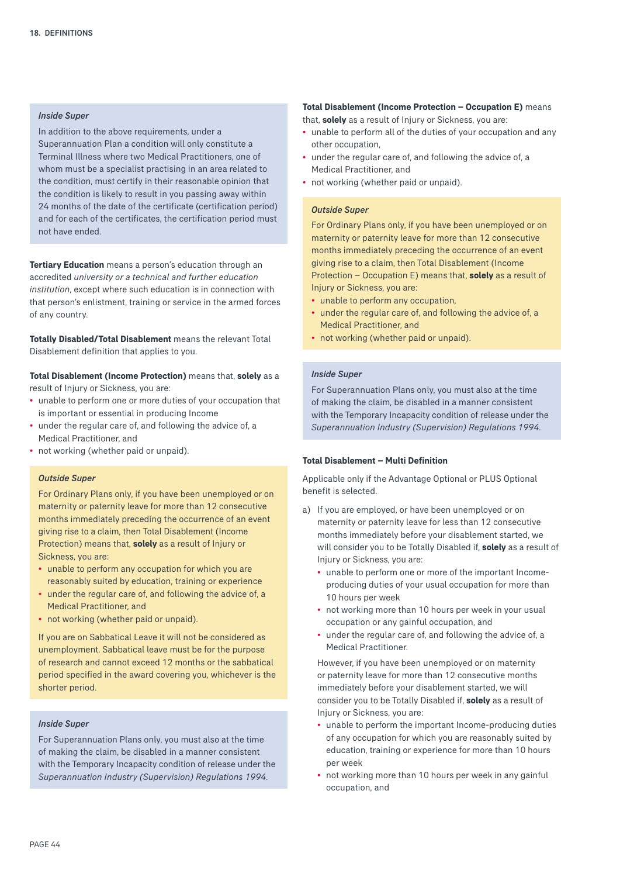#### *Inside Super*

In addition to the above requirements, under a Superannuation Plan a condition will only constitute a Terminal Illness where two Medical Practitioners, one of whom must be a specialist practising in an area related to the condition, must certify in their reasonable opinion that the condition is likely to result in you passing away within 24 months of the date of the certificate (certification period) and for each of the certificates, the certification period must not have ended.

**Tertiary Education** means a person's education through an accredited *university or a technical and further education institution*, except where such education is in connection with that person's enlistment, training or service in the armed forces of any country.

**Totally Disabled/Total Disablement** means the relevant Total Disablement definition that applies to you.

**Total Disablement (Income Protection)** means that, **solely** as a result of Injury or Sickness, you are:

- unable to perform one or more duties of your occupation that is important or essential in producing Income
- under the regular care of, and following the advice of, a Medical Practitioner, and
- not working (whether paid or unpaid).

#### *Outside Super*

For Ordinary Plans only, if you have been unemployed or on maternity or paternity leave for more than 12 consecutive months immediately preceding the occurrence of an event giving rise to a claim, then Total Disablement (Income Protection) means that, **solely** as a result of Injury or Sickness, you are:

- unable to perform any occupation for which you are reasonably suited by education, training or experience
- under the regular care of, and following the advice of, a Medical Practitioner, and
- not working (whether paid or unpaid).

If you are on Sabbatical Leave it will not be considered as unemployment. Sabbatical leave must be for the purpose of research and cannot exceed 12 months or the sabbatical period specified in the award covering you, whichever is the shorter period.

#### *Inside Super*

For Superannuation Plans only, you must also at the time of making the claim, be disabled in a manner consistent with the Temporary Incapacity condition of release under the *Superannuation Industry (Supervision) Regulations 1994*.

## **Total Disablement (Income Protection – Occupation E)** means

that, **solely** as a result of Injury or Sickness, you are:

- unable to perform all of the duties of your occupation and any other occupation,
- under the regular care of, and following the advice of, a Medical Practitioner, and
- not working (whether paid or unpaid).

#### *Outside Super*

For Ordinary Plans only, if you have been unemployed or on maternity or paternity leave for more than 12 consecutive months immediately preceding the occurrence of an event giving rise to a claim, then Total Disablement (Income Protection – Occupation E) means that, **solely** as a result of Injury or Sickness, you are:

- unable to perform any occupation,
- under the regular care of, and following the advice of, a Medical Practitioner, and
- not working (whether paid or unpaid).

#### *Inside Super*

For Superannuation Plans only, you must also at the time of making the claim, be disabled in a manner consistent with the Temporary Incapacity condition of release under the *Superannuation Industry (Supervision) Regulations 1994*.

#### **Total Disablement – Multi Definition**

Applicable only if the Advantage Optional or PLUS Optional benefit is selected.

- a) If you are employed, or have been unemployed or on maternity or paternity leave for less than 12 consecutive months immediately before your disablement started, we will consider you to be Totally Disabled if, **solely** as a result of Injury or Sickness, you are:
	- unable to perform one or more of the important Incomeproducing duties of your usual occupation for more than 10 hours per week
	- not working more than 10 hours per week in your usual occupation or any gainful occupation, and
	- under the regular care of, and following the advice of, a Medical Practitioner.

However, if you have been unemployed or on maternity or paternity leave for more than 12 consecutive months immediately before your disablement started, we will consider you to be Totally Disabled if, **solely** as a result of Injury or Sickness, you are:

- unable to perform the important Income-producing duties of any occupation for which you are reasonably suited by education, training or experience for more than 10 hours per week
- not working more than 10 hours per week in any gainful occupation, and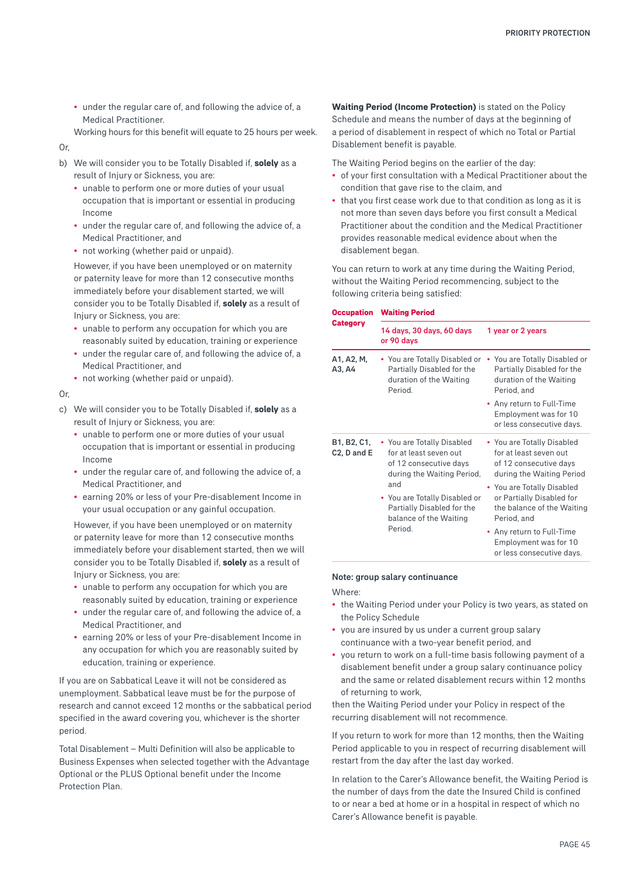- under the regular care of, and following the advice of, a Medical Practitioner.
- Working hours for this benefit will equate to 25 hours per week.

#### Or,

- b) We will consider you to be Totally Disabled if, **solely** as a result of Injury or Sickness, you are:
	- unable to perform one or more duties of your usual occupation that is important or essential in producing Income
	- under the regular care of, and following the advice of, a Medical Practitioner, and
	- not working (whether paid or unpaid).

However, if you have been unemployed or on maternity or paternity leave for more than 12 consecutive months immediately before your disablement started, we will consider you to be Totally Disabled if, **solely** as a result of Injury or Sickness, you are:

- unable to perform any occupation for which you are reasonably suited by education, training or experience
- under the regular care of, and following the advice of, a Medical Practitioner, and
- not working (whether paid or unpaid).

#### Or,

- c) We will consider you to be Totally Disabled if, **solely** as a result of Injury or Sickness, you are:
	- unable to perform one or more duties of your usual occupation that is important or essential in producing Income
	- under the regular care of, and following the advice of, a Medical Practitioner, and
	- earning 20% or less of your Pre-disablement Income in your usual occupation or any gainful occupation.

However, if you have been unemployed or on maternity or paternity leave for more than 12 consecutive months immediately before your disablement started, then we will consider you to be Totally Disabled if, **solely** as a result of Injury or Sickness, you are:

- unable to perform any occupation for which you are reasonably suited by education, training or experience
- under the regular care of, and following the advice of, a Medical Practitioner, and
- earning 20% or less of your Pre-disablement Income in any occupation for which you are reasonably suited by education, training or experience.

If you are on Sabbatical Leave it will not be considered as unemployment. Sabbatical leave must be for the purpose of research and cannot exceed 12 months or the sabbatical period specified in the award covering you, whichever is the shorter period.

Total Disablement – Multi Definition will also be applicable to Business Expenses when selected together with the Advantage Optional or the PLUS Optional benefit under the Income Protection Plan.

**Waiting Period (Income Protection)** is stated on the Policy Schedule and means the number of days at the beginning of a period of disablement in respect of which no Total or Partial Disablement benefit is payable.

The Waiting Period begins on the earlier of the day:

- of your first consultation with a Medical Practitioner about the condition that gave rise to the claim, and
- that you first cease work due to that condition as long as it is not more than seven days before you first consult a Medical Practitioner about the condition and the Medical Practitioner provides reasonable medical evidence about when the disablement began.

You can return to work at any time during the Waiting Period, without the Waiting Period recommencing, subject to the following criteria being satisfied:

| <b>Occupation</b><br><b>Category</b>    | <b>Waiting Period</b>                                                                                                                                                                                        |                                                                                                                                                                                                                     |  |
|-----------------------------------------|--------------------------------------------------------------------------------------------------------------------------------------------------------------------------------------------------------------|---------------------------------------------------------------------------------------------------------------------------------------------------------------------------------------------------------------------|--|
|                                         | 14 days, 30 days, 60 days<br>or 90 days                                                                                                                                                                      | 1 year or 2 years                                                                                                                                                                                                   |  |
| A1, A2, M,<br>A3, A4                    | • You are Totally Disabled or<br>Partially Disabled for the<br>duration of the Waiting<br>Period                                                                                                             | You are Totally Disabled or<br>Partially Disabled for the<br>duration of the Waiting<br>Period, and<br>• Any return to Full-Time                                                                                    |  |
|                                         |                                                                                                                                                                                                              | Employment was for 10<br>or less consecutive days.                                                                                                                                                                  |  |
| B1, B2, C1,<br>C <sub>2</sub> , D and E | • You are Totally Disabled<br>for at least seven out<br>of 12 consecutive days<br>during the Waiting Period,<br>and<br>• You are Totally Disabled or<br>Partially Disabled for the<br>balance of the Waiting | • You are Totally Disabled<br>for at least seven out<br>of 12 consecutive days<br>during the Waiting Period<br>• You are Totally Disabled<br>or Partially Disabled for<br>the balance of the Waiting<br>Period, and |  |
|                                         | Period                                                                                                                                                                                                       | • Any return to Full-Time<br>Employment was for 10<br>or less consecutive days.                                                                                                                                     |  |

#### Note: group salary continuance

#### Where:

- the Waiting Period under your Policy is two years, as stated on the Policy Schedule
- you are insured by us under a current group salary continuance with a two-year benefit period, and
- you return to work on a full-time basis following payment of a disablement benefit under a group salary continuance policy and the same or related disablement recurs within 12 months of returning to work,

then the Waiting Period under your Policy in respect of the recurring disablement will not recommence.

If you return to work for more than 12 months, then the Waiting Period applicable to you in respect of recurring disablement will restart from the day after the last day worked.

In relation to the Carer's Allowance benefit, the Waiting Period is the number of days from the date the Insured Child is confined to or near a bed at home or in a hospital in respect of which no Carer's Allowance benefit is payable.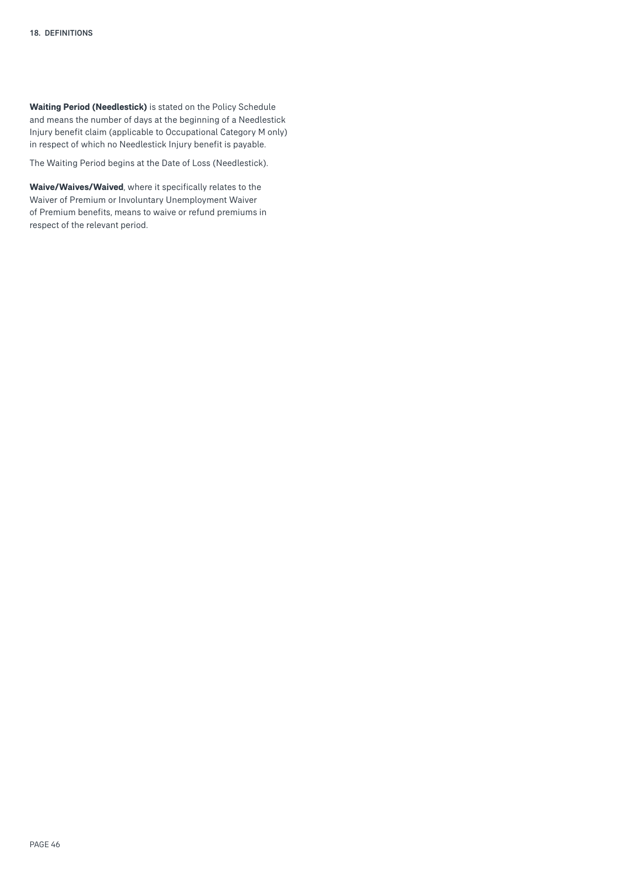**Waiting Period (Needlestick)** is stated on the Policy Schedule and means the number of days at the beginning of a Needlestick Injury benefit claim (applicable to Occupational Category M only) in respect of which no Needlestick Injury benefit is payable.

The Waiting Period begins at the Date of Loss (Needlestick).

**Waive/Waives/Waived**, where it specifically relates to the Waiver of Premium or Involuntary Unemployment Waiver of Premium benefits, means to waive or refund premiums in respect of the relevant period.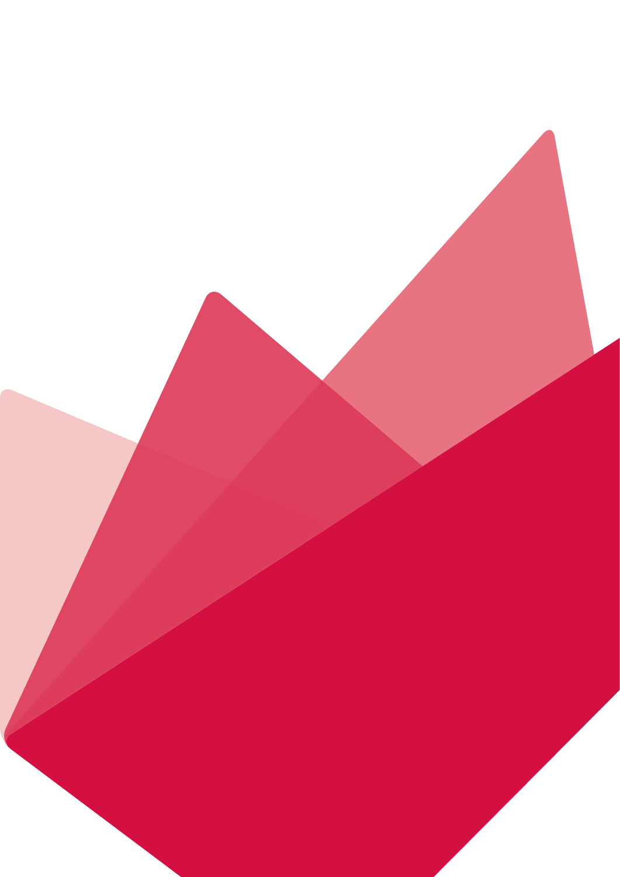